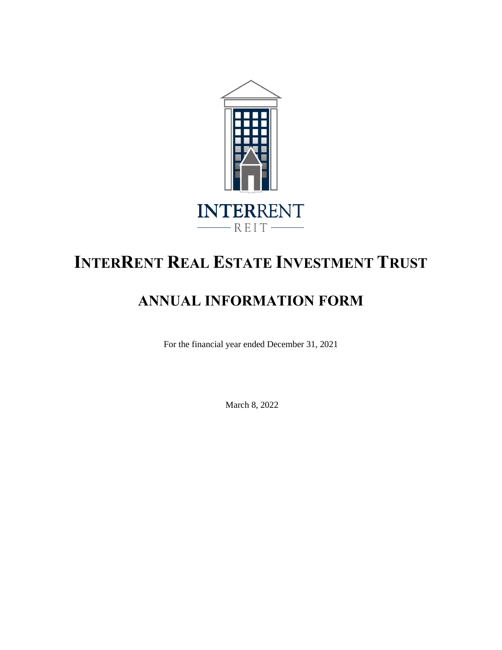

# **INTERRENT REAL ESTATE INVESTMENT TRUST**

# **ANNUAL INFORMATION FORM**

For the financial year ended December 31, 2021

March 8, 2022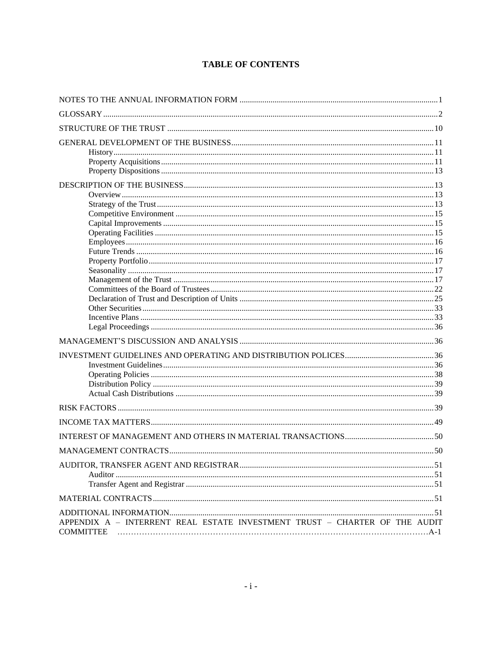# **TABLE OF CONTENTS**

| APPENDIX A - INTERRENT REAL ESTATE INVESTMENT TRUST - CHARTER OF THE AUDIT<br><b>COMMITTEE</b> |  |
|------------------------------------------------------------------------------------------------|--|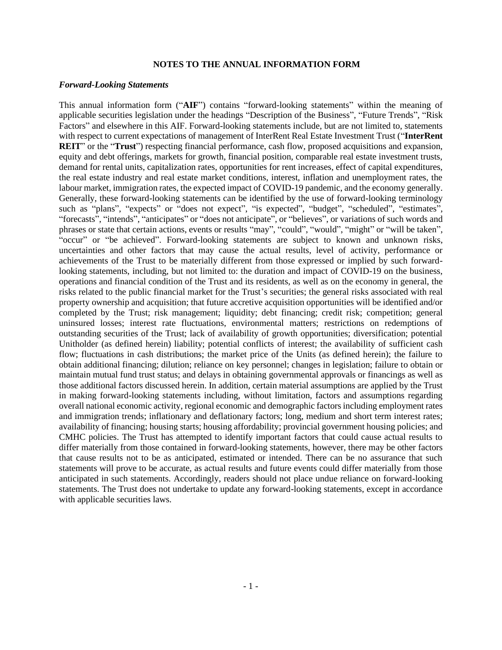#### **NOTES TO THE ANNUAL INFORMATION FORM**

#### <span id="page-2-0"></span>*Forward-Looking Statements*

This annual information form ("**AIF**") contains "forward-looking statements" within the meaning of applicable securities legislation under the headings "Description of the Business", "Future Trends", "Risk Factors" and elsewhere in this AIF. Forward-looking statements include, but are not limited to, statements with respect to current expectations of management of InterRent Real Estate Investment Trust ("**InterRent REIT**" or the "**Trust**") respecting financial performance, cash flow, proposed acquisitions and expansion, equity and debt offerings, markets for growth, financial position, comparable real estate investment trusts, demand for rental units, capitalization rates, opportunities for rent increases, effect of capital expenditures, the real estate industry and real estate market conditions, interest, inflation and unemployment rates, the labour market, immigration rates, the expected impact of COVID-19 pandemic, and the economy generally. Generally, these forward-looking statements can be identified by the use of forward-looking terminology such as "plans", "expects" or "does not expect", "is expected", "budget", "scheduled", "estimates", "forecasts", "intends", "anticipates" or "does not anticipate", or "believes", or variations of such words and phrases or state that certain actions, events or results "may", "could", "would", "might" or "will be taken", "occur" or "be achieved". Forward-looking statements are subject to known and unknown risks, uncertainties and other factors that may cause the actual results, level of activity, performance or achievements of the Trust to be materially different from those expressed or implied by such forwardlooking statements, including, but not limited to: the duration and impact of COVID-19 on the business, operations and financial condition of the Trust and its residents, as well as on the economy in general, the risks related to the public financial market for the Trust's securities; the general risks associated with real property ownership and acquisition; that future accretive acquisition opportunities will be identified and/or completed by the Trust; risk management; liquidity; debt financing; credit risk; competition; general uninsured losses; interest rate fluctuations, environmental matters; restrictions on redemptions of outstanding securities of the Trust; lack of availability of growth opportunities; diversification; potential Unitholder (as defined herein) liability; potential conflicts of interest; the availability of sufficient cash flow; fluctuations in cash distributions; the market price of the Units (as defined herein); the failure to obtain additional financing; dilution; reliance on key personnel; changes in legislation; failure to obtain or maintain mutual fund trust status; and delays in obtaining governmental approvals or financings as well as those additional factors discussed herein. In addition, certain material assumptions are applied by the Trust in making forward-looking statements including, without limitation, factors and assumptions regarding overall national economic activity, regional economic and demographic factors including employment rates and immigration trends; inflationary and deflationary factors; long, medium and short term interest rates; availability of financing; housing starts; housing affordability; provincial government housing policies; and CMHC policies. The Trust has attempted to identify important factors that could cause actual results to differ materially from those contained in forward-looking statements, however, there may be other factors that cause results not to be as anticipated, estimated or intended. There can be no assurance that such statements will prove to be accurate, as actual results and future events could differ materially from those anticipated in such statements. Accordingly, readers should not place undue reliance on forward-looking statements. The Trust does not undertake to update any forward-looking statements, except in accordance with applicable securities laws.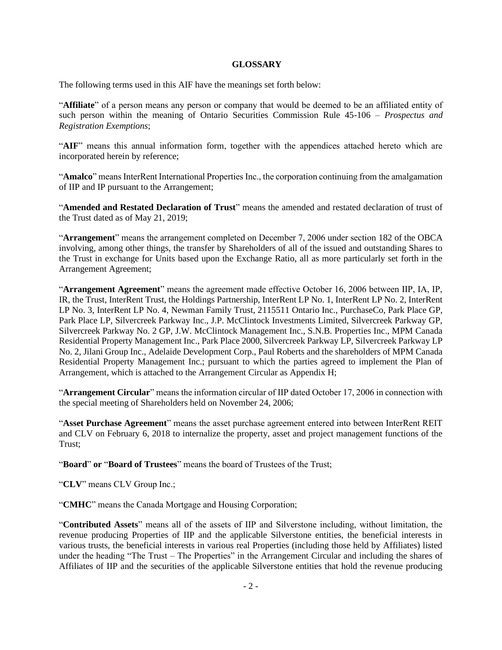#### **GLOSSARY**

<span id="page-3-0"></span>The following terms used in this AIF have the meanings set forth below:

"**Affiliate**" of a person means any person or company that would be deemed to be an affiliated entity of such person within the meaning of Ontario Securities Commission Rule 45-106 – *Prospectus and Registration Exemptions*;

"**AIF**" means this annual information form, together with the appendices attached hereto which are incorporated herein by reference;

"**Amalco**" means InterRent International Properties Inc., the corporation continuing from the amalgamation of IIP and IP pursuant to the Arrangement;

"**Amended and Restated Declaration of Trust**" means the amended and restated declaration of trust of the Trust dated as of May 21, 2019;

"**Arrangement**" means the arrangement completed on December 7, 2006 under section 182 of the OBCA involving, among other things, the transfer by Shareholders of all of the issued and outstanding Shares to the Trust in exchange for Units based upon the Exchange Ratio, all as more particularly set forth in the Arrangement Agreement;

"**Arrangement Agreement**" means the agreement made effective October 16, 2006 between IIP, IA, IP, IR, the Trust, InterRent Trust, the Holdings Partnership, InterRent LP No. 1, InterRent LP No. 2, InterRent LP No. 3, InterRent LP No. 4, Newman Family Trust, 2115511 Ontario Inc., PurchaseCo, Park Place GP, Park Place LP, Silvercreek Parkway Inc., J.P. McClintock Investments Limited, Silvercreek Parkway GP, Silvercreek Parkway No. 2 GP, J.W. McClintock Management Inc., S.N.B. Properties Inc., MPM Canada Residential Property Management Inc., Park Place 2000, Silvercreek Parkway LP, Silvercreek Parkway LP No. 2, Jilani Group Inc., Adelaide Development Corp., Paul Roberts and the shareholders of MPM Canada Residential Property Management Inc.; pursuant to which the parties agreed to implement the Plan of Arrangement, which is attached to the Arrangement Circular as Appendix H;

"**Arrangement Circular**" means the information circular of IIP dated October 17, 2006 in connection with the special meeting of Shareholders held on November 24, 2006;

"**Asset Purchase Agreement**" means the asset purchase agreement entered into between InterRent REIT and CLV on February 6, 2018 to internalize the property, asset and project management functions of the Trust;

"**Board**" **or** "**Board of Trustees**" means the board of Trustees of the Trust;

"**CLV**" means CLV Group Inc.;

"**CMHC**" means the Canada Mortgage and Housing Corporation;

"**Contributed Assets**" means all of the assets of IIP and Silverstone including, without limitation, the revenue producing Properties of IIP and the applicable Silverstone entities, the beneficial interests in various trusts, the beneficial interests in various real Properties (including those held by Affiliates) listed under the heading "The Trust – The Properties" in the Arrangement Circular and including the shares of Affiliates of IIP and the securities of the applicable Silverstone entities that hold the revenue producing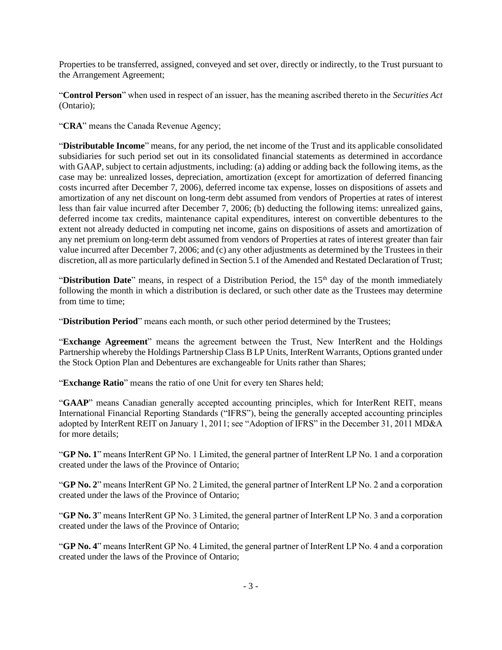Properties to be transferred, assigned, conveyed and set over, directly or indirectly, to the Trust pursuant to the Arrangement Agreement;

"**Control Person**" when used in respect of an issuer, has the meaning ascribed thereto in the *Securities Act*  (Ontario);

"**CRA**" means the Canada Revenue Agency;

"**Distributable Income**" means, for any period, the net income of the Trust and its applicable consolidated subsidiaries for such period set out in its consolidated financial statements as determined in accordance with GAAP, subject to certain adjustments, including: (a) adding or adding back the following items, as the case may be: unrealized losses, depreciation, amortization (except for amortization of deferred financing costs incurred after December 7, 2006), deferred income tax expense, losses on dispositions of assets and amortization of any net discount on long-term debt assumed from vendors of Properties at rates of interest less than fair value incurred after December 7, 2006; (b) deducting the following items: unrealized gains, deferred income tax credits, maintenance capital expenditures, interest on convertible debentures to the extent not already deducted in computing net income, gains on dispositions of assets and amortization of any net premium on long-term debt assumed from vendors of Properties at rates of interest greater than fair value incurred after December 7, 2006; and (c) any other adjustments as determined by the Trustees in their discretion, all as more particularly defined in Section 5.1 of the Amended and Restated Declaration of Trust;

"Distribution Date" means, in respect of a Distribution Period, the 15<sup>th</sup> day of the month immediately following the month in which a distribution is declared, or such other date as the Trustees may determine from time to time:

"**Distribution Period**" means each month, or such other period determined by the Trustees;

"**Exchange Agreement**" means the agreement between the Trust, New InterRent and the Holdings Partnership whereby the Holdings Partnership Class B LP Units, InterRent Warrants, Options granted under the Stock Option Plan and Debentures are exchangeable for Units rather than Shares;

"**Exchange Ratio**" means the ratio of one Unit for every ten Shares held;

"**GAAP**" means Canadian generally accepted accounting principles, which for InterRent REIT, means International Financial Reporting Standards ("IFRS"), being the generally accepted accounting principles adopted by InterRent REIT on January 1, 2011; see "Adoption of IFRS" in the December 31, 2011 MD&A for more details;

"**GP No. 1**" means InterRent GP No. 1 Limited, the general partner of InterRent LP No. 1 and a corporation created under the laws of the Province of Ontario;

"**GP No. 2**" means InterRent GP No. 2 Limited, the general partner of InterRent LP No. 2 and a corporation created under the laws of the Province of Ontario;

"**GP No. 3**" means InterRent GP No. 3 Limited, the general partner of InterRent LP No. 3 and a corporation created under the laws of the Province of Ontario;

"**GP No. 4**" means InterRent GP No. 4 Limited, the general partner of InterRent LP No. 4 and a corporation created under the laws of the Province of Ontario;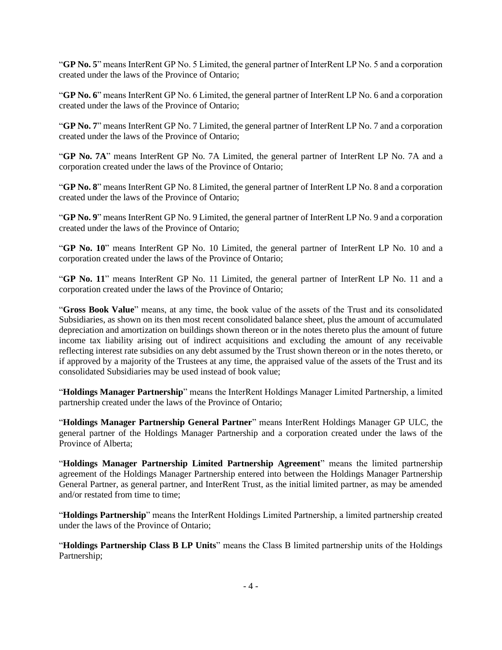"**GP No. 5**" means InterRent GP No. 5 Limited, the general partner of InterRent LP No. 5 and a corporation created under the laws of the Province of Ontario;

"**GP No. 6**" means InterRent GP No. 6 Limited, the general partner of InterRent LP No. 6 and a corporation created under the laws of the Province of Ontario;

"**GP No. 7**" means InterRent GP No. 7 Limited, the general partner of InterRent LP No. 7 and a corporation created under the laws of the Province of Ontario;

"**GP No. 7A**" means InterRent GP No. 7A Limited, the general partner of InterRent LP No. 7A and a corporation created under the laws of the Province of Ontario;

"**GP No. 8**" means InterRent GP No. 8 Limited, the general partner of InterRent LP No. 8 and a corporation created under the laws of the Province of Ontario;

"**GP No. 9**" means InterRent GP No. 9 Limited, the general partner of InterRent LP No. 9 and a corporation created under the laws of the Province of Ontario;

"**GP No. 10**" means InterRent GP No. 10 Limited, the general partner of InterRent LP No. 10 and a corporation created under the laws of the Province of Ontario;

"**GP No. 11**" means InterRent GP No. 11 Limited, the general partner of InterRent LP No. 11 and a corporation created under the laws of the Province of Ontario;

"**Gross Book Value**" means, at any time, the book value of the assets of the Trust and its consolidated Subsidiaries, as shown on its then most recent consolidated balance sheet, plus the amount of accumulated depreciation and amortization on buildings shown thereon or in the notes thereto plus the amount of future income tax liability arising out of indirect acquisitions and excluding the amount of any receivable reflecting interest rate subsidies on any debt assumed by the Trust shown thereon or in the notes thereto, or if approved by a majority of the Trustees at any time, the appraised value of the assets of the Trust and its consolidated Subsidiaries may be used instead of book value;

"**Holdings Manager Partnership**" means the InterRent Holdings Manager Limited Partnership, a limited partnership created under the laws of the Province of Ontario;

"**Holdings Manager Partnership General Partner**" means InterRent Holdings Manager GP ULC, the general partner of the Holdings Manager Partnership and a corporation created under the laws of the Province of Alberta:

"**Holdings Manager Partnership Limited Partnership Agreement**" means the limited partnership agreement of the Holdings Manager Partnership entered into between the Holdings Manager Partnership General Partner, as general partner, and InterRent Trust, as the initial limited partner, as may be amended and/or restated from time to time;

"**Holdings Partnership**" means the InterRent Holdings Limited Partnership, a limited partnership created under the laws of the Province of Ontario;

"**Holdings Partnership Class B LP Units**" means the Class B limited partnership units of the Holdings Partnership;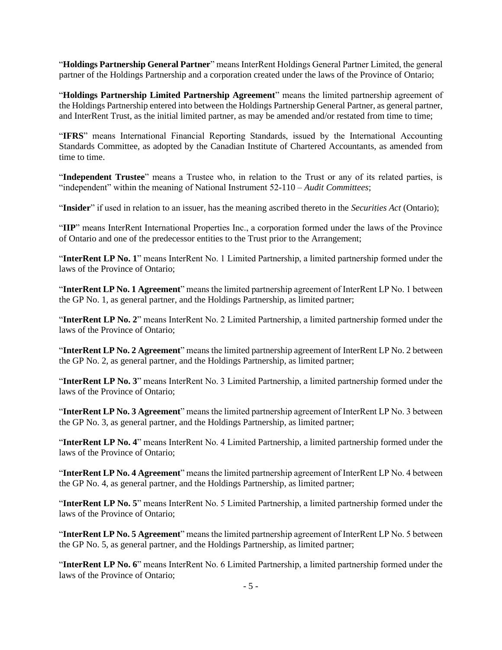"**Holdings Partnership General Partner**" means InterRent Holdings General Partner Limited, the general partner of the Holdings Partnership and a corporation created under the laws of the Province of Ontario;

"**Holdings Partnership Limited Partnership Agreement**" means the limited partnership agreement of the Holdings Partnership entered into between the Holdings Partnership General Partner, as general partner, and InterRent Trust, as the initial limited partner, as may be amended and/or restated from time to time;

"**IFRS**" means International Financial Reporting Standards, issued by the International Accounting Standards Committee, as adopted by the Canadian Institute of Chartered Accountants, as amended from time to time.

"**Independent Trustee**" means a Trustee who, in relation to the Trust or any of its related parties, is "independent" within the meaning of National Instrument 52-110 – *Audit Committees*;

"**Insider**" if used in relation to an issuer, has the meaning ascribed thereto in the *Securities Act* (Ontario);

"**IIP**" means InterRent International Properties Inc., a corporation formed under the laws of the Province of Ontario and one of the predecessor entities to the Trust prior to the Arrangement;

"**InterRent LP No. 1**" means InterRent No. 1 Limited Partnership, a limited partnership formed under the laws of the Province of Ontario;

"**InterRent LP No. 1 Agreement**" means the limited partnership agreement of InterRent LP No. 1 between the GP No. 1, as general partner, and the Holdings Partnership, as limited partner;

"**InterRent LP No. 2**" means InterRent No. 2 Limited Partnership, a limited partnership formed under the laws of the Province of Ontario;

"**InterRent LP No. 2 Agreement**" means the limited partnership agreement of InterRent LP No. 2 between the GP No. 2, as general partner, and the Holdings Partnership, as limited partner;

"**InterRent LP No. 3**" means InterRent No. 3 Limited Partnership, a limited partnership formed under the laws of the Province of Ontario;

"**InterRent LP No. 3 Agreement**" means the limited partnership agreement of InterRent LP No. 3 between the GP No. 3, as general partner, and the Holdings Partnership, as limited partner;

"**InterRent LP No. 4**" means InterRent No. 4 Limited Partnership, a limited partnership formed under the laws of the Province of Ontario;

"**InterRent LP No. 4 Agreement**" means the limited partnership agreement of InterRent LP No. 4 between the GP No. 4, as general partner, and the Holdings Partnership, as limited partner;

"**InterRent LP No. 5**" means InterRent No. 5 Limited Partnership, a limited partnership formed under the laws of the Province of Ontario;

"**InterRent LP No. 5 Agreement**" means the limited partnership agreement of InterRent LP No. 5 between the GP No. 5, as general partner, and the Holdings Partnership, as limited partner;

"**InterRent LP No. 6**" means InterRent No. 6 Limited Partnership, a limited partnership formed under the laws of the Province of Ontario;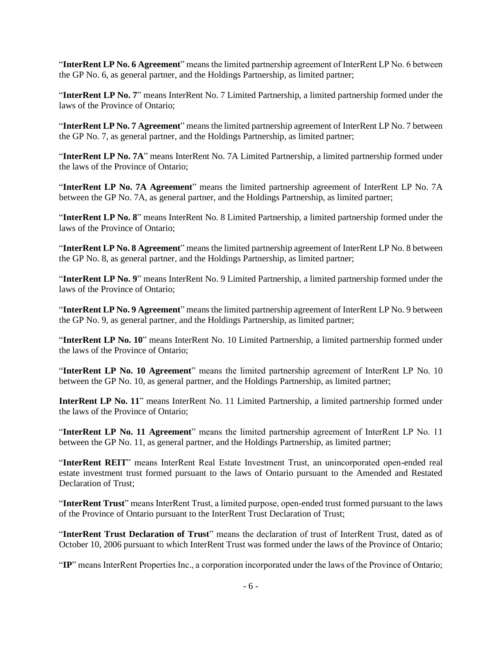"**InterRent LP No. 6 Agreement**" means the limited partnership agreement of InterRent LP No. 6 between the GP No. 6, as general partner, and the Holdings Partnership, as limited partner;

"**InterRent LP No. 7**" means InterRent No. 7 Limited Partnership, a limited partnership formed under the laws of the Province of Ontario;

"**InterRent LP No. 7 Agreement**" means the limited partnership agreement of InterRent LP No. 7 between the GP No. 7, as general partner, and the Holdings Partnership, as limited partner;

"**InterRent LP No. 7A**" means InterRent No. 7A Limited Partnership, a limited partnership formed under the laws of the Province of Ontario;

"**InterRent LP No. 7A Agreement**" means the limited partnership agreement of InterRent LP No. 7A between the GP No. 7A, as general partner, and the Holdings Partnership, as limited partner;

"**InterRent LP No. 8**" means InterRent No. 8 Limited Partnership, a limited partnership formed under the laws of the Province of Ontario;

"**InterRent LP No. 8 Agreement**" means the limited partnership agreement of InterRent LP No. 8 between the GP No. 8, as general partner, and the Holdings Partnership, as limited partner;

"**InterRent LP No. 9**" means InterRent No. 9 Limited Partnership, a limited partnership formed under the laws of the Province of Ontario;

"**InterRent LP No. 9 Agreement**" means the limited partnership agreement of InterRent LP No. 9 between the GP No. 9, as general partner, and the Holdings Partnership, as limited partner;

"**InterRent LP No. 10**" means InterRent No. 10 Limited Partnership, a limited partnership formed under the laws of the Province of Ontario;

"**InterRent LP No. 10 Agreement**" means the limited partnership agreement of InterRent LP No. 10 between the GP No. 10, as general partner, and the Holdings Partnership, as limited partner;

**InterRent LP No. 11**" means InterRent No. 11 Limited Partnership, a limited partnership formed under the laws of the Province of Ontario;

"**InterRent LP No. 11 Agreement**" means the limited partnership agreement of InterRent LP No. 11 between the GP No. 11, as general partner, and the Holdings Partnership, as limited partner;

"**InterRent REIT**" means InterRent Real Estate Investment Trust, an unincorporated open-ended real estate investment trust formed pursuant to the laws of Ontario pursuant to the Amended and Restated Declaration of Trust;

"**InterRent Trust**" means InterRent Trust, a limited purpose, open-ended trust formed pursuant to the laws of the Province of Ontario pursuant to the InterRent Trust Declaration of Trust;

"**InterRent Trust Declaration of Trust**" means the declaration of trust of InterRent Trust, dated as of October 10, 2006 pursuant to which InterRent Trust was formed under the laws of the Province of Ontario;

"**IP**" means InterRent Properties Inc., a corporation incorporated under the laws of the Province of Ontario;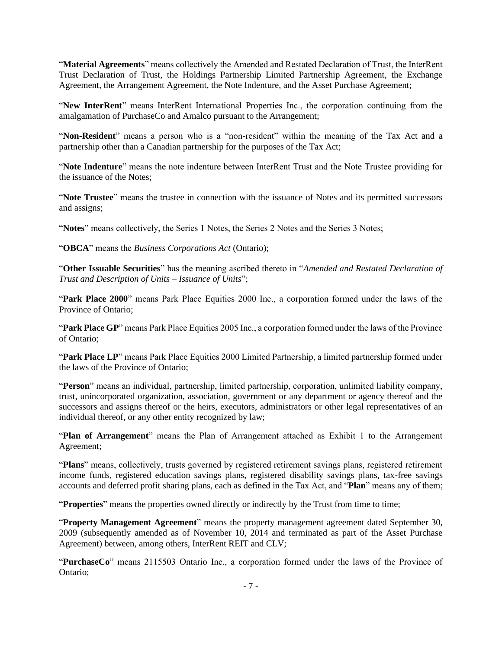"**Material Agreements**" means collectively the Amended and Restated Declaration of Trust, the InterRent Trust Declaration of Trust, the Holdings Partnership Limited Partnership Agreement, the Exchange Agreement, the Arrangement Agreement, the Note Indenture, and the Asset Purchase Agreement;

"**New InterRent**" means InterRent International Properties Inc., the corporation continuing from the amalgamation of PurchaseCo and Amalco pursuant to the Arrangement;

"**Non-Resident**" means a person who is a "non-resident" within the meaning of the Tax Act and a partnership other than a Canadian partnership for the purposes of the Tax Act;

"**Note Indenture**" means the note indenture between InterRent Trust and the Note Trustee providing for the issuance of the Notes;

"**Note Trustee**" means the trustee in connection with the issuance of Notes and its permitted successors and assigns;

"**Notes**" means collectively, the Series 1 Notes, the Series 2 Notes and the Series 3 Notes;

"**OBCA**" means the *Business Corporations Act* (Ontario);

"**Other Issuable Securities**" has the meaning ascribed thereto in "*Amended and Restated Declaration of Trust and Description of Units – Issuance of Units*";

"**Park Place 2000**" means Park Place Equities 2000 Inc., a corporation formed under the laws of the Province of Ontario;

"**Park Place GP**" means Park Place Equities 2005 Inc., a corporation formed under the laws of the Province of Ontario;

"**Park Place LP**" means Park Place Equities 2000 Limited Partnership, a limited partnership formed under the laws of the Province of Ontario;

"**Person**" means an individual, partnership, limited partnership, corporation, unlimited liability company, trust, unincorporated organization, association, government or any department or agency thereof and the successors and assigns thereof or the heirs, executors, administrators or other legal representatives of an individual thereof, or any other entity recognized by law;

"**Plan of Arrangement**" means the Plan of Arrangement attached as Exhibit 1 to the Arrangement Agreement;

"**Plans**" means, collectively, trusts governed by registered retirement savings plans, registered retirement income funds, registered education savings plans, registered disability savings plans, tax-free savings accounts and deferred profit sharing plans, each as defined in the Tax Act, and "**Plan**" means any of them;

"**Properties**" means the properties owned directly or indirectly by the Trust from time to time;

"**Property Management Agreement**" means the property management agreement dated September 30, 2009 (subsequently amended as of November 10, 2014 and terminated as part of the Asset Purchase Agreement) between, among others, InterRent REIT and CLV;

"**PurchaseCo**" means 2115503 Ontario Inc., a corporation formed under the laws of the Province of Ontario;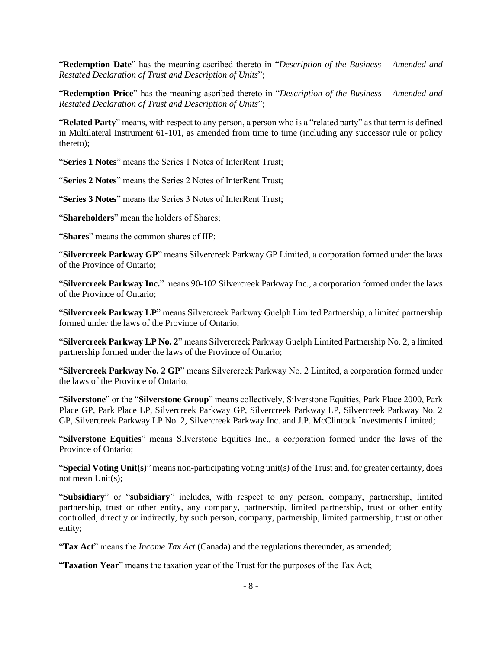"**Redemption Date**" has the meaning ascribed thereto in "*Description of the Business – Amended and Restated Declaration of Trust and Description of Units*";

"**Redemption Price**" has the meaning ascribed thereto in "*Description of the Business – Amended and Restated Declaration of Trust and Description of Units*";

"**Related Party**" means, with respect to any person, a person who is a "related party" as that term is defined in Multilateral Instrument 61-101, as amended from time to time (including any successor rule or policy thereto);

"**Series 1 Notes**" means the Series 1 Notes of InterRent Trust;

"**Series 2 Notes**" means the Series 2 Notes of InterRent Trust;

"**Series 3 Notes**" means the Series 3 Notes of InterRent Trust;

"**Shareholders**" mean the holders of Shares;

"**Shares**" means the common shares of IIP;

"**Silvercreek Parkway GP**" means Silvercreek Parkway GP Limited, a corporation formed under the laws of the Province of Ontario;

"**Silvercreek Parkway Inc.**" means 90-102 Silvercreek Parkway Inc., a corporation formed under the laws of the Province of Ontario;

"**Silvercreek Parkway LP**" means Silvercreek Parkway Guelph Limited Partnership, a limited partnership formed under the laws of the Province of Ontario;

"**Silvercreek Parkway LP No. 2**" means Silvercreek Parkway Guelph Limited Partnership No. 2, a limited partnership formed under the laws of the Province of Ontario;

"**Silvercreek Parkway No. 2 GP**" means Silvercreek Parkway No. 2 Limited, a corporation formed under the laws of the Province of Ontario;

"**Silverstone**" or the "**Silverstone Group**" means collectively, Silverstone Equities, Park Place 2000, Park Place GP, Park Place LP, Silvercreek Parkway GP, Silvercreek Parkway LP, Silvercreek Parkway No. 2 GP, Silvercreek Parkway LP No. 2, Silvercreek Parkway Inc. and J.P. McClintock Investments Limited;

"**Silverstone Equities**" means Silverstone Equities Inc., a corporation formed under the laws of the Province of Ontario;

"**Special Voting Unit(s)**" means non-participating voting unit(s) of the Trust and, for greater certainty, does not mean Unit(s);

"**Subsidiary**" or "**subsidiary**" includes, with respect to any person, company, partnership, limited partnership, trust or other entity, any company, partnership, limited partnership, trust or other entity controlled, directly or indirectly, by such person, company, partnership, limited partnership, trust or other entity;

"**Tax Act**" means the *Income Tax Act* (Canada) and the regulations thereunder, as amended;

"**Taxation Year**" means the taxation year of the Trust for the purposes of the Tax Act;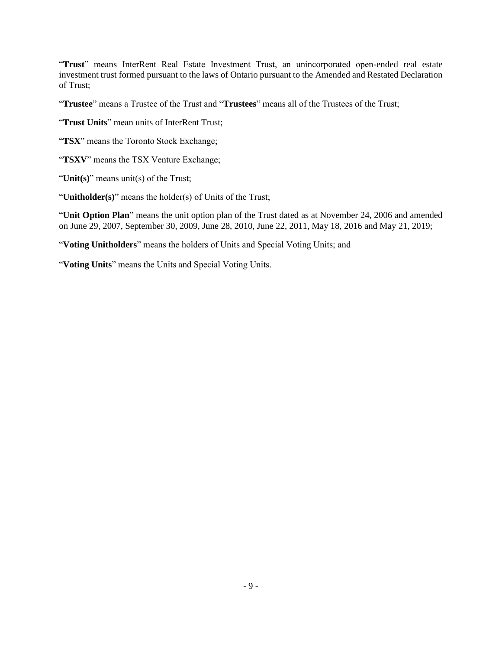"**Trust**" means InterRent Real Estate Investment Trust, an unincorporated open-ended real estate investment trust formed pursuant to the laws of Ontario pursuant to the Amended and Restated Declaration of Trust;

"**Trustee**" means a Trustee of the Trust and "**Trustees**" means all of the Trustees of the Trust;

"**Trust Units**" mean units of InterRent Trust;

"**TSX**" means the Toronto Stock Exchange;

"**TSXV**" means the TSX Venture Exchange;

"**Unit(s)**" means unit(s) of the Trust;

"**Unitholder(s)**" means the holder(s) of Units of the Trust;

"**Unit Option Plan**" means the unit option plan of the Trust dated as at November 24, 2006 and amended on June 29, 2007, September 30, 2009, June 28, 2010, June 22, 2011, May 18, 2016 and May 21, 2019;

"**Voting Unitholders**" means the holders of Units and Special Voting Units; and

"**Voting Units**" means the Units and Special Voting Units.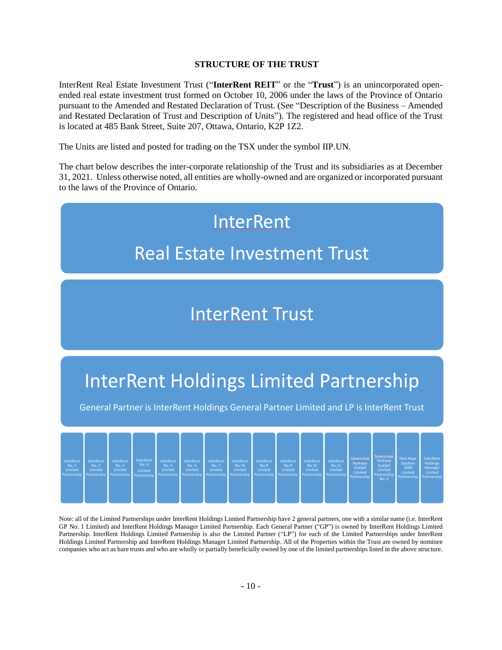#### **STRUCTURE OF THE TRUST**

<span id="page-11-0"></span>InterRent Real Estate Investment Trust ("**InterRent REIT**" or the "**Trust**") is an unincorporated openended real estate investment trust formed on October 10, 2006 under the laws of the Province of Ontario pursuant to the Amended and Restated Declaration of Trust. (See "Description of the Business – Amended and Restated Declaration of Trust and Description of Units"). The registered and head office of the Trust is located at 485 Bank Street, Suite 207, Ottawa, Ontario, K2P 1Z2.

The Units are listed and posted for trading on the TSX under the symbol IIP.UN.

The chart below describes the inter-corporate relationship of the Trust and its subsidiaries as at December 31, 2021. Unless otherwise noted, all entities are wholly-owned and are organized or incorporated pursuant to the laws of the Province of Ontario.



Note: all of the Limited Partnerships under InterRent Holdings Limited Partnership have 2 general partners, one with a similar name (i.e. InterRent GP No. 1 Limited) and InterRent Holdings Manager Limited Partnership. Each General Partner ("GP") is owned by InterRent Holdings Limited Partnership. InterRent Holdings Limited Partnership is also the Limited Partner ("LP") for each of the Limited Partnerships under InterRent Holdings Limited Partnership and InterRent Holdings Manager Limited Partnership. All of the Properties within the Trust are owned by nominee companies who act as bare trusts and who are wholly or partially beneficially owned by one of the limited partnerships listed in the above structure.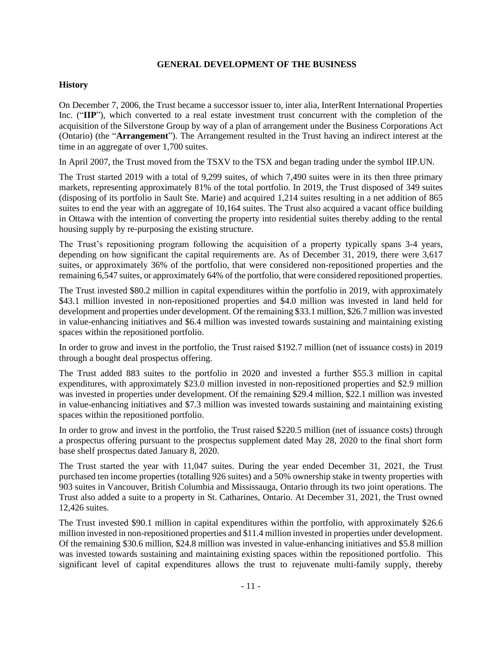#### **GENERAL DEVELOPMENT OF THE BUSINESS**

#### <span id="page-12-1"></span><span id="page-12-0"></span>**History**

<span id="page-12-2"></span>On December 7, 2006, the Trust became a successor issuer to, inter alia, InterRent International Properties Inc. ("**IIP**"), which converted to a real estate investment trust concurrent with the completion of the acquisition of the Silverstone Group by way of a plan of arrangement under the Business Corporations Act (Ontario) (the "**Arrangement**"). The Arrangement resulted in the Trust having an indirect interest at the time in an aggregate of over 1,700 suites.

In April 2007, the Trust moved from the TSXV to the TSX and began trading under the symbol IIP.UN.

The Trust started 2019 with a total of 9,299 suites, of which 7,490 suites were in its then three primary markets, representing approximately 81% of the total portfolio. In 2019, the Trust disposed of 349 suites (disposing of its portfolio in Sault Ste. Marie) and acquired 1,214 suites resulting in a net addition of 865 suites to end the year with an aggregate of 10,164 suites. The Trust also acquired a vacant office building in Ottawa with the intention of converting the property into residential suites thereby adding to the rental housing supply by re-purposing the existing structure.

The Trust's repositioning program following the acquisition of a property typically spans 3-4 years, depending on how significant the capital requirements are. As of December 31, 2019, there were 3,617 suites, or approximately 36% of the portfolio, that were considered non-repositioned properties and the remaining 6,547 suites, or approximately 64% of the portfolio, that were considered repositioned properties.

The Trust invested \$80.2 million in capital expenditures within the portfolio in 2019, with approximately \$43.1 million invested in non-repositioned properties and \$4.0 million was invested in land held for development and properties under development. Of the remaining \$33.1 million, \$26.7 million was invested in value-enhancing initiatives and \$6.4 million was invested towards sustaining and maintaining existing spaces within the repositioned portfolio.

In order to grow and invest in the portfolio, the Trust raised \$192.7 million (net of issuance costs) in 2019 through a bought deal prospectus offering.

The Trust added 883 suites to the portfolio in 2020 and invested a further \$55.3 million in capital expenditures, with approximately \$23.0 million invested in non-repositioned properties and \$2.9 million was invested in properties under development. Of the remaining \$29.4 million, \$22.1 million was invested in value-enhancing initiatives and \$7.3 million was invested towards sustaining and maintaining existing spaces within the repositioned portfolio.

In order to grow and invest in the portfolio, the Trust raised \$220.5 million (net of issuance costs) through a prospectus offering pursuant to the prospectus supplement dated May 28, 2020 to the final short form base shelf prospectus dated January 8, 2020.

The Trust started the year with 11,047 suites. During the year ended December 31, 2021, the Trust purchased ten income properties (totalling 926 suites) and a 50% ownership stake in twenty properties with 903 suites in Vancouver, British Columbia and Mississauga, Ontario through its two joint operations. The Trust also added a suite to a property in St. Catharines, Ontario. At December 31, 2021, the Trust owned 12,426 suites.

The Trust invested \$90.1 million in capital expenditures within the portfolio, with approximately \$26.6 million invested in non-repositioned properties and \$11.4 million invested in properties under development. Of the remaining \$30.6 million, \$24.8 million was invested in value-enhancing initiatives and \$5.8 million was invested towards sustaining and maintaining existing spaces within the repositioned portfolio. This significant level of capital expenditures allows the trust to rejuvenate multi-family supply, thereby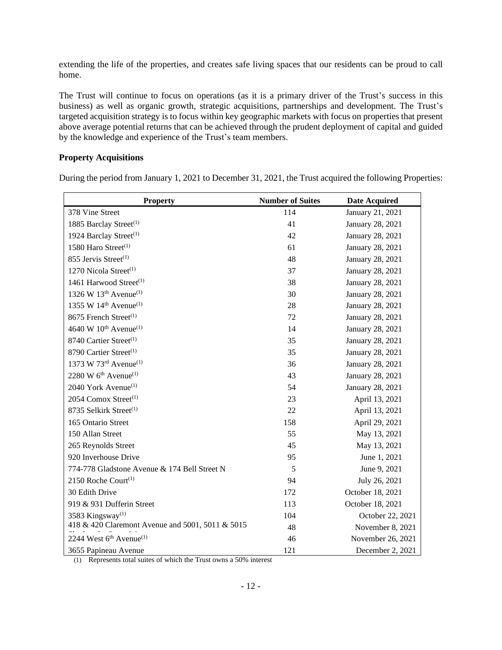extending the life of the properties, and creates safe living spaces that our residents can be proud to call home.

The Trust will continue to focus on operations (as it is a primary driver of the Trust's success in this business) as well as organic growth, strategic acquisitions, partnerships and development. The Trust's targeted acquisition strategy is to focus within key geographic markets with focus on properties that present above average potential returns that can be achieved through the prudent deployment of capital and guided by the knowledge and experience of the Trust's team members.

#### **Property Acquisitions**

During the period from January 1, 2021 to December 31, 2021, the Trust acquired the following Properties:

| <b>Property</b>                                        | <b>Number of Suites</b> | <b>Date Acquired</b> |
|--------------------------------------------------------|-------------------------|----------------------|
| 378 Vine Street                                        | 114                     | January 21, 2021     |
| 1885 Barclay Street <sup>(1)</sup>                     | 41                      | January 28, 2021     |
| 1924 Barclay Street <sup>(1)</sup>                     | 42                      | January 28, 2021     |
| 1580 Haro Street <sup>(1)</sup>                        | 61                      | January 28, 2021     |
| 855 Jervis Street <sup>(1)</sup>                       | 48                      | January 28, 2021     |
| 1270 Nicola Street <sup>(1)</sup>                      | 37                      | January 28, 2021     |
| 1461 Harwood Street <sup>(1)</sup>                     | 38                      | January 28, 2021     |
| 1326 W 13th Avenue <sup>(1)</sup>                      | 30                      | January 28, 2021     |
| 1355 W 14 <sup>th</sup> Avenue <sup>(1)</sup>          | 28                      | January 28, 2021     |
| 8675 French Street <sup>(1)</sup>                      | 72                      | January 28, 2021     |
| 4640 W 10 <sup>th</sup> Avenue <sup>(1)</sup>          | 14                      | January 28, 2021     |
| 8740 Cartier Street <sup>(1)</sup>                     | 35                      | January 28, 2021     |
| 8790 Cartier Street <sup>(1)</sup>                     | 35                      | January 28, 2021     |
| 1373 W 73rd Avenue <sup>(1)</sup>                      | 36                      | January 28, 2021     |
| 2280 W $6^{\text{th}}$ Avenue <sup>(1)</sup>           | 43                      | January 28, 2021     |
| 2040 York Avenue <sup>(1)</sup>                        | 54                      | January 28, 2021     |
| 2054 Comox Street <sup>(1)</sup>                       | 23                      | April 13, 2021       |
| 8735 Selkirk Street <sup>(1)</sup>                     | 22                      | April 13, 2021       |
| 165 Ontario Street                                     | 158                     | April 29, 2021       |
| 150 Allan Street                                       | 55                      | May 13, 2021         |
| 265 Reynolds Street                                    | 45                      | May 13, 2021         |
| 920 Inverhouse Drive                                   | 95                      | June 1, 2021         |
| 774-778 Gladstone Avenue & 174 Bell Street N           | 5                       | June 9, 2021         |
| 2150 Roche Court <sup>(1)</sup>                        | 94                      | July 26, 2021        |
| 30 Edith Drive                                         | 172                     | October 18, 2021     |
| 919 & 931 Dufferin Street                              | 113                     | October 18, 2021     |
| 3583 Kingsway <sup>(1)</sup>                           | 104                     | October 22, 2021     |
| 418 & 420 Claremont Avenue and 5001, 5011 & 5015       | 48                      | November 8, 2021     |
| 2244 West 6 <sup>th</sup> Avenue <sup>(1)</sup>        | 46                      | November 26, 2021    |
| 3655 Papineau Avenue<br>1.1.1.1<br>$\sim$ 0.01 $\cdot$ | 121                     | December 2, 2021     |

(1) Represents total suites of which the Trust owns a 50% interest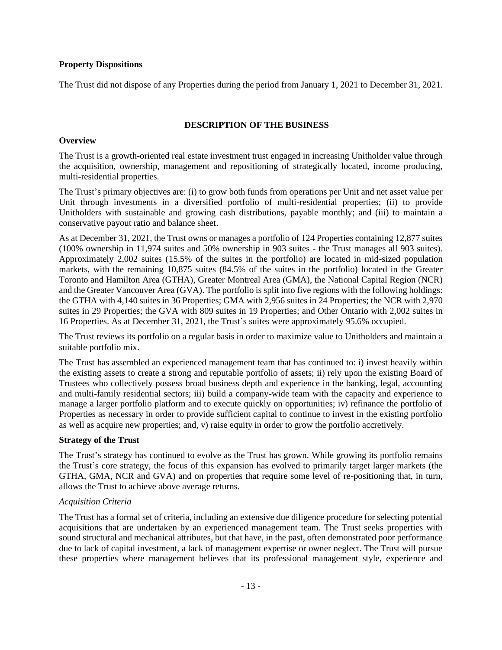# <span id="page-14-0"></span>**Property Dispositions**

The Trust did not dispose of any Properties during the period from January 1, 2021 to December 31, 2021.

## **DESCRIPTION OF THE BUSINESS**

# <span id="page-14-2"></span><span id="page-14-1"></span>**Overview**

The Trust is a growth-oriented real estate investment trust engaged in increasing Unitholder value through the acquisition, ownership, management and repositioning of strategically located, income producing, multi-residential properties.

The Trust's primary objectives are: (i) to grow both funds from operations per Unit and net asset value per Unit through investments in a diversified portfolio of multi-residential properties; (ii) to provide Unitholders with sustainable and growing cash distributions, payable monthly; and (iii) to maintain a conservative payout ratio and balance sheet.

As at December 31, 2021, the Trust owns or manages a portfolio of 124 Properties containing 12,877 suites (100% ownership in 11,974 suites and 50% ownership in 903 suites - the Trust manages all 903 suites). Approximately 2,002 suites (15.5% of the suites in the portfolio) are located in mid-sized population markets, with the remaining 10,875 suites (84.5% of the suites in the portfolio) located in the Greater Toronto and Hamilton Area (GTHA), Greater Montreal Area (GMA), the National Capital Region (NCR) and the Greater Vancouver Area (GVA). The portfolio is split into five regions with the following holdings: the GTHA with 4,140 suites in 36 Properties; GMA with 2,956 suites in 24 Properties; the NCR with 2,970 suites in 29 Properties; the GVA with 809 suites in 19 Properties; and Other Ontario with 2,002 suites in 16 Properties. As at December 31, 2021, the Trust's suites were approximately 95.6% occupied.

The Trust reviews its portfolio on a regular basis in order to maximize value to Unitholders and maintain a suitable portfolio mix.

The Trust has assembled an experienced management team that has continued to: i) invest heavily within the existing assets to create a strong and reputable portfolio of assets; ii) rely upon the existing Board of Trustees who collectively possess broad business depth and experience in the banking, legal, accounting and multi-family residential sectors; iii) build a company-wide team with the capacity and experience to manage a larger portfolio platform and to execute quickly on opportunities; iv) refinance the portfolio of Properties as necessary in order to provide sufficient capital to continue to invest in the existing portfolio as well as acquire new properties; and, v) raise equity in order to grow the portfolio accretively.

## <span id="page-14-3"></span>**Strategy of the Trust**

The Trust's strategy has continued to evolve as the Trust has grown. While growing its portfolio remains the Trust's core strategy, the focus of this expansion has evolved to primarily target larger markets (the GTHA, GMA, NCR and GVA) and on properties that require some level of re-positioning that, in turn, allows the Trust to achieve above average returns.

# *Acquisition Criteria*

The Trust has a formal set of criteria, including an extensive due diligence procedure for selecting potential acquisitions that are undertaken by an experienced management team. The Trust seeks properties with sound structural and mechanical attributes, but that have, in the past, often demonstrated poor performance due to lack of capital investment, a lack of management expertise or owner neglect. The Trust will pursue these properties where management believes that its professional management style, experience and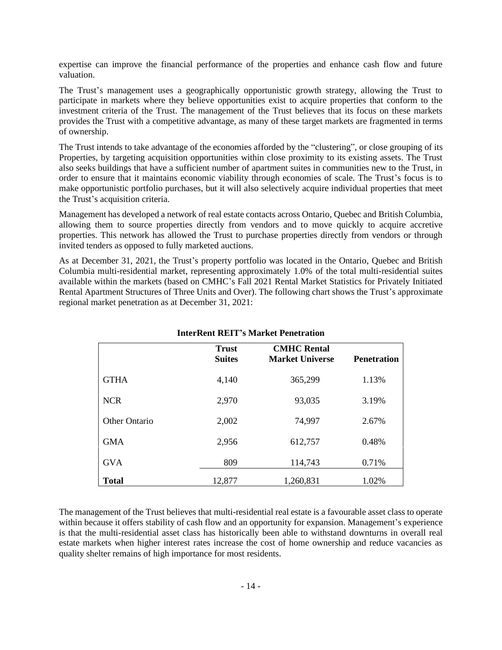expertise can improve the financial performance of the properties and enhance cash flow and future valuation.

The Trust's management uses a geographically opportunistic growth strategy, allowing the Trust to participate in markets where they believe opportunities exist to acquire properties that conform to the investment criteria of the Trust. The management of the Trust believes that its focus on these markets provides the Trust with a competitive advantage, as many of these target markets are fragmented in terms of ownership.

The Trust intends to take advantage of the economies afforded by the "clustering", or close grouping of its Properties, by targeting acquisition opportunities within close proximity to its existing assets. The Trust also seeks buildings that have a sufficient number of apartment suites in communities new to the Trust, in order to ensure that it maintains economic viability through economies of scale. The Trust's focus is to make opportunistic portfolio purchases, but it will also selectively acquire individual properties that meet the Trust's acquisition criteria.

Management has developed a network of real estate contacts across Ontario, Quebec and British Columbia, allowing them to source properties directly from vendors and to move quickly to acquire accretive properties. This network has allowed the Trust to purchase properties directly from vendors or through invited tenders as opposed to fully marketed auctions.

As at December 31, 2021, the Trust's property portfolio was located in the Ontario, Quebec and British Columbia multi-residential market, representing approximately 1.0% of the total multi-residential suites available within the markets (based on CMHC's Fall 2021 Rental Market Statistics for Privately Initiated Rental Apartment Structures of Three Units and Over). The following chart shows the Trust's approximate regional market penetration as at December 31, 2021:

|               | <b>Trust</b><br><b>Suites</b> | <b>CMHC Rental</b><br><b>Market Universe</b> | <b>Penetration</b> |
|---------------|-------------------------------|----------------------------------------------|--------------------|
| <b>GTHA</b>   | 4,140                         | 365,299                                      | 1.13%              |
| <b>NCR</b>    | 2,970                         | 93,035                                       | 3.19%              |
| Other Ontario | 2,002                         | 74,997                                       | 2.67%              |
| <b>GMA</b>    | 2,956                         | 612,757                                      | 0.48%              |
| <b>GVA</b>    | 809                           | 114,743                                      | 0.71%              |
| <b>Total</b>  | 12,877                        | 1,260,831                                    | 1.02%              |

#### **InterRent REIT's Market Penetration**

The management of the Trust believes that multi-residential real estate is a favourable asset class to operate within because it offers stability of cash flow and an opportunity for expansion. Management's experience is that the multi-residential asset class has historically been able to withstand downturns in overall real estate markets when higher interest rates increase the cost of home ownership and reduce vacancies as quality shelter remains of high importance for most residents.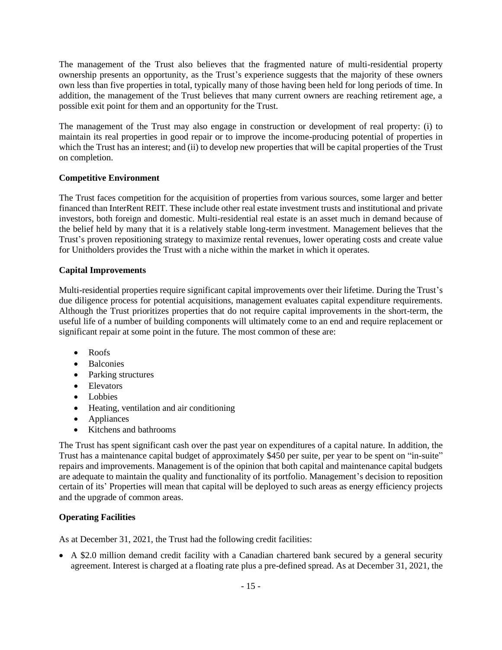The management of the Trust also believes that the fragmented nature of multi-residential property ownership presents an opportunity, as the Trust's experience suggests that the majority of these owners own less than five properties in total, typically many of those having been held for long periods of time. In addition, the management of the Trust believes that many current owners are reaching retirement age, a possible exit point for them and an opportunity for the Trust.

The management of the Trust may also engage in construction or development of real property: (i) to maintain its real properties in good repair or to improve the income-producing potential of properties in which the Trust has an interest; and (ii) to develop new properties that will be capital properties of the Trust on completion.

# <span id="page-16-0"></span>**Competitive Environment**

The Trust faces competition for the acquisition of properties from various sources, some larger and better financed than InterRent REIT. These include other real estate investment trusts and institutional and private investors, both foreign and domestic. Multi-residential real estate is an asset much in demand because of the belief held by many that it is a relatively stable long-term investment. Management believes that the Trust's proven repositioning strategy to maximize rental revenues, lower operating costs and create value for Unitholders provides the Trust with a niche within the market in which it operates.

## <span id="page-16-1"></span>**Capital Improvements**

Multi-residential properties require significant capital improvements over their lifetime. During the Trust's due diligence process for potential acquisitions, management evaluates capital expenditure requirements. Although the Trust prioritizes properties that do not require capital improvements in the short-term, the useful life of a number of building components will ultimately come to an end and require replacement or significant repair at some point in the future. The most common of these are:

- Roofs
- Balconies
- Parking structures
- Elevators
- Lobbies
- Heating, ventilation and air conditioning
- Appliances
- Kitchens and bathrooms

The Trust has spent significant cash over the past year on expenditures of a capital nature. In addition, the Trust has a maintenance capital budget of approximately \$450 per suite, per year to be spent on "in-suite" repairs and improvements. Management is of the opinion that both capital and maintenance capital budgets are adequate to maintain the quality and functionality of its portfolio. Management's decision to reposition certain of its' Properties will mean that capital will be deployed to such areas as energy efficiency projects and the upgrade of common areas.

# <span id="page-16-2"></span>**Operating Facilities**

As at December 31, 2021, the Trust had the following credit facilities:

• A \$2.0 million demand credit facility with a Canadian chartered bank secured by a general security agreement. Interest is charged at a floating rate plus a pre-defined spread. As at December 31, 2021, the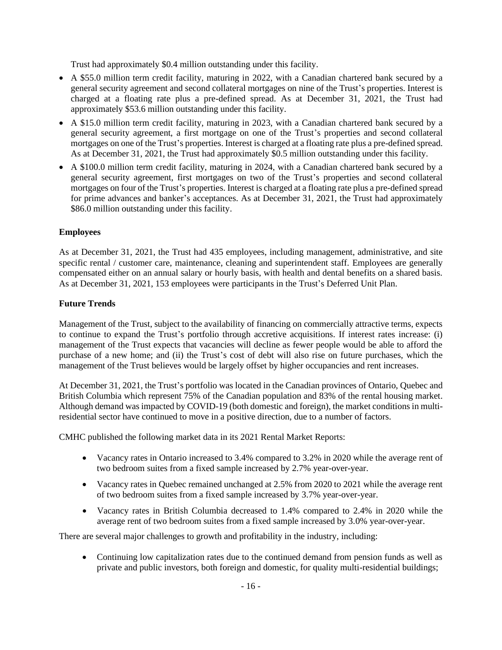Trust had approximately \$0.4 million outstanding under this facility.

- A \$55.0 million term credit facility, maturing in 2022, with a Canadian chartered bank secured by a general security agreement and second collateral mortgages on nine of the Trust's properties. Interest is charged at a floating rate plus a pre-defined spread. As at December 31, 2021, the Trust had approximately \$53.6 million outstanding under this facility.
- A \$15.0 million term credit facility, maturing in 2023, with a Canadian chartered bank secured by a general security agreement, a first mortgage on one of the Trust's properties and second collateral mortgages on one of the Trust's properties. Interest is charged at a floating rate plus a pre-defined spread. As at December 31, 2021, the Trust had approximately \$0.5 million outstanding under this facility.
- A \$100.0 million term credit facility, maturing in 2024, with a Canadian chartered bank secured by a general security agreement, first mortgages on two of the Trust's properties and second collateral mortgages on four of the Trust's properties. Interest is charged at a floating rate plus a pre-defined spread for prime advances and banker's acceptances. As at December 31, 2021, the Trust had approximately \$86.0 million outstanding under this facility.

# <span id="page-17-0"></span>**Employees**

As at December 31, 2021, the Trust had 435 employees, including management, administrative, and site specific rental / customer care, maintenance, cleaning and superintendent staff. Employees are generally compensated either on an annual salary or hourly basis, with health and dental benefits on a shared basis. As at December 31, 2021, 153 employees were participants in the Trust's Deferred Unit Plan.

# <span id="page-17-1"></span>**Future Trends**

Management of the Trust, subject to the availability of financing on commercially attractive terms, expects to continue to expand the Trust's portfolio through accretive acquisitions. If interest rates increase: (i) management of the Trust expects that vacancies will decline as fewer people would be able to afford the purchase of a new home; and (ii) the Trust's cost of debt will also rise on future purchases, which the management of the Trust believes would be largely offset by higher occupancies and rent increases.

At December 31, 2021, the Trust's portfolio was located in the Canadian provinces of Ontario, Quebec and British Columbia which represent 75% of the Canadian population and 83% of the rental housing market. Although demand was impacted by COVID-19 (both domestic and foreign), the market conditions in multiresidential sector have continued to move in a positive direction, due to a number of factors.

CMHC published the following market data in its 2021 Rental Market Reports:

- Vacancy rates in Ontario increased to 3.4% compared to 3.2% in 2020 while the average rent of two bedroom suites from a fixed sample increased by 2.7% year-over-year.
- Vacancy rates in Quebec remained unchanged at 2.5% from 2020 to 2021 while the average rent of two bedroom suites from a fixed sample increased by 3.7% year-over-year.
- Vacancy rates in British Columbia decreased to 1.4% compared to 2.4% in 2020 while the average rent of two bedroom suites from a fixed sample increased by 3.0% year-over-year.

There are several major challenges to growth and profitability in the industry, including:

• Continuing low capitalization rates due to the continued demand from pension funds as well as private and public investors, both foreign and domestic, for quality multi-residential buildings;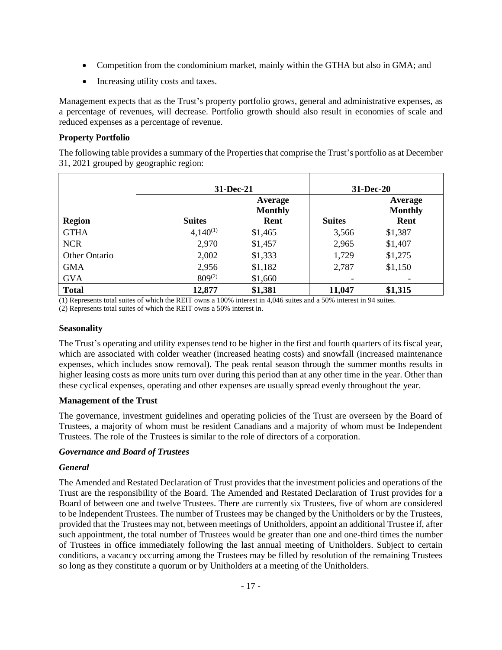- Competition from the condominium market, mainly within the GTHA but also in GMA; and
- <span id="page-18-0"></span>• Increasing utility costs and taxes.

Management expects that as the Trust's property portfolio grows, general and administrative expenses, as a percentage of revenues, will decrease. Portfolio growth should also result in economies of scale and reduced expenses as a percentage of revenue.

# **Property Portfolio**

The following table provides a summary of the Properties that comprise the Trust's portfolio as at December 31, 2021 grouped by geographic region:

|                      | 31-Dec-21     |                                   |               | 31-Dec-20                         |
|----------------------|---------------|-----------------------------------|---------------|-----------------------------------|
| <b>Region</b>        | <b>Suites</b> | Average<br><b>Monthly</b><br>Rent | <b>Suites</b> | Average<br><b>Monthly</b><br>Rent |
| <b>GTHA</b>          | $4,140^{(1)}$ | \$1,465                           | 3,566         | \$1,387                           |
| <b>NCR</b>           | 2,970         | \$1,457                           | 2,965         | \$1,407                           |
| <b>Other Ontario</b> | 2,002         | \$1,333                           | 1,729         | \$1,275                           |
| <b>GMA</b>           | 2,956         | \$1,182                           | 2,787         | \$1,150                           |
| <b>GVA</b>           | $809^{(2)}$   | \$1,660                           |               |                                   |
| <b>Total</b>         | 12,877        | \$1,381                           | 11,047        | \$1,315                           |

(1) Represents total suites of which the REIT owns a 100% interest in 4,046 suites and a 50% interest in 94 suites.

(2) Represents total suites of which the REIT owns a 50% interest in.

# <span id="page-18-1"></span>**Seasonality**

The Trust's operating and utility expenses tend to be higher in the first and fourth quarters of its fiscal year, which are associated with colder weather (increased heating costs) and snowfall (increased maintenance expenses, which includes snow removal). The peak rental season through the summer months results in higher leasing costs as more units turn over during this period than at any other time in the year. Other than these cyclical expenses, operating and other expenses are usually spread evenly throughout the year.

# <span id="page-18-2"></span>**Management of the Trust**

The governance, investment guidelines and operating policies of the Trust are overseen by the Board of Trustees, a majority of whom must be resident Canadians and a majority of whom must be Independent Trustees. The role of the Trustees is similar to the role of directors of a corporation.

# *Governance and Board of Trustees*

# *General*

The Amended and Restated Declaration of Trust provides that the investment policies and operations of the Trust are the responsibility of the Board. The Amended and Restated Declaration of Trust provides for a Board of between one and twelve Trustees. There are currently six Trustees, five of whom are considered to be Independent Trustees. The number of Trustees may be changed by the Unitholders or by the Trustees, provided that the Trustees may not, between meetings of Unitholders, appoint an additional Trustee if, after such appointment, the total number of Trustees would be greater than one and one-third times the number of Trustees in office immediately following the last annual meeting of Unitholders. Subject to certain conditions, a vacancy occurring among the Trustees may be filled by resolution of the remaining Trustees so long as they constitute a quorum or by Unitholders at a meeting of the Unitholders.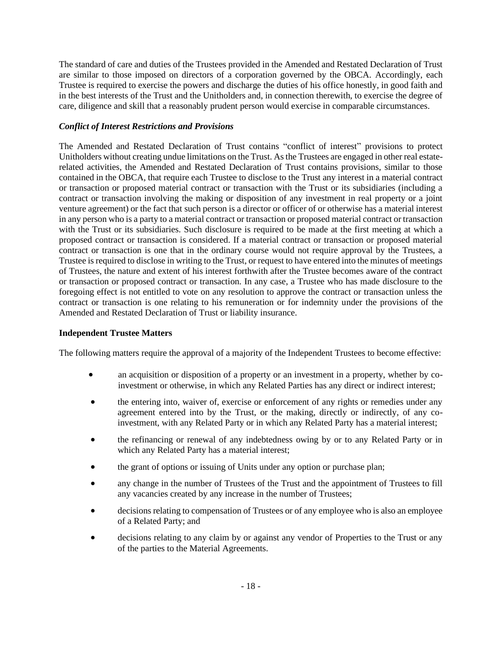The standard of care and duties of the Trustees provided in the Amended and Restated Declaration of Trust are similar to those imposed on directors of a corporation governed by the OBCA. Accordingly, each Trustee is required to exercise the powers and discharge the duties of his office honestly, in good faith and in the best interests of the Trust and the Unitholders and, in connection therewith, to exercise the degree of care, diligence and skill that a reasonably prudent person would exercise in comparable circumstances.

# *Conflict of Interest Restrictions and Provisions*

The Amended and Restated Declaration of Trust contains "conflict of interest" provisions to protect Unitholders without creating undue limitations on the Trust. As the Trustees are engaged in other real estaterelated activities, the Amended and Restated Declaration of Trust contains provisions, similar to those contained in the OBCA, that require each Trustee to disclose to the Trust any interest in a material contract or transaction or proposed material contract or transaction with the Trust or its subsidiaries (including a contract or transaction involving the making or disposition of any investment in real property or a joint venture agreement) or the fact that such person is a director or officer of or otherwise has a material interest in any person who is a party to a material contract or transaction or proposed material contract or transaction with the Trust or its subsidiaries. Such disclosure is required to be made at the first meeting at which a proposed contract or transaction is considered. If a material contract or transaction or proposed material contract or transaction is one that in the ordinary course would not require approval by the Trustees, a Trustee is required to disclose in writing to the Trust, or request to have entered into the minutes of meetings of Trustees, the nature and extent of his interest forthwith after the Trustee becomes aware of the contract or transaction or proposed contract or transaction. In any case, a Trustee who has made disclosure to the foregoing effect is not entitled to vote on any resolution to approve the contract or transaction unless the contract or transaction is one relating to his remuneration or for indemnity under the provisions of the Amended and Restated Declaration of Trust or liability insurance.

## **Independent Trustee Matters**

The following matters require the approval of a majority of the Independent Trustees to become effective:

- an acquisition or disposition of a property or an investment in a property, whether by coinvestment or otherwise, in which any Related Parties has any direct or indirect interest;
- the entering into, waiver of, exercise or enforcement of any rights or remedies under any agreement entered into by the Trust, or the making, directly or indirectly, of any coinvestment, with any Related Party or in which any Related Party has a material interest;
- the refinancing or renewal of any indebtedness owing by or to any Related Party or in which any Related Party has a material interest;
- the grant of options or issuing of Units under any option or purchase plan;
- any change in the number of Trustees of the Trust and the appointment of Trustees to fill any vacancies created by any increase in the number of Trustees;
- decisions relating to compensation of Trustees or of any employee who is also an employee of a Related Party; and
- decisions relating to any claim by or against any vendor of Properties to the Trust or any of the parties to the Material Agreements.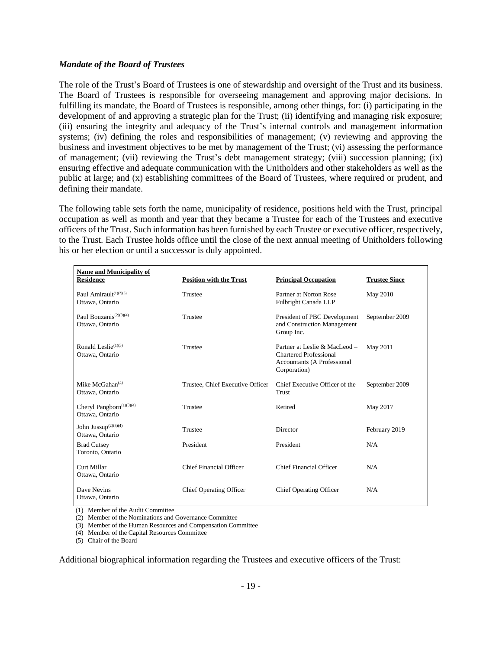#### *Mandate of the Board of Trustees*

The role of the Trust's Board of Trustees is one of stewardship and oversight of the Trust and its business. The Board of Trustees is responsible for overseeing management and approving major decisions. In fulfilling its mandate, the Board of Trustees is responsible, among other things, for: (i) participating in the development of and approving a strategic plan for the Trust; (ii) identifying and managing risk exposure; (iii) ensuring the integrity and adequacy of the Trust's internal controls and management information systems; (iv) defining the roles and responsibilities of management; (v) reviewing and approving the business and investment objectives to be met by management of the Trust; (vi) assessing the performance of management; (vii) reviewing the Trust's debt management strategy; (viii) succession planning; (ix) ensuring effective and adequate communication with the Unitholders and other stakeholders as well as the public at large; and (x) establishing committees of the Board of Trustees, where required or prudent, and defining their mandate.

The following table sets forth the name, municipality of residence, positions held with the Trust, principal occupation as well as month and year that they became a Trustee for each of the Trustees and executive officers of the Trust. Such information has been furnished by each Trustee or executive officer, respectively, to the Trust. Each Trustee holds office until the close of the next annual meeting of Unitholders following his or her election or until a successor is duly appointed.

| <b>Name and Municipality of</b><br><b>Residence</b>                | <b>Position with the Trust</b>   | <b>Principal Occupation</b>                                                                                   | <b>Trustee Since</b> |
|--------------------------------------------------------------------|----------------------------------|---------------------------------------------------------------------------------------------------------------|----------------------|
| Paul Amirault <sup>(1)(2)(5)</sup><br>Ottawa, Ontario              | Trustee                          | Partner at Norton Rose<br>Fulbright Canada LLP                                                                | May 2010             |
| Paul Bouzanis <sup><math>(2)(3)(4)</math></sup><br>Ottawa, Ontario | Trustee                          | President of PBC Development<br>and Construction Management<br>Group Inc.                                     | September 2009       |
| Ronald Leslie $(1)(3)$<br>Ottawa, Ontario                          | Trustee                          | Partner at Leslie & MacLeod -<br><b>Chartered Professional</b><br>Accountants (A Professional<br>Corporation) | May 2011             |
| Mike McGahan $(4)$<br>Ottawa, Ontario                              | Trustee, Chief Executive Officer | Chief Executive Officer of the<br>Trust                                                                       | September 2009       |
| Cheryl Pangborn <sup>(1)(3)(4)</sup><br>Ottawa, Ontario            | Trustee                          | Retired                                                                                                       | May 2017             |
| John Jussup <sup>(2)(3)(4)</sup><br>Ottawa, Ontario                | Trustee                          | Director                                                                                                      | February 2019        |
| <b>Brad Cutsey</b><br>Toronto, Ontario                             | President                        | President                                                                                                     | N/A                  |
| Curt Millar<br>Ottawa, Ontario                                     | Chief Financial Officer          | Chief Financial Officer                                                                                       | N/A                  |
| Dave Nevins<br>Ottawa, Ontario                                     | <b>Chief Operating Officer</b>   | <b>Chief Operating Officer</b>                                                                                | N/A                  |

(1) Member of the Audit Committee

(2) Member of the Nominations and Governance Committee

(3) Member of the Human Resources and Compensation Committee

(4) Member of the Capital Resources Committee

(5) Chair of the Board

Additional biographical information regarding the Trustees and executive officers of the Trust: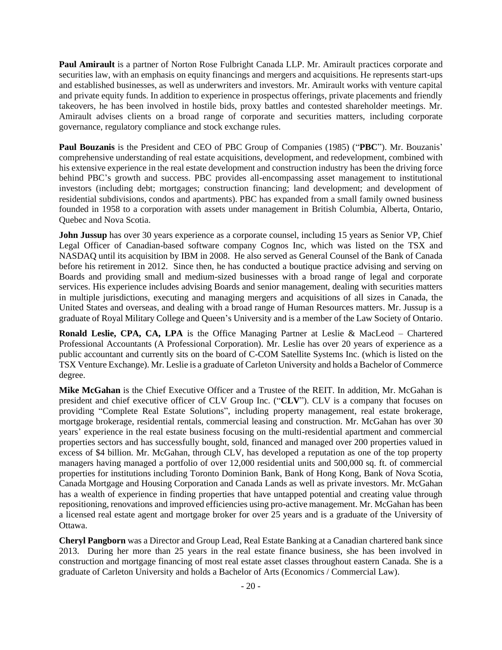**Paul Amirault** is a partner of Norton Rose Fulbright Canada LLP. Mr. Amirault practices corporate and securities law, with an emphasis on equity financings and mergers and acquisitions. He represents start-ups and established businesses, as well as underwriters and investors. Mr. Amirault works with venture capital and private equity funds. In addition to experience in prospectus offerings, private placements and friendly takeovers, he has been involved in hostile bids, proxy battles and contested shareholder meetings. Mr. Amirault advises clients on a broad range of corporate and securities matters, including corporate governance, regulatory compliance and stock exchange rules.

**Paul Bouzanis** is the President and CEO of PBC Group of Companies (1985) ("**PBC**"). Mr. Bouzanis' comprehensive understanding of real estate acquisitions, development, and redevelopment, combined with his extensive experience in the real estate development and construction industry has been the driving force behind PBC's growth and success. PBC provides all-encompassing asset management to institutional investors (including debt; mortgages; construction financing; land development; and development of residential subdivisions, condos and apartments). PBC has expanded from a small family owned business founded in 1958 to a corporation with assets under management in British Columbia, Alberta, Ontario, Quebec and Nova Scotia.

**John Jussup** has over 30 years experience as a corporate counsel, including 15 years as Senior VP, Chief Legal Officer of Canadian-based software company Cognos Inc, which was listed on the TSX and NASDAQ until its acquisition by IBM in 2008. He also served as General Counsel of the Bank of Canada before his retirement in 2012. Since then, he has conducted a boutique practice advising and serving on Boards and providing small and medium-sized businesses with a broad range of legal and corporate services. His experience includes advising Boards and senior management, dealing with securities matters in multiple jurisdictions, executing and managing mergers and acquisitions of all sizes in Canada, the United States and overseas, and dealing with a broad range of Human Resources matters. Mr. Jussup is a graduate of Royal Military College and Queen's University and is a member of the Law Society of Ontario.

**Ronald Leslie, CPA, CA, LPA** is the Office Managing Partner at Leslie & MacLeod – Chartered Professional Accountants (A Professional Corporation). Mr. Leslie has over 20 years of experience as a public accountant and currently sits on the board of C-COM Satellite Systems Inc. (which is listed on the TSX Venture Exchange). Mr. Leslie is a graduate of Carleton University and holds a Bachelor of Commerce degree.

**Mike McGahan** is the Chief Executive Officer and a Trustee of the REIT. In addition, Mr. McGahan is president and chief executive officer of CLV Group Inc. ("**CLV**"). CLV is a company that focuses on providing "Complete Real Estate Solutions", including property management, real estate brokerage, mortgage brokerage, residential rentals, commercial leasing and construction. Mr. McGahan has over 30 years' experience in the real estate business focusing on the multi-residential apartment and commercial properties sectors and has successfully bought, sold, financed and managed over 200 properties valued in excess of \$4 billion. Mr. McGahan, through CLV, has developed a reputation as one of the top property managers having managed a portfolio of over 12,000 residential units and 500,000 sq. ft. of commercial properties for institutions including Toronto Dominion Bank, Bank of Hong Kong, Bank of Nova Scotia, Canada Mortgage and Housing Corporation and Canada Lands as well as private investors. Mr. McGahan has a wealth of experience in finding properties that have untapped potential and creating value through repositioning, renovations and improved efficiencies using pro-active management. Mr. McGahan has been a licensed real estate agent and mortgage broker for over 25 years and is a graduate of the University of Ottawa.

**Cheryl Pangborn** was a Director and Group Lead, Real Estate Banking at a Canadian chartered bank since 2013. During her more than 25 years in the real estate finance business, she has been involved in construction and mortgage financing of most real estate asset classes throughout eastern Canada. She is a graduate of Carleton University and holds a Bachelor of Arts (Economics / Commercial Law).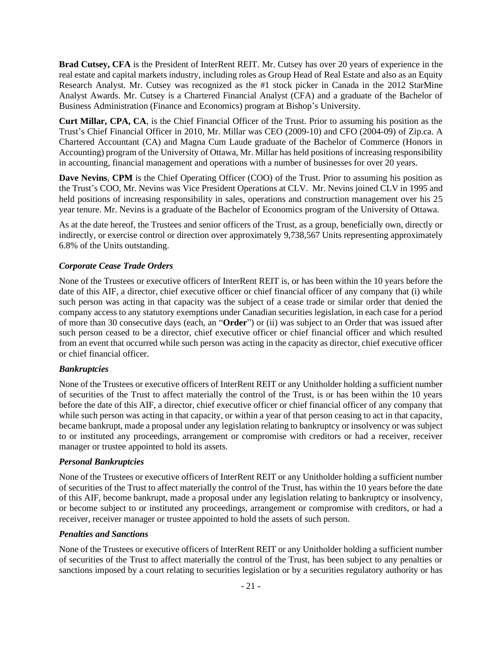**Brad Cutsey, CFA** is the President of InterRent REIT. Mr. Cutsey has over 20 years of experience in the real estate and capital markets industry, including roles as Group Head of Real Estate and also as an Equity Research Analyst. Mr. Cutsey was recognized as the #1 stock picker in Canada in the 2012 StarMine Analyst Awards. Mr. Cutsey is a Chartered Financial Analyst (CFA) and a graduate of the Bachelor of Business Administration (Finance and Economics) program at Bishop's University.

**Curt Millar, CPA, CA**, is the Chief Financial Officer of the Trust. Prior to assuming his position as the Trust's Chief Financial Officer in 2010, Mr. Millar was CEO (2009-10) and CFO (2004-09) of Zip.ca. A Chartered Accountant (CA) and Magna Cum Laude graduate of the Bachelor of Commerce (Honors in Accounting) program of the University of Ottawa, Mr. Millar has held positions of increasing responsibility in accounting, financial management and operations with a number of businesses for over 20 years.

**Dave Nevins**, **CPM** is the Chief Operating Officer (COO) of the Trust. Prior to assuming his position as the Trust's COO, Mr. Nevins was Vice President Operations at CLV. Mr. Nevins joined CLV in 1995 and held positions of increasing responsibility in sales, operations and construction management over his 25 year tenure. Mr. Nevins is a graduate of the Bachelor of Economics program of the University of Ottawa.

As at the date hereof, the Trustees and senior officers of the Trust, as a group, beneficially own, directly or indirectly, or exercise control or direction over approximately 9,738,567 Units representing approximately 6.8% of the Units outstanding.

# *Corporate Cease Trade Orders*

None of the Trustees or executive officers of InterRent REIT is, or has been within the 10 years before the date of this AIF, a director, chief executive officer or chief financial officer of any company that (i) while such person was acting in that capacity was the subject of a cease trade or similar order that denied the company access to any statutory exemptions under Canadian securities legislation, in each case for a period of more than 30 consecutive days (each, an "**Order**") or (ii) was subject to an Order that was issued after such person ceased to be a director, chief executive officer or chief financial officer and which resulted from an event that occurred while such person was acting in the capacity as director, chief executive officer or chief financial officer.

## *Bankruptcies*

None of the Trustees or executive officers of InterRent REIT or any Unitholder holding a sufficient number of securities of the Trust to affect materially the control of the Trust, is or has been within the 10 years before the date of this AIF, a director, chief executive officer or chief financial officer of any company that while such person was acting in that capacity, or within a year of that person ceasing to act in that capacity, became bankrupt, made a proposal under any legislation relating to bankruptcy or insolvency or was subject to or instituted any proceedings, arrangement or compromise with creditors or had a receiver, receiver manager or trustee appointed to hold its assets.

## *Personal Bankruptcies*

None of the Trustees or executive officers of InterRent REIT or any Unitholder holding a sufficient number of securities of the Trust to affect materially the control of the Trust, has within the 10 years before the date of this AIF, become bankrupt, made a proposal under any legislation relating to bankruptcy or insolvency, or become subject to or instituted any proceedings, arrangement or compromise with creditors, or had a receiver, receiver manager or trustee appointed to hold the assets of such person.

## *Penalties and Sanctions*

None of the Trustees or executive officers of InterRent REIT or any Unitholder holding a sufficient number of securities of the Trust to affect materially the control of the Trust, has been subject to any penalties or sanctions imposed by a court relating to securities legislation or by a securities regulatory authority or has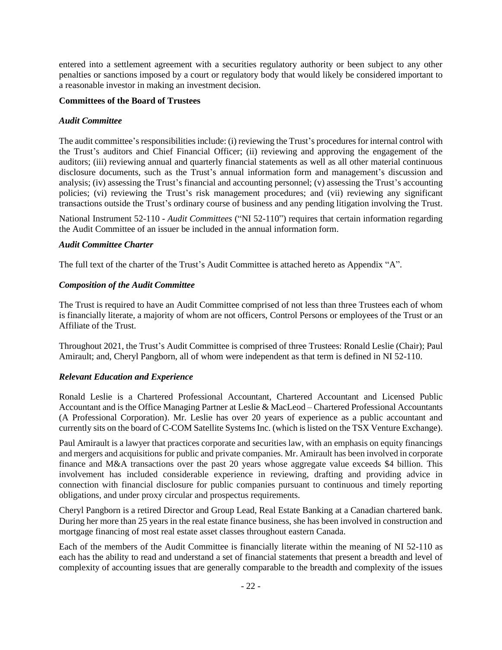entered into a settlement agreement with a securities regulatory authority or been subject to any other penalties or sanctions imposed by a court or regulatory body that would likely be considered important to a reasonable investor in making an investment decision.

#### <span id="page-23-0"></span>**Committees of the Board of Trustees**

#### *Audit Committee*

The audit committee's responsibilities include: (i) reviewing the Trust's procedures for internal control with the Trust's auditors and Chief Financial Officer; (ii) reviewing and approving the engagement of the auditors; (iii) reviewing annual and quarterly financial statements as well as all other material continuous disclosure documents, such as the Trust's annual information form and management's discussion and analysis; (iv) assessing the Trust's financial and accounting personnel; (v) assessing the Trust's accounting policies; (vi) reviewing the Trust's risk management procedures; and (vii) reviewing any significant transactions outside the Trust's ordinary course of business and any pending litigation involving the Trust.

National Instrument 52-110 - *Audit Committees* ("NI 52-110") requires that certain information regarding the Audit Committee of an issuer be included in the annual information form.

#### *Audit Committee Charter*

The full text of the charter of the Trust's Audit Committee is attached hereto as Appendix "A".

## *Composition of the Audit Committee*

The Trust is required to have an Audit Committee comprised of not less than three Trustees each of whom is financially literate, a majority of whom are not officers, Control Persons or employees of the Trust or an Affiliate of the Trust.

Throughout 2021, the Trust's Audit Committee is comprised of three Trustees: Ronald Leslie (Chair); Paul Amirault; and, Cheryl Pangborn, all of whom were independent as that term is defined in NI 52-110.

## *Relevant Education and Experience*

Ronald Leslie is a Chartered Professional Accountant, Chartered Accountant and Licensed Public Accountant and is the Office Managing Partner at Leslie & MacLeod – Chartered Professional Accountants (A Professional Corporation). Mr. Leslie has over 20 years of experience as a public accountant and currently sits on the board of C-COM Satellite Systems Inc. (which is listed on the TSX Venture Exchange).

Paul Amirault is a lawyer that practices corporate and securities law, with an emphasis on equity financings and mergers and acquisitions for public and private companies. Mr. Amirault has been involved in corporate finance and M&A transactions over the past 20 years whose aggregate value exceeds \$4 billion. This involvement has included considerable experience in reviewing, drafting and providing advice in connection with financial disclosure for public companies pursuant to continuous and timely reporting obligations, and under proxy circular and prospectus requirements.

Cheryl Pangborn is a retired Director and Group Lead, Real Estate Banking at a Canadian chartered bank. During her more than 25 years in the real estate finance business, she has been involved in construction and mortgage financing of most real estate asset classes throughout eastern Canada.

Each of the members of the Audit Committee is financially literate within the meaning of NI 52-110 as each has the ability to read and understand a set of financial statements that present a breadth and level of complexity of accounting issues that are generally comparable to the breadth and complexity of the issues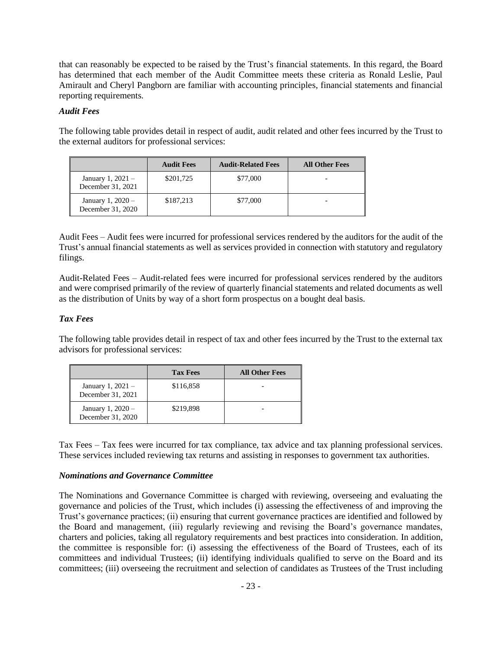that can reasonably be expected to be raised by the Trust's financial statements. In this regard, the Board has determined that each member of the Audit Committee meets these criteria as Ronald Leslie, Paul Amirault and Cheryl Pangborn are familiar with accounting principles, financial statements and financial reporting requirements.

#### *Audit Fees*

The following table provides detail in respect of audit, audit related and other fees incurred by the Trust to the external auditors for professional services:

|                                          | <b>Audit Fees</b> | <b>Audit-Related Fees</b> | <b>All Other Fees</b> |
|------------------------------------------|-------------------|---------------------------|-----------------------|
| January 1, $2021 -$<br>December 31, 2021 | \$201,725         | \$77,000                  |                       |
| January 1, $2020 -$<br>December 31, 2020 | \$187,213         | \$77,000                  |                       |

Audit Fees – Audit fees were incurred for professional services rendered by the auditors for the audit of the Trust's annual financial statements as well as services provided in connection with statutory and regulatory filings.

Audit-Related Fees – Audit-related fees were incurred for professional services rendered by the auditors and were comprised primarily of the review of quarterly financial statements and related documents as well as the distribution of Units by way of a short form prospectus on a bought deal basis.

## *Tax Fees*

The following table provides detail in respect of tax and other fees incurred by the Trust to the external tax advisors for professional services:

|                                          | <b>Tax Fees</b> | <b>All Other Fees</b> |
|------------------------------------------|-----------------|-----------------------|
| January 1, $2021 -$<br>December 31, 2021 | \$116,858       |                       |
| January 1, 2020 -<br>December 31, 2020   | \$219,898       |                       |

Tax Fees – Tax fees were incurred for tax compliance, tax advice and tax planning professional services. These services included reviewing tax returns and assisting in responses to government tax authorities.

#### *Nominations and Governance Committee*

The Nominations and Governance Committee is charged with reviewing, overseeing and evaluating the governance and policies of the Trust, which includes (i) assessing the effectiveness of and improving the Trust's governance practices; (ii) ensuring that current governance practices are identified and followed by the Board and management, (iii) regularly reviewing and revising the Board's governance mandates, charters and policies, taking all regulatory requirements and best practices into consideration. In addition, the committee is responsible for: (i) assessing the effectiveness of the Board of Trustees, each of its committees and individual Trustees; (ii) identifying individuals qualified to serve on the Board and its committees; (iii) overseeing the recruitment and selection of candidates as Trustees of the Trust including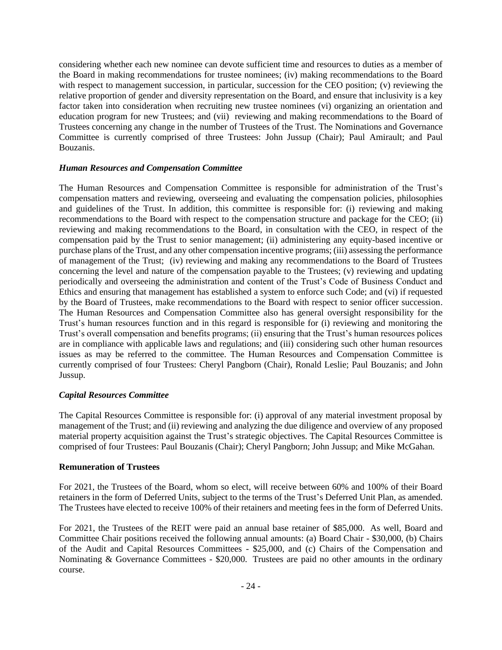considering whether each new nominee can devote sufficient time and resources to duties as a member of the Board in making recommendations for trustee nominees; (iv) making recommendations to the Board with respect to management succession, in particular, succession for the CEO position; (v) reviewing the relative proportion of gender and diversity representation on the Board, and ensure that inclusivity is a key factor taken into consideration when recruiting new trustee nominees (vi) organizing an orientation and education program for new Trustees; and (vii) reviewing and making recommendations to the Board of Trustees concerning any change in the number of Trustees of the Trust. The Nominations and Governance Committee is currently comprised of three Trustees: John Jussup (Chair); Paul Amirault; and Paul Bouzanis.

## *Human Resources and Compensation Committee*

The Human Resources and Compensation Committee is responsible for administration of the Trust's compensation matters and reviewing, overseeing and evaluating the compensation policies, philosophies and guidelines of the Trust. In addition, this committee is responsible for: (i) reviewing and making recommendations to the Board with respect to the compensation structure and package for the CEO; (ii) reviewing and making recommendations to the Board, in consultation with the CEO, in respect of the compensation paid by the Trust to senior management; (ii) administering any equity-based incentive or purchase plans of the Trust, and any other compensation incentive programs; (iii) assessing the performance of management of the Trust; (iv) reviewing and making any recommendations to the Board of Trustees concerning the level and nature of the compensation payable to the Trustees; (v) reviewing and updating periodically and overseeing the administration and content of the Trust's Code of Business Conduct and Ethics and ensuring that management has established a system to enforce such Code; and (vi) if requested by the Board of Trustees, make recommendations to the Board with respect to senior officer succession. The Human Resources and Compensation Committee also has general oversight responsibility for the Trust's human resources function and in this regard is responsible for (i) reviewing and monitoring the Trust's overall compensation and benefits programs; (ii) ensuring that the Trust's human resources polices are in compliance with applicable laws and regulations; and (iii) considering such other human resources issues as may be referred to the committee. The Human Resources and Compensation Committee is currently comprised of four Trustees: Cheryl Pangborn (Chair), Ronald Leslie; Paul Bouzanis; and John Jussup.

## *Capital Resources Committee*

The Capital Resources Committee is responsible for: (i) approval of any material investment proposal by management of the Trust; and (ii) reviewing and analyzing the due diligence and overview of any proposed material property acquisition against the Trust's strategic objectives. The Capital Resources Committee is comprised of four Trustees: Paul Bouzanis (Chair); Cheryl Pangborn; John Jussup; and Mike McGahan.

#### **Remuneration of Trustees**

For 2021, the Trustees of the Board, whom so elect, will receive between 60% and 100% of their Board retainers in the form of Deferred Units, subject to the terms of the Trust's Deferred Unit Plan, as amended. The Trustees have elected to receive 100% of their retainers and meeting fees in the form of Deferred Units.

For 2021, the Trustees of the REIT were paid an annual base retainer of \$85,000. As well, Board and Committee Chair positions received the following annual amounts: (a) Board Chair - \$30,000, (b) Chairs of the Audit and Capital Resources Committees - \$25,000, and (c) Chairs of the Compensation and Nominating & Governance Committees - \$20,000. Trustees are paid no other amounts in the ordinary course.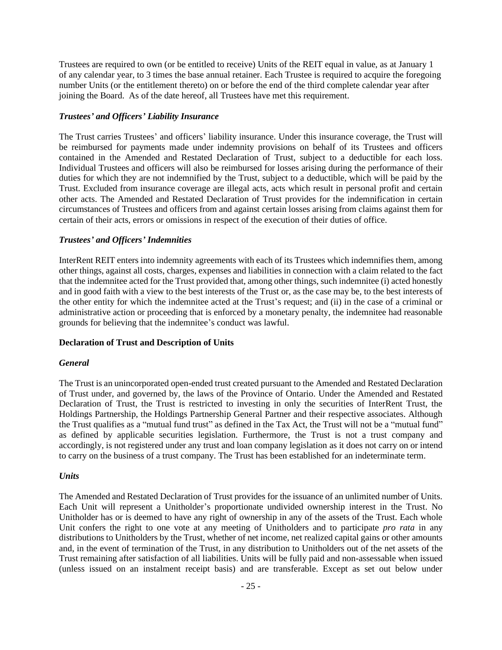Trustees are required to own (or be entitled to receive) Units of the REIT equal in value, as at January 1 of any calendar year, to 3 times the base annual retainer. Each Trustee is required to acquire the foregoing number Units (or the entitlement thereto) on or before the end of the third complete calendar year after joining the Board. As of the date hereof, all Trustees have met this requirement.

#### *Trustees' and Officers' Liability Insurance*

The Trust carries Trustees' and officers' liability insurance. Under this insurance coverage, the Trust will be reimbursed for payments made under indemnity provisions on behalf of its Trustees and officers contained in the Amended and Restated Declaration of Trust, subject to a deductible for each loss. Individual Trustees and officers will also be reimbursed for losses arising during the performance of their duties for which they are not indemnified by the Trust, subject to a deductible, which will be paid by the Trust. Excluded from insurance coverage are illegal acts, acts which result in personal profit and certain other acts. The Amended and Restated Declaration of Trust provides for the indemnification in certain circumstances of Trustees and officers from and against certain losses arising from claims against them for certain of their acts, errors or omissions in respect of the execution of their duties of office.

#### *Trustees' and Officers' Indemnities*

InterRent REIT enters into indemnity agreements with each of its Trustees which indemnifies them, among other things, against all costs, charges, expenses and liabilities in connection with a claim related to the fact that the indemnitee acted for the Trust provided that, among other things, such indemnitee (i) acted honestly and in good faith with a view to the best interests of the Trust or, as the case may be, to the best interests of the other entity for which the indemnitee acted at the Trust's request; and (ii) in the case of a criminal or administrative action or proceeding that is enforced by a monetary penalty, the indemnitee had reasonable grounds for believing that the indemnitee's conduct was lawful.

#### <span id="page-26-0"></span>**Declaration of Trust and Description of Units**

#### *General*

The Trust is an unincorporated open-ended trust created pursuant to the Amended and Restated Declaration of Trust under, and governed by, the laws of the Province of Ontario. Under the Amended and Restated Declaration of Trust, the Trust is restricted to investing in only the securities of InterRent Trust, the Holdings Partnership, the Holdings Partnership General Partner and their respective associates. Although the Trust qualifies as a "mutual fund trust" as defined in the Tax Act, the Trust will not be a "mutual fund" as defined by applicable securities legislation. Furthermore, the Trust is not a trust company and accordingly, is not registered under any trust and loan company legislation as it does not carry on or intend to carry on the business of a trust company. The Trust has been established for an indeterminate term.

#### *Units*

The Amended and Restated Declaration of Trust provides for the issuance of an unlimited number of Units. Each Unit will represent a Unitholder's proportionate undivided ownership interest in the Trust. No Unitholder has or is deemed to have any right of ownership in any of the assets of the Trust. Each whole Unit confers the right to one vote at any meeting of Unitholders and to participate *pro rata* in any distributions to Unitholders by the Trust, whether of net income, net realized capital gains or other amounts and, in the event of termination of the Trust, in any distribution to Unitholders out of the net assets of the Trust remaining after satisfaction of all liabilities. Units will be fully paid and non-assessable when issued (unless issued on an instalment receipt basis) and are transferable. Except as set out below under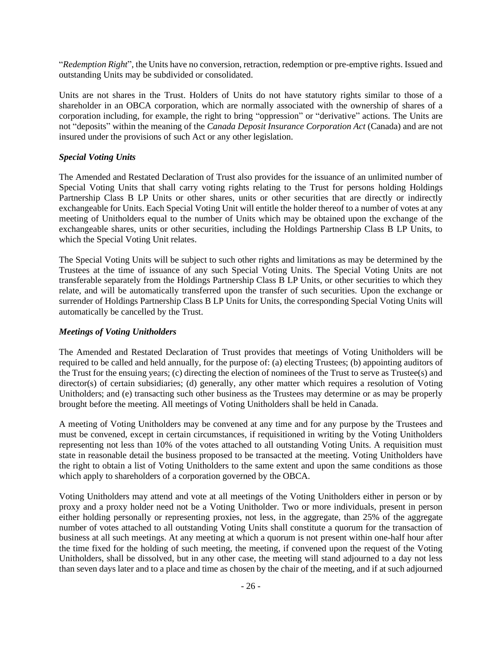"*Redemption Right*", the Units have no conversion, retraction, redemption or pre-emptive rights. Issued and outstanding Units may be subdivided or consolidated.

Units are not shares in the Trust. Holders of Units do not have statutory rights similar to those of a shareholder in an OBCA corporation, which are normally associated with the ownership of shares of a corporation including, for example, the right to bring "oppression" or "derivative" actions. The Units are not "deposits" within the meaning of the *Canada Deposit Insurance Corporation Act* (Canada) and are not insured under the provisions of such Act or any other legislation.

## *Special Voting Units*

The Amended and Restated Declaration of Trust also provides for the issuance of an unlimited number of Special Voting Units that shall carry voting rights relating to the Trust for persons holding Holdings Partnership Class B LP Units or other shares, units or other securities that are directly or indirectly exchangeable for Units. Each Special Voting Unit will entitle the holder thereof to a number of votes at any meeting of Unitholders equal to the number of Units which may be obtained upon the exchange of the exchangeable shares, units or other securities, including the Holdings Partnership Class B LP Units, to which the Special Voting Unit relates.

The Special Voting Units will be subject to such other rights and limitations as may be determined by the Trustees at the time of issuance of any such Special Voting Units. The Special Voting Units are not transferable separately from the Holdings Partnership Class B LP Units, or other securities to which they relate, and will be automatically transferred upon the transfer of such securities. Upon the exchange or surrender of Holdings Partnership Class B LP Units for Units, the corresponding Special Voting Units will automatically be cancelled by the Trust.

## *Meetings of Voting Unitholders*

The Amended and Restated Declaration of Trust provides that meetings of Voting Unitholders will be required to be called and held annually, for the purpose of: (a) electing Trustees; (b) appointing auditors of the Trust for the ensuing years; (c) directing the election of nominees of the Trust to serve as Trustee(s) and director(s) of certain subsidiaries; (d) generally, any other matter which requires a resolution of Voting Unitholders; and (e) transacting such other business as the Trustees may determine or as may be properly brought before the meeting. All meetings of Voting Unitholders shall be held in Canada.

A meeting of Voting Unitholders may be convened at any time and for any purpose by the Trustees and must be convened, except in certain circumstances, if requisitioned in writing by the Voting Unitholders representing not less than 10% of the votes attached to all outstanding Voting Units. A requisition must state in reasonable detail the business proposed to be transacted at the meeting. Voting Unitholders have the right to obtain a list of Voting Unitholders to the same extent and upon the same conditions as those which apply to shareholders of a corporation governed by the OBCA.

Voting Unitholders may attend and vote at all meetings of the Voting Unitholders either in person or by proxy and a proxy holder need not be a Voting Unitholder. Two or more individuals, present in person either holding personally or representing proxies, not less, in the aggregate, than 25% of the aggregate number of votes attached to all outstanding Voting Units shall constitute a quorum for the transaction of business at all such meetings. At any meeting at which a quorum is not present within one-half hour after the time fixed for the holding of such meeting, the meeting, if convened upon the request of the Voting Unitholders, shall be dissolved, but in any other case, the meeting will stand adjourned to a day not less than seven days later and to a place and time as chosen by the chair of the meeting, and if at such adjourned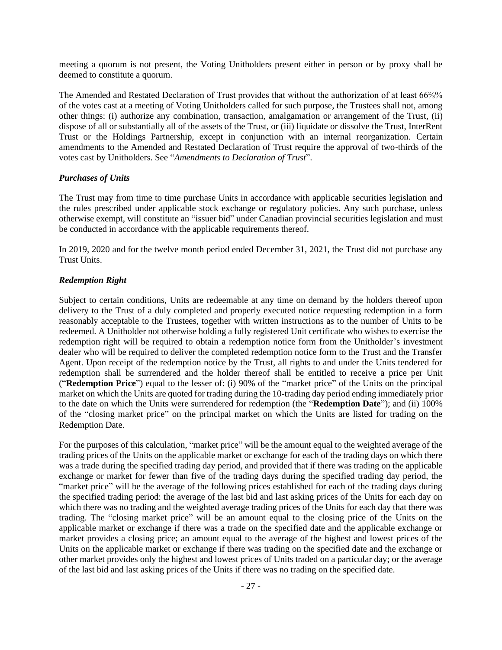meeting a quorum is not present, the Voting Unitholders present either in person or by proxy shall be deemed to constitute a quorum.

The Amended and Restated Declaration of Trust provides that without the authorization of at least 66⅔% of the votes cast at a meeting of Voting Unitholders called for such purpose, the Trustees shall not, among other things: (i) authorize any combination, transaction, amalgamation or arrangement of the Trust, (ii) dispose of all or substantially all of the assets of the Trust, or (iii) liquidate or dissolve the Trust, InterRent Trust or the Holdings Partnership, except in conjunction with an internal reorganization. Certain amendments to the Amended and Restated Declaration of Trust require the approval of two-thirds of the votes cast by Unitholders. See "*Amendments to Declaration of Trust*".

#### *Purchases of Units*

The Trust may from time to time purchase Units in accordance with applicable securities legislation and the rules prescribed under applicable stock exchange or regulatory policies. Any such purchase, unless otherwise exempt, will constitute an "issuer bid" under Canadian provincial securities legislation and must be conducted in accordance with the applicable requirements thereof.

In 2019, 2020 and for the twelve month period ended December 31, 2021, the Trust did not purchase any Trust Units.

#### *Redemption Right*

Subject to certain conditions, Units are redeemable at any time on demand by the holders thereof upon delivery to the Trust of a duly completed and properly executed notice requesting redemption in a form reasonably acceptable to the Trustees, together with written instructions as to the number of Units to be redeemed. A Unitholder not otherwise holding a fully registered Unit certificate who wishes to exercise the redemption right will be required to obtain a redemption notice form from the Unitholder's investment dealer who will be required to deliver the completed redemption notice form to the Trust and the Transfer Agent. Upon receipt of the redemption notice by the Trust, all rights to and under the Units tendered for redemption shall be surrendered and the holder thereof shall be entitled to receive a price per Unit ("**Redemption Price**") equal to the lesser of: (i) 90% of the "market price" of the Units on the principal market on which the Units are quoted for trading during the 10-trading day period ending immediately prior to the date on which the Units were surrendered for redemption (the "**Redemption Date**"); and (ii) 100% of the "closing market price" on the principal market on which the Units are listed for trading on the Redemption Date.

For the purposes of this calculation, "market price" will be the amount equal to the weighted average of the trading prices of the Units on the applicable market or exchange for each of the trading days on which there was a trade during the specified trading day period, and provided that if there was trading on the applicable exchange or market for fewer than five of the trading days during the specified trading day period, the "market price" will be the average of the following prices established for each of the trading days during the specified trading period: the average of the last bid and last asking prices of the Units for each day on which there was no trading and the weighted average trading prices of the Units for each day that there was trading. The "closing market price" will be an amount equal to the closing price of the Units on the applicable market or exchange if there was a trade on the specified date and the applicable exchange or market provides a closing price; an amount equal to the average of the highest and lowest prices of the Units on the applicable market or exchange if there was trading on the specified date and the exchange or other market provides only the highest and lowest prices of Units traded on a particular day; or the average of the last bid and last asking prices of the Units if there was no trading on the specified date.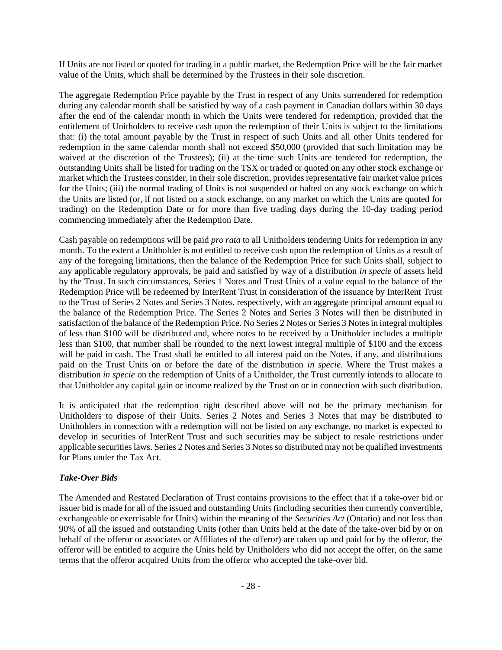If Units are not listed or quoted for trading in a public market, the Redemption Price will be the fair market value of the Units, which shall be determined by the Trustees in their sole discretion.

The aggregate Redemption Price payable by the Trust in respect of any Units surrendered for redemption during any calendar month shall be satisfied by way of a cash payment in Canadian dollars within 30 days after the end of the calendar month in which the Units were tendered for redemption, provided that the entitlement of Unitholders to receive cash upon the redemption of their Units is subject to the limitations that: (i) the total amount payable by the Trust in respect of such Units and all other Units tendered for redemption in the same calendar month shall not exceed \$50,000 (provided that such limitation may be waived at the discretion of the Trustees); (ii) at the time such Units are tendered for redemption, the outstanding Units shall be listed for trading on the TSX or traded or quoted on any other stock exchange or market which the Trustees consider, in their sole discretion, provides representative fair market value prices for the Units; (iii) the normal trading of Units is not suspended or halted on any stock exchange on which the Units are listed (or, if not listed on a stock exchange, on any market on which the Units are quoted for trading) on the Redemption Date or for more than five trading days during the 10-day trading period commencing immediately after the Redemption Date.

Cash payable on redemptions will be paid *pro rata* to all Unitholders tendering Units for redemption in any month. To the extent a Unitholder is not entitled to receive cash upon the redemption of Units as a result of any of the foregoing limitations, then the balance of the Redemption Price for such Units shall, subject to any applicable regulatory approvals, be paid and satisfied by way of a distribution *in specie* of assets held by the Trust. In such circumstances, Series 1 Notes and Trust Units of a value equal to the balance of the Redemption Price will be redeemed by InterRent Trust in consideration of the issuance by InterRent Trust to the Trust of Series 2 Notes and Series 3 Notes, respectively, with an aggregate principal amount equal to the balance of the Redemption Price. The Series 2 Notes and Series 3 Notes will then be distributed in satisfaction of the balance of the Redemption Price. No Series 2 Notes or Series 3 Notes in integral multiples of less than \$100 will be distributed and, where notes to be received by a Unitholder includes a multiple less than \$100, that number shall be rounded to the next lowest integral multiple of \$100 and the excess will be paid in cash. The Trust shall be entitled to all interest paid on the Notes, if any, and distributions paid on the Trust Units on or before the date of the distribution *in specie*. Where the Trust makes a distribution *in specie* on the redemption of Units of a Unitholder, the Trust currently intends to allocate to that Unitholder any capital gain or income realized by the Trust on or in connection with such distribution.

It is anticipated that the redemption right described above will not be the primary mechanism for Unitholders to dispose of their Units. Series 2 Notes and Series 3 Notes that may be distributed to Unitholders in connection with a redemption will not be listed on any exchange, no market is expected to develop in securities of InterRent Trust and such securities may be subject to resale restrictions under applicable securities laws. Series 2 Notes and Series 3 Notes so distributed may not be qualified investments for Plans under the Tax Act.

## *Take-Over Bids*

The Amended and Restated Declaration of Trust contains provisions to the effect that if a take-over bid or issuer bid is made for all of the issued and outstanding Units (including securities then currently convertible, exchangeable or exercisable for Units) within the meaning of the *Securities Act* (Ontario) and not less than 90% of all the issued and outstanding Units (other than Units held at the date of the take-over bid by or on behalf of the offeror or associates or Affiliates of the offeror) are taken up and paid for by the offeror, the offeror will be entitled to acquire the Units held by Unitholders who did not accept the offer, on the same terms that the offeror acquired Units from the offeror who accepted the take-over bid.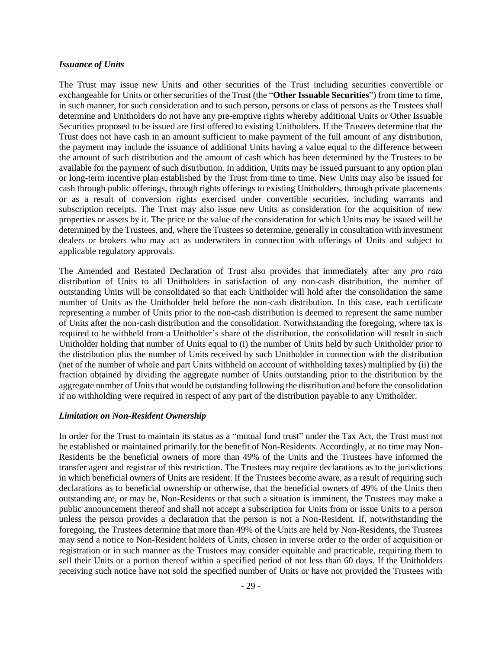#### *Issuance of Units*

The Trust may issue new Units and other securities of the Trust including securities convertible or exchangeable for Units or other securities of the Trust (the "**Other Issuable Securities**") from time to time, in such manner, for such consideration and to such person, persons or class of persons as the Trustees shall determine and Unitholders do not have any pre-emptive rights whereby additional Units or Other Issuable Securities proposed to be issued are first offered to existing Unitholders. If the Trustees determine that the Trust does not have cash in an amount sufficient to make payment of the full amount of any distribution, the payment may include the issuance of additional Units having a value equal to the difference between the amount of such distribution and the amount of cash which has been determined by the Trustees to be available for the payment of such distribution. In addition, Units may be issued pursuant to any option plan or long-term incentive plan established by the Trust from time to time. New Units may also be issued for cash through public offerings, through rights offerings to existing Unitholders, through private placements or as a result of conversion rights exercised under convertible securities, including warrants and subscription receipts. The Trust may also issue new Units as consideration for the acquisition of new properties or assets by it. The price or the value of the consideration for which Units may be issued will be determined by the Trustees, and, where the Trustees so determine, generally in consultation with investment dealers or brokers who may act as underwriters in connection with offerings of Units and subject to applicable regulatory approvals.

The Amended and Restated Declaration of Trust also provides that immediately after any *pro rata* distribution of Units to all Unitholders in satisfaction of any non-cash distribution, the number of outstanding Units will be consolidated so that each Unitholder will hold after the consolidation the same number of Units as the Unitholder held before the non-cash distribution. In this case, each certificate representing a number of Units prior to the non-cash distribution is deemed to represent the same number of Units after the non-cash distribution and the consolidation. Notwithstanding the foregoing, where tax is required to be withheld from a Unitholder's share of the distribution, the consolidation will result in such Unitholder holding that number of Units equal to (i) the number of Units held by such Unitholder prior to the distribution plus the number of Units received by such Unitholder in connection with the distribution (net of the number of whole and part Units withheld on account of withholding taxes) multiplied by (ii) the fraction obtained by dividing the aggregate number of Units outstanding prior to the distribution by the aggregate number of Units that would be outstanding following the distribution and before the consolidation if no withholding were required in respect of any part of the distribution payable to any Unitholder.

#### *Limitation on Non-Resident Ownership*

In order for the Trust to maintain its status as a "mutual fund trust" under the Tax Act, the Trust must not be established or maintained primarily for the benefit of Non-Residents. Accordingly, at no time may Non-Residents be the beneficial owners of more than 49% of the Units and the Trustees have informed the transfer agent and registrar of this restriction. The Trustees may require declarations as to the jurisdictions in which beneficial owners of Units are resident. If the Trustees become aware, as a result of requiring such declarations as to beneficial ownership or otherwise, that the beneficial owners of 49% of the Units then outstanding are, or may be, Non-Residents or that such a situation is imminent, the Trustees may make a public announcement thereof and shall not accept a subscription for Units from or issue Units to a person unless the person provides a declaration that the person is not a Non-Resident. If, notwithstanding the foregoing, the Trustees determine that more than 49% of the Units are held by Non-Residents, the Trustees may send a notice to Non-Resident holders of Units, chosen in inverse order to the order of acquisition or registration or in such manner as the Trustees may consider equitable and practicable, requiring them to sell their Units or a portion thereof within a specified period of not less than 60 days. If the Unitholders receiving such notice have not sold the specified number of Units or have not provided the Trustees with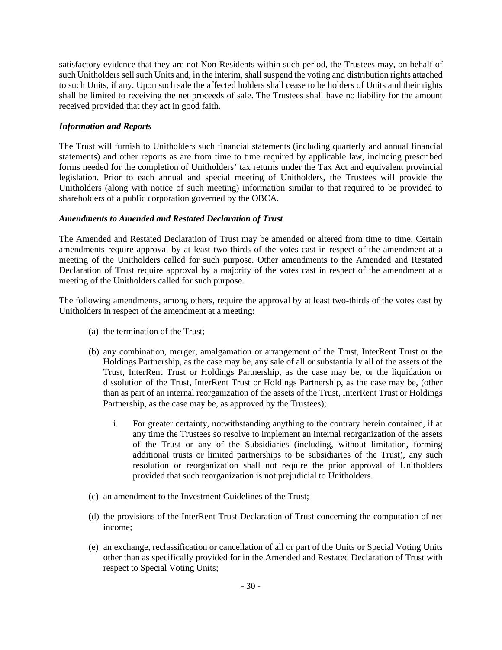satisfactory evidence that they are not Non-Residents within such period, the Trustees may, on behalf of such Unitholders sell such Units and, in the interim, shall suspend the voting and distribution rights attached to such Units, if any. Upon such sale the affected holders shall cease to be holders of Units and their rights shall be limited to receiving the net proceeds of sale. The Trustees shall have no liability for the amount received provided that they act in good faith.

# *Information and Reports*

The Trust will furnish to Unitholders such financial statements (including quarterly and annual financial statements) and other reports as are from time to time required by applicable law, including prescribed forms needed for the completion of Unitholders' tax returns under the Tax Act and equivalent provincial legislation. Prior to each annual and special meeting of Unitholders, the Trustees will provide the Unitholders (along with notice of such meeting) information similar to that required to be provided to shareholders of a public corporation governed by the OBCA.

# *Amendments to Amended and Restated Declaration of Trust*

The Amended and Restated Declaration of Trust may be amended or altered from time to time. Certain amendments require approval by at least two-thirds of the votes cast in respect of the amendment at a meeting of the Unitholders called for such purpose. Other amendments to the Amended and Restated Declaration of Trust require approval by a majority of the votes cast in respect of the amendment at a meeting of the Unitholders called for such purpose.

The following amendments, among others, require the approval by at least two-thirds of the votes cast by Unitholders in respect of the amendment at a meeting:

- (a) the termination of the Trust;
- (b) any combination, merger, amalgamation or arrangement of the Trust, InterRent Trust or the Holdings Partnership, as the case may be, any sale of all or substantially all of the assets of the Trust, InterRent Trust or Holdings Partnership, as the case may be, or the liquidation or dissolution of the Trust, InterRent Trust or Holdings Partnership, as the case may be, (other than as part of an internal reorganization of the assets of the Trust, InterRent Trust or Holdings Partnership, as the case may be, as approved by the Trustees);
	- i. For greater certainty, notwithstanding anything to the contrary herein contained, if at any time the Trustees so resolve to implement an internal reorganization of the assets of the Trust or any of the Subsidiaries (including, without limitation, forming additional trusts or limited partnerships to be subsidiaries of the Trust), any such resolution or reorganization shall not require the prior approval of Unitholders provided that such reorganization is not prejudicial to Unitholders.
- (c) an amendment to the Investment Guidelines of the Trust;
- (d) the provisions of the InterRent Trust Declaration of Trust concerning the computation of net income;
- (e) an exchange, reclassification or cancellation of all or part of the Units or Special Voting Units other than as specifically provided for in the Amended and Restated Declaration of Trust with respect to Special Voting Units;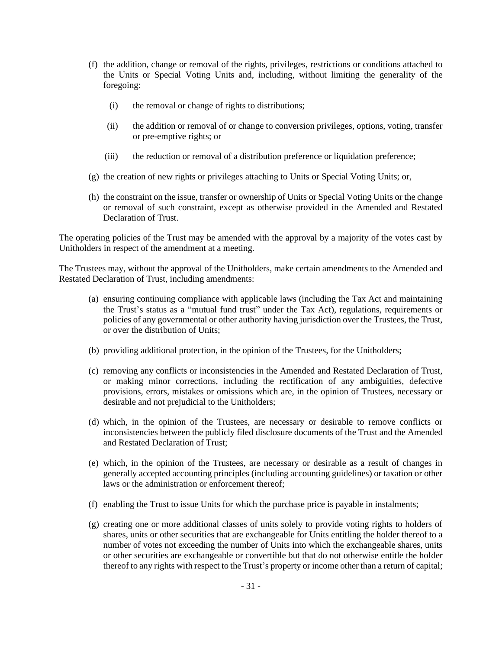- (f) the addition, change or removal of the rights, privileges, restrictions or conditions attached to the Units or Special Voting Units and, including, without limiting the generality of the foregoing:
	- (i) the removal or change of rights to distributions;
	- (ii) the addition or removal of or change to conversion privileges, options, voting, transfer or pre-emptive rights; or
	- (iii) the reduction or removal of a distribution preference or liquidation preference;
- (g) the creation of new rights or privileges attaching to Units or Special Voting Units; or,
- (h) the constraint on the issue, transfer or ownership of Units or Special Voting Units or the change or removal of such constraint, except as otherwise provided in the Amended and Restated Declaration of Trust.

The operating policies of the Trust may be amended with the approval by a majority of the votes cast by Unitholders in respect of the amendment at a meeting.

The Trustees may, without the approval of the Unitholders, make certain amendments to the Amended and Restated Declaration of Trust, including amendments:

- (a) ensuring continuing compliance with applicable laws (including the Tax Act and maintaining the Trust's status as a "mutual fund trust" under the Tax Act), regulations, requirements or policies of any governmental or other authority having jurisdiction over the Trustees, the Trust, or over the distribution of Units;
- (b) providing additional protection, in the opinion of the Trustees, for the Unitholders;
- (c) removing any conflicts or inconsistencies in the Amended and Restated Declaration of Trust, or making minor corrections, including the rectification of any ambiguities, defective provisions, errors, mistakes or omissions which are, in the opinion of Trustees, necessary or desirable and not prejudicial to the Unitholders;
- (d) which, in the opinion of the Trustees, are necessary or desirable to remove conflicts or inconsistencies between the publicly filed disclosure documents of the Trust and the Amended and Restated Declaration of Trust;
- (e) which, in the opinion of the Trustees, are necessary or desirable as a result of changes in generally accepted accounting principles (including accounting guidelines) or taxation or other laws or the administration or enforcement thereof;
- (f) enabling the Trust to issue Units for which the purchase price is payable in instalments;
- (g) creating one or more additional classes of units solely to provide voting rights to holders of shares, units or other securities that are exchangeable for Units entitling the holder thereof to a number of votes not exceeding the number of Units into which the exchangeable shares, units or other securities are exchangeable or convertible but that do not otherwise entitle the holder thereof to any rights with respect to the Trust's property or income other than a return of capital;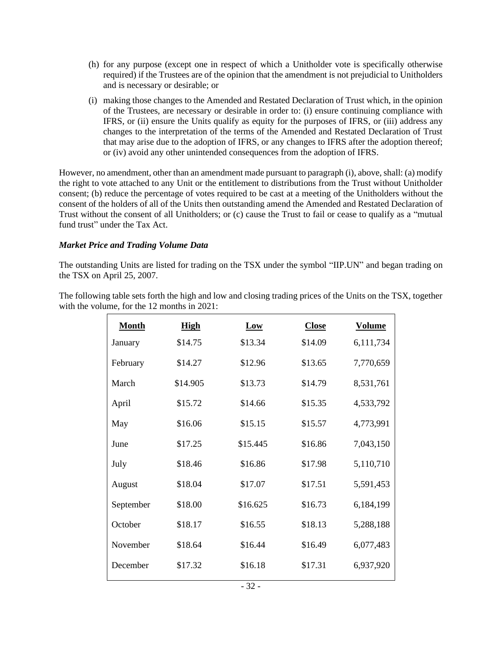- (h) for any purpose (except one in respect of which a Unitholder vote is specifically otherwise required) if the Trustees are of the opinion that the amendment is not prejudicial to Unitholders and is necessary or desirable; or
- (i) making those changes to the Amended and Restated Declaration of Trust which, in the opinion of the Trustees, are necessary or desirable in order to: (i) ensure continuing compliance with IFRS, or (ii) ensure the Units qualify as equity for the purposes of IFRS, or (iii) address any changes to the interpretation of the terms of the Amended and Restated Declaration of Trust that may arise due to the adoption of IFRS, or any changes to IFRS after the adoption thereof; or (iv) avoid any other unintended consequences from the adoption of IFRS.

However, no amendment, other than an amendment made pursuant to paragraph (i), above, shall: (a) modify the right to vote attached to any Unit or the entitlement to distributions from the Trust without Unitholder consent; (b) reduce the percentage of votes required to be cast at a meeting of the Unitholders without the consent of the holders of all of the Units then outstanding amend the Amended and Restated Declaration of Trust without the consent of all Unitholders; or (c) cause the Trust to fail or cease to qualify as a "mutual fund trust" under the Tax Act.

## *Market Price and Trading Volume Data*

The outstanding Units are listed for trading on the TSX under the symbol "IIP.UN" and began trading on the TSX on April 25, 2007.

The following table sets forth the high and low and closing trading prices of the Units on the TSX, together with the volume, for the 12 months in 2021:

| <b>Month</b> | <b>High</b> | Low      | <b>Close</b> | <b>Volume</b> |
|--------------|-------------|----------|--------------|---------------|
| January      | \$14.75     | \$13.34  | \$14.09      | 6,111,734     |
| February     | \$14.27     | \$12.96  | \$13.65      | 7,770,659     |
| March        | \$14.905    | \$13.73  | \$14.79      | 8,531,761     |
| April        | \$15.72     | \$14.66  | \$15.35      | 4,533,792     |
| May          | \$16.06     | \$15.15  | \$15.57      | 4,773,991     |
| June         | \$17.25     | \$15.445 | \$16.86      | 7,043,150     |
| July         | \$18.46     | \$16.86  | \$17.98      | 5,110,710     |
| August       | \$18.04     | \$17.07  | \$17.51      | 5,591,453     |
| September    | \$18.00     | \$16.625 | \$16.73      | 6,184,199     |
| October      | \$18.17     | \$16.55  | \$18.13      | 5,288,188     |
| November     | \$18.64     | \$16.44  | \$16.49      | 6,077,483     |
| December     | \$17.32     | \$16.18  | \$17.31      | 6,937,920     |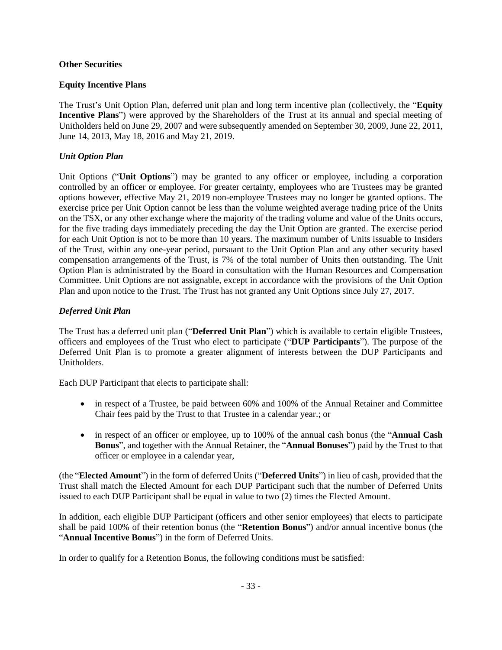## <span id="page-34-0"></span>**Other Securities**

# <span id="page-34-1"></span>**Equity Incentive Plans**

The Trust's Unit Option Plan, deferred unit plan and long term incentive plan (collectively, the "**Equity Incentive Plans**") were approved by the Shareholders of the Trust at its annual and special meeting of Unitholders held on June 29, 2007 and were subsequently amended on September 30, 2009, June 22, 2011, June 14, 2013, May 18, 2016 and May 21, 2019.

# *Unit Option Plan*

Unit Options ("**Unit Options**") may be granted to any officer or employee, including a corporation controlled by an officer or employee. For greater certainty, employees who are Trustees may be granted options however, effective May 21, 2019 non-employee Trustees may no longer be granted options. The exercise price per Unit Option cannot be less than the volume weighted average trading price of the Units on the TSX, or any other exchange where the majority of the trading volume and value of the Units occurs, for the five trading days immediately preceding the day the Unit Option are granted. The exercise period for each Unit Option is not to be more than 10 years. The maximum number of Units issuable to Insiders of the Trust, within any one-year period, pursuant to the Unit Option Plan and any other security based compensation arrangements of the Trust, is 7% of the total number of Units then outstanding. The Unit Option Plan is administrated by the Board in consultation with the Human Resources and Compensation Committee. Unit Options are not assignable, except in accordance with the provisions of the Unit Option Plan and upon notice to the Trust. The Trust has not granted any Unit Options since July 27, 2017.

# *Deferred Unit Plan*

The Trust has a deferred unit plan ("**Deferred Unit Plan**") which is available to certain eligible Trustees, officers and employees of the Trust who elect to participate ("**DUP Participants**"). The purpose of the Deferred Unit Plan is to promote a greater alignment of interests between the DUP Participants and Unitholders.

Each DUP Participant that elects to participate shall:

- in respect of a Trustee, be paid between 60% and 100% of the Annual Retainer and Committee Chair fees paid by the Trust to that Trustee in a calendar year.; or
- in respect of an officer or employee, up to 100% of the annual cash bonus (the "**Annual Cash Bonus**", and together with the Annual Retainer, the "**Annual Bonuses**") paid by the Trust to that officer or employee in a calendar year,

(the "**Elected Amount**") in the form of deferred Units ("**Deferred Units**") in lieu of cash, provided that the Trust shall match the Elected Amount for each DUP Participant such that the number of Deferred Units issued to each DUP Participant shall be equal in value to two (2) times the Elected Amount.

In addition, each eligible DUP Participant (officers and other senior employees) that elects to participate shall be paid 100% of their retention bonus (the "**Retention Bonus**") and/or annual incentive bonus (the "**Annual Incentive Bonus**") in the form of Deferred Units.

In order to qualify for a Retention Bonus, the following conditions must be satisfied: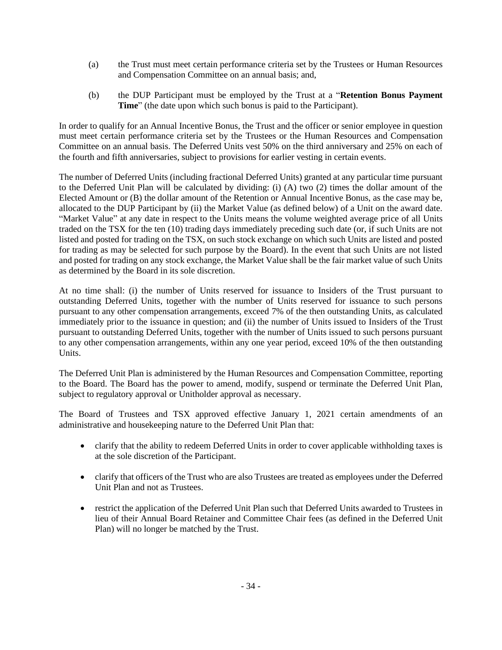- (a) the Trust must meet certain performance criteria set by the Trustees or Human Resources and Compensation Committee on an annual basis; and,
- (b) the DUP Participant must be employed by the Trust at a "**Retention Bonus Payment Time**" (the date upon which such bonus is paid to the Participant).

In order to qualify for an Annual Incentive Bonus, the Trust and the officer or senior employee in question must meet certain performance criteria set by the Trustees or the Human Resources and Compensation Committee on an annual basis. The Deferred Units vest 50% on the third anniversary and 25% on each of the fourth and fifth anniversaries, subject to provisions for earlier vesting in certain events.

The number of Deferred Units (including fractional Deferred Units) granted at any particular time pursuant to the Deferred Unit Plan will be calculated by dividing: (i) (A) two (2) times the dollar amount of the Elected Amount or (B) the dollar amount of the Retention or Annual Incentive Bonus, as the case may be, allocated to the DUP Participant by (ii) the Market Value (as defined below) of a Unit on the award date. "Market Value" at any date in respect to the Units means the volume weighted average price of all Units traded on the TSX for the ten (10) trading days immediately preceding such date (or, if such Units are not listed and posted for trading on the TSX, on such stock exchange on which such Units are listed and posted for trading as may be selected for such purpose by the Board). In the event that such Units are not listed and posted for trading on any stock exchange, the Market Value shall be the fair market value of such Units as determined by the Board in its sole discretion.

At no time shall: (i) the number of Units reserved for issuance to Insiders of the Trust pursuant to outstanding Deferred Units, together with the number of Units reserved for issuance to such persons pursuant to any other compensation arrangements, exceed 7% of the then outstanding Units, as calculated immediately prior to the issuance in question; and (ii) the number of Units issued to Insiders of the Trust pursuant to outstanding Deferred Units, together with the number of Units issued to such persons pursuant to any other compensation arrangements, within any one year period, exceed 10% of the then outstanding Units.

The Deferred Unit Plan is administered by the Human Resources and Compensation Committee, reporting to the Board. The Board has the power to amend, modify, suspend or terminate the Deferred Unit Plan, subject to regulatory approval or Unitholder approval as necessary.

The Board of Trustees and TSX approved effective January 1, 2021 certain amendments of an administrative and housekeeping nature to the Deferred Unit Plan that:

- clarify that the ability to redeem Deferred Units in order to cover applicable withholding taxes is at the sole discretion of the Participant.
- clarify that officers of the Trust who are also Trustees are treated as employees under the Deferred Unit Plan and not as Trustees.
- restrict the application of the Deferred Unit Plan such that Deferred Units awarded to Trustees in lieu of their Annual Board Retainer and Committee Chair fees (as defined in the Deferred Unit Plan) will no longer be matched by the Trust.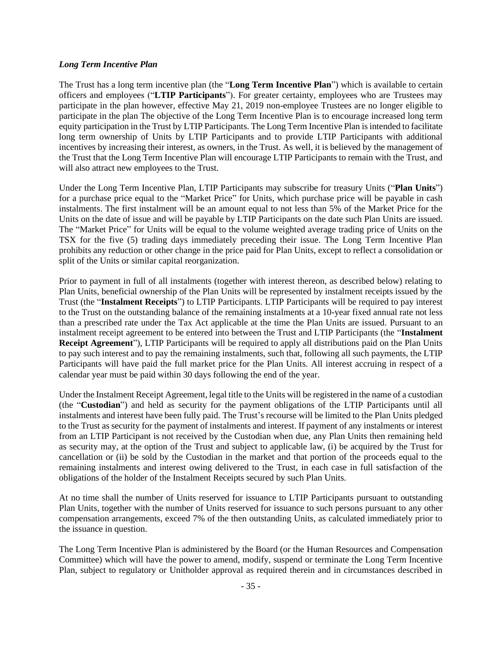#### *Long Term Incentive Plan*

The Trust has a long term incentive plan (the "**Long Term Incentive Plan**") which is available to certain officers and employees ("**LTIP Participants**"). For greater certainty, employees who are Trustees may participate in the plan however, effective May 21, 2019 non-employee Trustees are no longer eligible to participate in the plan The objective of the Long Term Incentive Plan is to encourage increased long term equity participation in the Trust by LTIP Participants. The Long Term Incentive Plan is intended to facilitate long term ownership of Units by LTIP Participants and to provide LTIP Participants with additional incentives by increasing their interest, as owners, in the Trust. As well, it is believed by the management of the Trust that the Long Term Incentive Plan will encourage LTIP Participants to remain with the Trust, and will also attract new employees to the Trust.

Under the Long Term Incentive Plan, LTIP Participants may subscribe for treasury Units ("**Plan Units**") for a purchase price equal to the "Market Price" for Units, which purchase price will be payable in cash instalments. The first instalment will be an amount equal to not less than 5% of the Market Price for the Units on the date of issue and will be payable by LTIP Participants on the date such Plan Units are issued. The "Market Price" for Units will be equal to the volume weighted average trading price of Units on the TSX for the five (5) trading days immediately preceding their issue. The Long Term Incentive Plan prohibits any reduction or other change in the price paid for Plan Units, except to reflect a consolidation or split of the Units or similar capital reorganization.

Prior to payment in full of all instalments (together with interest thereon, as described below) relating to Plan Units, beneficial ownership of the Plan Units will be represented by instalment receipts issued by the Trust (the "**Instalment Receipts**") to LTIP Participants. LTIP Participants will be required to pay interest to the Trust on the outstanding balance of the remaining instalments at a 10-year fixed annual rate not less than a prescribed rate under the Tax Act applicable at the time the Plan Units are issued. Pursuant to an instalment receipt agreement to be entered into between the Trust and LTIP Participants (the "**Instalment Receipt Agreement**"), LTIP Participants will be required to apply all distributions paid on the Plan Units to pay such interest and to pay the remaining instalments, such that, following all such payments, the LTIP Participants will have paid the full market price for the Plan Units. All interest accruing in respect of a calendar year must be paid within 30 days following the end of the year.

Under the Instalment Receipt Agreement, legal title to the Units will be registered in the name of a custodian (the "**Custodian**") and held as security for the payment obligations of the LTIP Participants until all instalments and interest have been fully paid. The Trust's recourse will be limited to the Plan Units pledged to the Trust as security for the payment of instalments and interest. If payment of any instalments or interest from an LTIP Participant is not received by the Custodian when due, any Plan Units then remaining held as security may, at the option of the Trust and subject to applicable law, (i) be acquired by the Trust for cancellation or (ii) be sold by the Custodian in the market and that portion of the proceeds equal to the remaining instalments and interest owing delivered to the Trust, in each case in full satisfaction of the obligations of the holder of the Instalment Receipts secured by such Plan Units.

At no time shall the number of Units reserved for issuance to LTIP Participants pursuant to outstanding Plan Units, together with the number of Units reserved for issuance to such persons pursuant to any other compensation arrangements, exceed 7% of the then outstanding Units, as calculated immediately prior to the issuance in question.

The Long Term Incentive Plan is administered by the Board (or the Human Resources and Compensation Committee) which will have the power to amend, modify, suspend or terminate the Long Term Incentive Plan, subject to regulatory or Unitholder approval as required therein and in circumstances described in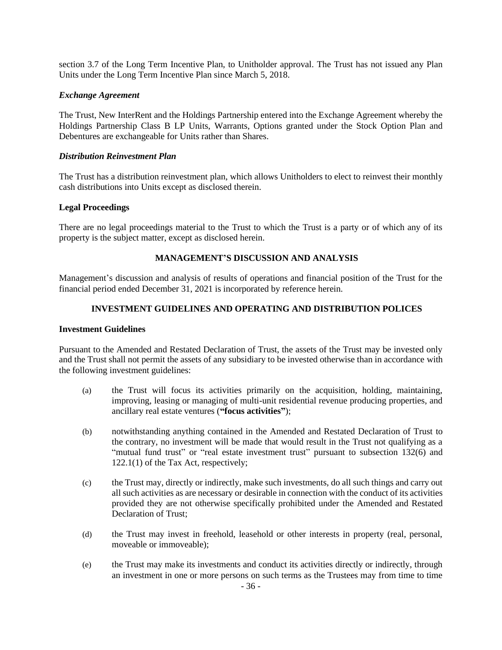section 3.7 of the Long Term Incentive Plan, to Unitholder approval. The Trust has not issued any Plan Units under the Long Term Incentive Plan since March 5, 2018.

## *Exchange Agreement*

The Trust, New InterRent and the Holdings Partnership entered into the Exchange Agreement whereby the Holdings Partnership Class B LP Units, Warrants, Options granted under the Stock Option Plan and Debentures are exchangeable for Units rather than Shares.

## *Distribution Reinvestment Plan*

The Trust has a distribution reinvestment plan, which allows Unitholders to elect to reinvest their monthly cash distributions into Units except as disclosed therein.

#### <span id="page-37-0"></span>**Legal Proceedings**

There are no legal proceedings material to the Trust to which the Trust is a party or of which any of its property is the subject matter, except as disclosed herein.

## **MANAGEMENT'S DISCUSSION AND ANALYSIS**

<span id="page-37-1"></span>Management's discussion and analysis of results of operations and financial position of the Trust for the financial period ended December 31, 2021 is incorporated by reference herein.

# **INVESTMENT GUIDELINES AND OPERATING AND DISTRIBUTION POLICES**

#### <span id="page-37-3"></span><span id="page-37-2"></span>**Investment Guidelines**

Pursuant to the Amended and Restated Declaration of Trust, the assets of the Trust may be invested only and the Trust shall not permit the assets of any subsidiary to be invested otherwise than in accordance with the following investment guidelines:

- (a) the Trust will focus its activities primarily on the acquisition, holding, maintaining, improving, leasing or managing of multi-unit residential revenue producing properties, and ancillary real estate ventures (**"focus activities"**);
- (b) notwithstanding anything contained in the Amended and Restated Declaration of Trust to the contrary, no investment will be made that would result in the Trust not qualifying as a "mutual fund trust" or "real estate investment trust" pursuant to subsection 132(6) and 122.1(1) of the Tax Act, respectively;
- (c) the Trust may, directly or indirectly, make such investments, do all such things and carry out all such activities as are necessary or desirable in connection with the conduct of its activities provided they are not otherwise specifically prohibited under the Amended and Restated Declaration of Trust;
- (d) the Trust may invest in freehold, leasehold or other interests in property (real, personal, moveable or immoveable);
- (e) the Trust may make its investments and conduct its activities directly or indirectly, through an investment in one or more persons on such terms as the Trustees may from time to time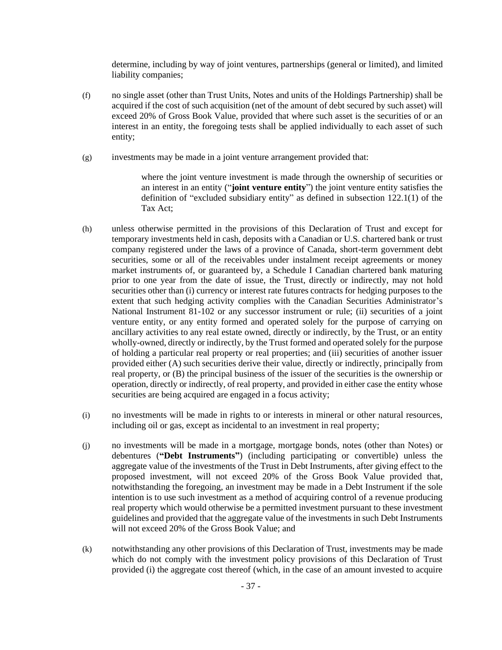determine, including by way of joint ventures, partnerships (general or limited), and limited liability companies;

- (f) no single asset (other than Trust Units, Notes and units of the Holdings Partnership) shall be acquired if the cost of such acquisition (net of the amount of debt secured by such asset) will exceed 20% of Gross Book Value, provided that where such asset is the securities of or an interest in an entity, the foregoing tests shall be applied individually to each asset of such entity;
- (g) investments may be made in a joint venture arrangement provided that:

where the joint venture investment is made through the ownership of securities or an interest in an entity ("**joint venture entity**") the joint venture entity satisfies the definition of "excluded subsidiary entity" as defined in subsection 122.1(1) of the Tax Act;

- (h) unless otherwise permitted in the provisions of this Declaration of Trust and except for temporary investments held in cash, deposits with a Canadian or U.S. chartered bank or trust company registered under the laws of a province of Canada, short-term government debt securities, some or all of the receivables under instalment receipt agreements or money market instruments of, or guaranteed by, a Schedule I Canadian chartered bank maturing prior to one year from the date of issue, the Trust, directly or indirectly, may not hold securities other than (i) currency or interest rate futures contracts for hedging purposes to the extent that such hedging activity complies with the Canadian Securities Administrator's National Instrument 81-102 or any successor instrument or rule; (ii) securities of a joint venture entity, or any entity formed and operated solely for the purpose of carrying on ancillary activities to any real estate owned, directly or indirectly, by the Trust, or an entity wholly-owned, directly or indirectly, by the Trust formed and operated solely for the purpose of holding a particular real property or real properties; and (iii) securities of another issuer provided either (A) such securities derive their value, directly or indirectly, principally from real property, or (B) the principal business of the issuer of the securities is the ownership or operation, directly or indirectly, of real property, and provided in either case the entity whose securities are being acquired are engaged in a focus activity;
- (i) no investments will be made in rights to or interests in mineral or other natural resources, including oil or gas, except as incidental to an investment in real property;
- (j) no investments will be made in a mortgage, mortgage bonds, notes (other than Notes) or debentures (**"Debt Instruments"**) (including participating or convertible) unless the aggregate value of the investments of the Trust in Debt Instruments, after giving effect to the proposed investment, will not exceed 20% of the Gross Book Value provided that, notwithstanding the foregoing, an investment may be made in a Debt Instrument if the sole intention is to use such investment as a method of acquiring control of a revenue producing real property which would otherwise be a permitted investment pursuant to these investment guidelines and provided that the aggregate value of the investments in such Debt Instruments will not exceed 20% of the Gross Book Value; and
- (k) notwithstanding any other provisions of this Declaration of Trust, investments may be made which do not comply with the investment policy provisions of this Declaration of Trust provided (i) the aggregate cost thereof (which, in the case of an amount invested to acquire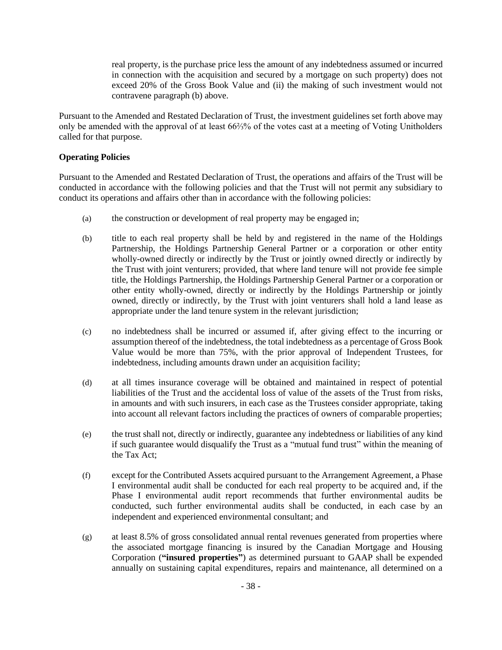real property, is the purchase price less the amount of any indebtedness assumed or incurred in connection with the acquisition and secured by a mortgage on such property) does not exceed 20% of the Gross Book Value and (ii) the making of such investment would not contravene paragraph (b) above.

Pursuant to the Amended and Restated Declaration of Trust, the investment guidelines set forth above may only be amended with the approval of at least 66⅔% of the votes cast at a meeting of Voting Unitholders called for that purpose.

#### <span id="page-39-0"></span>**Operating Policies**

Pursuant to the Amended and Restated Declaration of Trust, the operations and affairs of the Trust will be conducted in accordance with the following policies and that the Trust will not permit any subsidiary to conduct its operations and affairs other than in accordance with the following policies:

- (a) the construction or development of real property may be engaged in;
- (b) title to each real property shall be held by and registered in the name of the Holdings Partnership, the Holdings Partnership General Partner or a corporation or other entity wholly-owned directly or indirectly by the Trust or jointly owned directly or indirectly by the Trust with joint venturers; provided, that where land tenure will not provide fee simple title, the Holdings Partnership, the Holdings Partnership General Partner or a corporation or other entity wholly-owned, directly or indirectly by the Holdings Partnership or jointly owned, directly or indirectly, by the Trust with joint venturers shall hold a land lease as appropriate under the land tenure system in the relevant jurisdiction;
- (c) no indebtedness shall be incurred or assumed if, after giving effect to the incurring or assumption thereof of the indebtedness, the total indebtedness as a percentage of Gross Book Value would be more than 75%, with the prior approval of Independent Trustees, for indebtedness, including amounts drawn under an acquisition facility;
- (d) at all times insurance coverage will be obtained and maintained in respect of potential liabilities of the Trust and the accidental loss of value of the assets of the Trust from risks, in amounts and with such insurers, in each case as the Trustees consider appropriate, taking into account all relevant factors including the practices of owners of comparable properties;
- (e) the trust shall not, directly or indirectly, guarantee any indebtedness or liabilities of any kind if such guarantee would disqualify the Trust as a "mutual fund trust" within the meaning of the Tax Act;
- (f) except for the Contributed Assets acquired pursuant to the Arrangement Agreement, a Phase I environmental audit shall be conducted for each real property to be acquired and, if the Phase I environmental audit report recommends that further environmental audits be conducted, such further environmental audits shall be conducted, in each case by an independent and experienced environmental consultant; and
- (g) at least 8.5% of gross consolidated annual rental revenues generated from properties where the associated mortgage financing is insured by the Canadian Mortgage and Housing Corporation (**"insured properties"**) as determined pursuant to GAAP shall be expended annually on sustaining capital expenditures, repairs and maintenance, all determined on a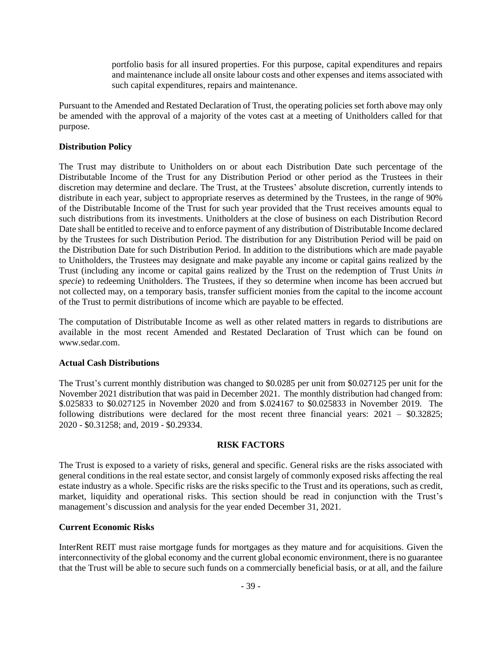portfolio basis for all insured properties. For this purpose, capital expenditures and repairs and maintenance include all onsite labour costs and other expenses and items associated with such capital expenditures, repairs and maintenance.

Pursuant to the Amended and Restated Declaration of Trust, the operating policies set forth above may only be amended with the approval of a majority of the votes cast at a meeting of Unitholders called for that purpose.

## <span id="page-40-0"></span>**Distribution Policy**

The Trust may distribute to Unitholders on or about each Distribution Date such percentage of the Distributable Income of the Trust for any Distribution Period or other period as the Trustees in their discretion may determine and declare. The Trust, at the Trustees' absolute discretion, currently intends to distribute in each year, subject to appropriate reserves as determined by the Trustees, in the range of 90% of the Distributable Income of the Trust for such year provided that the Trust receives amounts equal to such distributions from its investments. Unitholders at the close of business on each Distribution Record Date shall be entitled to receive and to enforce payment of any distribution of Distributable Income declared by the Trustees for such Distribution Period. The distribution for any Distribution Period will be paid on the Distribution Date for such Distribution Period. In addition to the distributions which are made payable to Unitholders, the Trustees may designate and make payable any income or capital gains realized by the Trust (including any income or capital gains realized by the Trust on the redemption of Trust Units *in specie*) to redeeming Unitholders. The Trustees, if they so determine when income has been accrued but not collected may, on a temporary basis, transfer sufficient monies from the capital to the income account of the Trust to permit distributions of income which are payable to be effected.

The computation of Distributable Income as well as other related matters in regards to distributions are available in the most recent Amended and Restated Declaration of Trust which can be found on www.sedar.com.

#### <span id="page-40-1"></span>**Actual Cash Distributions**

The Trust's current monthly distribution was changed to \$0.0285 per unit from \$0.027125 per unit for the November 2021 distribution that was paid in December 2021. The monthly distribution had changed from: \$.025833 to \$0.027125 in November 2020 and from \$.024167 to \$0.025833 in November 2019. The following distributions were declared for the most recent three financial years: 2021 – \$0.32825; 2020 - \$0.31258; and, 2019 - \$0.29334.

#### **RISK FACTORS**

<span id="page-40-2"></span>The Trust is exposed to a variety of risks, general and specific. General risks are the risks associated with general conditions in the real estate sector, and consist largely of commonly exposed risks affecting the real estate industry as a whole. Specific risks are the risks specific to the Trust and its operations, such as credit, market, liquidity and operational risks. This section should be read in conjunction with the Trust's management's discussion and analysis for the year ended December 31, 2021.

#### **Current Economic Risks**

InterRent REIT must raise mortgage funds for mortgages as they mature and for acquisitions. Given the interconnectivity of the global economy and the current global economic environment, there is no guarantee that the Trust will be able to secure such funds on a commercially beneficial basis, or at all, and the failure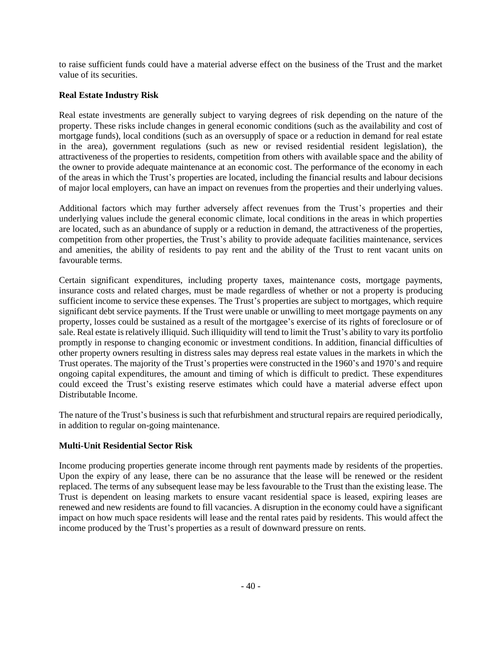to raise sufficient funds could have a material adverse effect on the business of the Trust and the market value of its securities.

# **Real Estate Industry Risk**

Real estate investments are generally subject to varying degrees of risk depending on the nature of the property. These risks include changes in general economic conditions (such as the availability and cost of mortgage funds), local conditions (such as an oversupply of space or a reduction in demand for real estate in the area), government regulations (such as new or revised residential resident legislation), the attractiveness of the properties to residents, competition from others with available space and the ability of the owner to provide adequate maintenance at an economic cost. The performance of the economy in each of the areas in which the Trust's properties are located, including the financial results and labour decisions of major local employers, can have an impact on revenues from the properties and their underlying values.

Additional factors which may further adversely affect revenues from the Trust's properties and their underlying values include the general economic climate, local conditions in the areas in which properties are located, such as an abundance of supply or a reduction in demand, the attractiveness of the properties, competition from other properties, the Trust's ability to provide adequate facilities maintenance, services and amenities, the ability of residents to pay rent and the ability of the Trust to rent vacant units on favourable terms.

Certain significant expenditures, including property taxes, maintenance costs, mortgage payments, insurance costs and related charges, must be made regardless of whether or not a property is producing sufficient income to service these expenses. The Trust's properties are subject to mortgages, which require significant debt service payments. If the Trust were unable or unwilling to meet mortgage payments on any property, losses could be sustained as a result of the mortgagee's exercise of its rights of foreclosure or of sale. Real estate is relatively illiquid. Such illiquidity will tend to limit the Trust's ability to vary its portfolio promptly in response to changing economic or investment conditions. In addition, financial difficulties of other property owners resulting in distress sales may depress real estate values in the markets in which the Trust operates. The majority of the Trust's properties were constructed in the 1960's and 1970's and require ongoing capital expenditures, the amount and timing of which is difficult to predict. These expenditures could exceed the Trust's existing reserve estimates which could have a material adverse effect upon Distributable Income.

The nature of the Trust's business is such that refurbishment and structural repairs are required periodically, in addition to regular on-going maintenance.

## **Multi-Unit Residential Sector Risk**

Income producing properties generate income through rent payments made by residents of the properties. Upon the expiry of any lease, there can be no assurance that the lease will be renewed or the resident replaced. The terms of any subsequent lease may be less favourable to the Trust than the existing lease. The Trust is dependent on leasing markets to ensure vacant residential space is leased, expiring leases are renewed and new residents are found to fill vacancies. A disruption in the economy could have a significant impact on how much space residents will lease and the rental rates paid by residents. This would affect the income produced by the Trust's properties as a result of downward pressure on rents.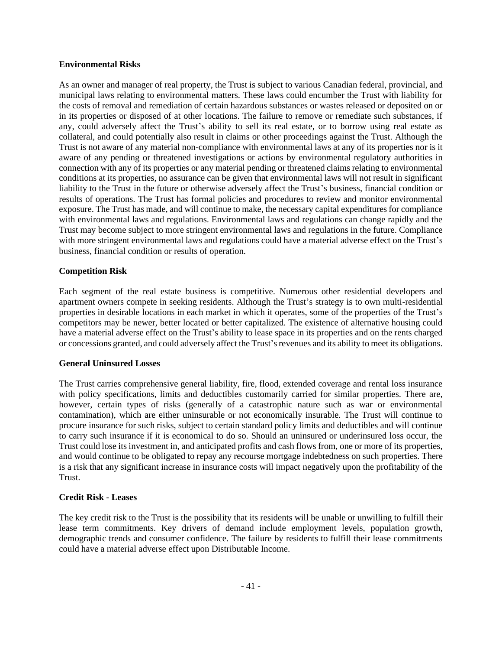#### **Environmental Risks**

As an owner and manager of real property, the Trust is subject to various Canadian federal, provincial, and municipal laws relating to environmental matters. These laws could encumber the Trust with liability for the costs of removal and remediation of certain hazardous substances or wastes released or deposited on or in its properties or disposed of at other locations. The failure to remove or remediate such substances, if any, could adversely affect the Trust's ability to sell its real estate, or to borrow using real estate as collateral, and could potentially also result in claims or other proceedings against the Trust. Although the Trust is not aware of any material non-compliance with environmental laws at any of its properties nor is it aware of any pending or threatened investigations or actions by environmental regulatory authorities in connection with any of its properties or any material pending or threatened claims relating to environmental conditions at its properties, no assurance can be given that environmental laws will not result in significant liability to the Trust in the future or otherwise adversely affect the Trust's business, financial condition or results of operations. The Trust has formal policies and procedures to review and monitor environmental exposure. The Trust has made, and will continue to make, the necessary capital expenditures for compliance with environmental laws and regulations. Environmental laws and regulations can change rapidly and the Trust may become subject to more stringent environmental laws and regulations in the future. Compliance with more stringent environmental laws and regulations could have a material adverse effect on the Trust's business, financial condition or results of operation.

# **Competition Risk**

Each segment of the real estate business is competitive. Numerous other residential developers and apartment owners compete in seeking residents. Although the Trust's strategy is to own multi-residential properties in desirable locations in each market in which it operates, some of the properties of the Trust's competitors may be newer, better located or better capitalized. The existence of alternative housing could have a material adverse effect on the Trust's ability to lease space in its properties and on the rents charged or concessions granted, and could adversely affect the Trust's revenues and its ability to meet its obligations.

## **General Uninsured Losses**

The Trust carries comprehensive general liability, fire, flood, extended coverage and rental loss insurance with policy specifications, limits and deductibles customarily carried for similar properties. There are, however, certain types of risks (generally of a catastrophic nature such as war or environmental contamination), which are either uninsurable or not economically insurable. The Trust will continue to procure insurance for such risks, subject to certain standard policy limits and deductibles and will continue to carry such insurance if it is economical to do so. Should an uninsured or underinsured loss occur, the Trust could lose its investment in, and anticipated profits and cash flows from, one or more of its properties, and would continue to be obligated to repay any recourse mortgage indebtedness on such properties. There is a risk that any significant increase in insurance costs will impact negatively upon the profitability of the Trust.

## **Credit Risk - Leases**

The key credit risk to the Trust is the possibility that its residents will be unable or unwilling to fulfill their lease term commitments. Key drivers of demand include employment levels, population growth, demographic trends and consumer confidence. The failure by residents to fulfill their lease commitments could have a material adverse effect upon Distributable Income.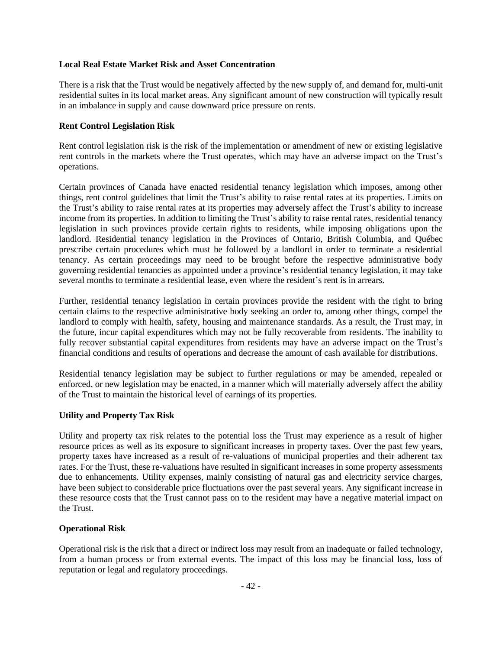#### **Local Real Estate Market Risk and Asset Concentration**

There is a risk that the Trust would be negatively affected by the new supply of, and demand for, multi-unit residential suites in its local market areas. Any significant amount of new construction will typically result in an imbalance in supply and cause downward price pressure on rents.

#### **Rent Control Legislation Risk**

Rent control legislation risk is the risk of the implementation or amendment of new or existing legislative rent controls in the markets where the Trust operates, which may have an adverse impact on the Trust's operations.

Certain provinces of Canada have enacted residential tenancy legislation which imposes, among other things, rent control guidelines that limit the Trust's ability to raise rental rates at its properties. Limits on the Trust's ability to raise rental rates at its properties may adversely affect the Trust's ability to increase income from its properties. In addition to limiting the Trust's ability to raise rental rates, residential tenancy legislation in such provinces provide certain rights to residents, while imposing obligations upon the landlord. Residential tenancy legislation in the Provinces of Ontario, British Columbia, and Québec prescribe certain procedures which must be followed by a landlord in order to terminate a residential tenancy. As certain proceedings may need to be brought before the respective administrative body governing residential tenancies as appointed under a province's residential tenancy legislation, it may take several months to terminate a residential lease, even where the resident's rent is in arrears.

Further, residential tenancy legislation in certain provinces provide the resident with the right to bring certain claims to the respective administrative body seeking an order to, among other things, compel the landlord to comply with health, safety, housing and maintenance standards. As a result, the Trust may, in the future, incur capital expenditures which may not be fully recoverable from residents. The inability to fully recover substantial capital expenditures from residents may have an adverse impact on the Trust's financial conditions and results of operations and decrease the amount of cash available for distributions.

Residential tenancy legislation may be subject to further regulations or may be amended, repealed or enforced, or new legislation may be enacted, in a manner which will materially adversely affect the ability of the Trust to maintain the historical level of earnings of its properties.

## **Utility and Property Tax Risk**

Utility and property tax risk relates to the potential loss the Trust may experience as a result of higher resource prices as well as its exposure to significant increases in property taxes. Over the past few years, property taxes have increased as a result of re-valuations of municipal properties and their adherent tax rates. For the Trust, these re-valuations have resulted in significant increases in some property assessments due to enhancements. Utility expenses, mainly consisting of natural gas and electricity service charges, have been subject to considerable price fluctuations over the past several years. Any significant increase in these resource costs that the Trust cannot pass on to the resident may have a negative material impact on the Trust.

## **Operational Risk**

Operational risk is the risk that a direct or indirect loss may result from an inadequate or failed technology, from a human process or from external events. The impact of this loss may be financial loss, loss of reputation or legal and regulatory proceedings.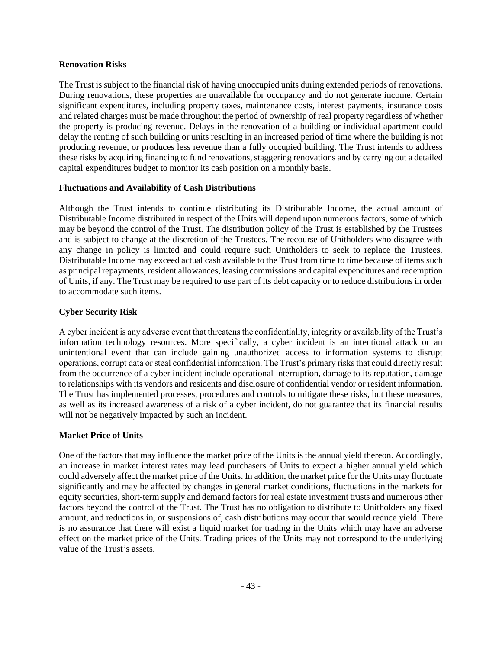#### **Renovation Risks**

The Trust is subject to the financial risk of having unoccupied units during extended periods of renovations. During renovations, these properties are unavailable for occupancy and do not generate income. Certain significant expenditures, including property taxes, maintenance costs, interest payments, insurance costs and related charges must be made throughout the period of ownership of real property regardless of whether the property is producing revenue. Delays in the renovation of a building or individual apartment could delay the renting of such building or units resulting in an increased period of time where the building is not producing revenue, or produces less revenue than a fully occupied building. The Trust intends to address these risks by acquiring financing to fund renovations, staggering renovations and by carrying out a detailed capital expenditures budget to monitor its cash position on a monthly basis.

## **Fluctuations and Availability of Cash Distributions**

Although the Trust intends to continue distributing its Distributable Income, the actual amount of Distributable Income distributed in respect of the Units will depend upon numerous factors, some of which may be beyond the control of the Trust. The distribution policy of the Trust is established by the Trustees and is subject to change at the discretion of the Trustees. The recourse of Unitholders who disagree with any change in policy is limited and could require such Unitholders to seek to replace the Trustees. Distributable Income may exceed actual cash available to the Trust from time to time because of items such as principal repayments, resident allowances, leasing commissions and capital expenditures and redemption of Units, if any. The Trust may be required to use part of its debt capacity or to reduce distributions in order to accommodate such items.

# **Cyber Security Risk**

A cyber incident is any adverse event that threatens the confidentiality, integrity or availability of the Trust's information technology resources. More specifically, a cyber incident is an intentional attack or an unintentional event that can include gaining unauthorized access to information systems to disrupt operations, corrupt data or steal confidential information. The Trust's primary risks that could directly result from the occurrence of a cyber incident include operational interruption, damage to its reputation, damage to relationships with its vendors and residents and disclosure of confidential vendor or resident information. The Trust has implemented processes, procedures and controls to mitigate these risks, but these measures, as well as its increased awareness of a risk of a cyber incident, do not guarantee that its financial results will not be negatively impacted by such an incident.

## **Market Price of Units**

One of the factors that may influence the market price of the Units is the annual yield thereon. Accordingly, an increase in market interest rates may lead purchasers of Units to expect a higher annual yield which could adversely affect the market price of the Units. In addition, the market price for the Units may fluctuate significantly and may be affected by changes in general market conditions, fluctuations in the markets for equity securities, short-term supply and demand factors for real estate investment trusts and numerous other factors beyond the control of the Trust. The Trust has no obligation to distribute to Unitholders any fixed amount, and reductions in, or suspensions of, cash distributions may occur that would reduce yield. There is no assurance that there will exist a liquid market for trading in the Units which may have an adverse effect on the market price of the Units. Trading prices of the Units may not correspond to the underlying value of the Trust's assets.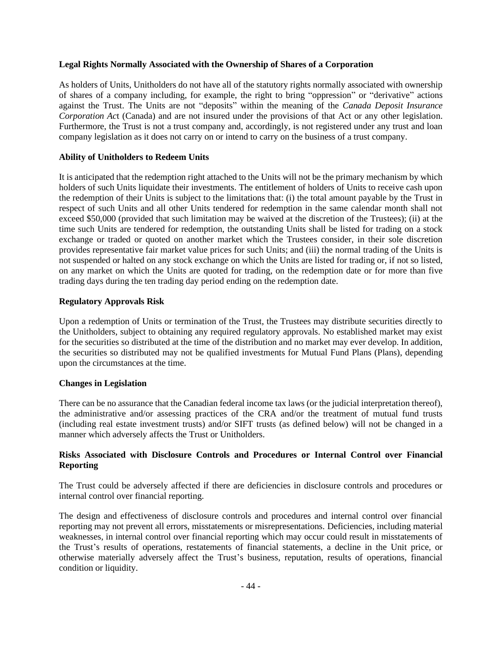#### **Legal Rights Normally Associated with the Ownership of Shares of a Corporation**

As holders of Units, Unitholders do not have all of the statutory rights normally associated with ownership of shares of a company including, for example, the right to bring "oppression" or "derivative" actions against the Trust. The Units are not "deposits" within the meaning of the *Canada Deposit Insurance Corporation Ac*t (Canada) and are not insured under the provisions of that Act or any other legislation. Furthermore, the Trust is not a trust company and, accordingly, is not registered under any trust and loan company legislation as it does not carry on or intend to carry on the business of a trust company.

## **Ability of Unitholders to Redeem Units**

It is anticipated that the redemption right attached to the Units will not be the primary mechanism by which holders of such Units liquidate their investments. The entitlement of holders of Units to receive cash upon the redemption of their Units is subject to the limitations that: (i) the total amount payable by the Trust in respect of such Units and all other Units tendered for redemption in the same calendar month shall not exceed \$50,000 (provided that such limitation may be waived at the discretion of the Trustees); (ii) at the time such Units are tendered for redemption, the outstanding Units shall be listed for trading on a stock exchange or traded or quoted on another market which the Trustees consider, in their sole discretion provides representative fair market value prices for such Units; and (iii) the normal trading of the Units is not suspended or halted on any stock exchange on which the Units are listed for trading or, if not so listed, on any market on which the Units are quoted for trading, on the redemption date or for more than five trading days during the ten trading day period ending on the redemption date.

#### **Regulatory Approvals Risk**

Upon a redemption of Units or termination of the Trust, the Trustees may distribute securities directly to the Unitholders, subject to obtaining any required regulatory approvals. No established market may exist for the securities so distributed at the time of the distribution and no market may ever develop. In addition, the securities so distributed may not be qualified investments for Mutual Fund Plans (Plans), depending upon the circumstances at the time.

## **Changes in Legislation**

There can be no assurance that the Canadian federal income tax laws (or the judicial interpretation thereof), the administrative and/or assessing practices of the CRA and/or the treatment of mutual fund trusts (including real estate investment trusts) and/or SIFT trusts (as defined below) will not be changed in a manner which adversely affects the Trust or Unitholders.

## **Risks Associated with Disclosure Controls and Procedures or Internal Control over Financial Reporting**

The Trust could be adversely affected if there are deficiencies in disclosure controls and procedures or internal control over financial reporting.

The design and effectiveness of disclosure controls and procedures and internal control over financial reporting may not prevent all errors, misstatements or misrepresentations. Deficiencies, including material weaknesses, in internal control over financial reporting which may occur could result in misstatements of the Trust's results of operations, restatements of financial statements, a decline in the Unit price, or otherwise materially adversely affect the Trust's business, reputation, results of operations, financial condition or liquidity.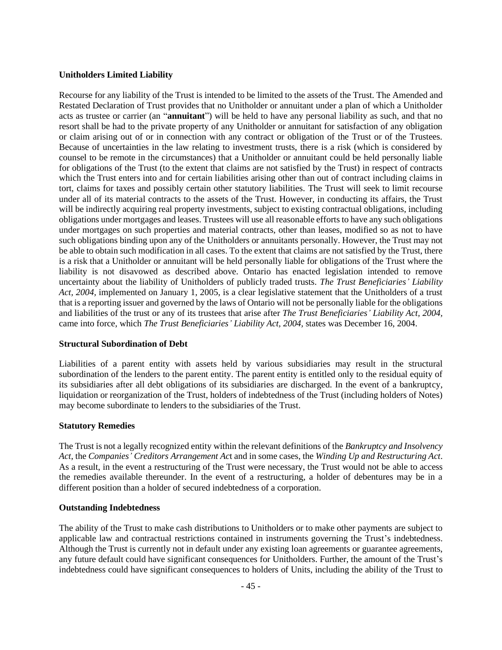## **Unitholders Limited Liability**

Recourse for any liability of the Trust is intended to be limited to the assets of the Trust. The Amended and Restated Declaration of Trust provides that no Unitholder or annuitant under a plan of which a Unitholder acts as trustee or carrier (an "**annuitant**") will be held to have any personal liability as such, and that no resort shall be had to the private property of any Unitholder or annuitant for satisfaction of any obligation or claim arising out of or in connection with any contract or obligation of the Trust or of the Trustees. Because of uncertainties in the law relating to investment trusts, there is a risk (which is considered by counsel to be remote in the circumstances) that a Unitholder or annuitant could be held personally liable for obligations of the Trust (to the extent that claims are not satisfied by the Trust) in respect of contracts which the Trust enters into and for certain liabilities arising other than out of contract including claims in tort, claims for taxes and possibly certain other statutory liabilities. The Trust will seek to limit recourse under all of its material contracts to the assets of the Trust. However, in conducting its affairs, the Trust will be indirectly acquiring real property investments, subject to existing contractual obligations, including obligations under mortgages and leases. Trustees will use all reasonable efforts to have any such obligations under mortgages on such properties and material contracts, other than leases, modified so as not to have such obligations binding upon any of the Unitholders or annuitants personally. However, the Trust may not be able to obtain such modification in all cases. To the extent that claims are not satisfied by the Trust, there is a risk that a Unitholder or annuitant will be held personally liable for obligations of the Trust where the liability is not disavowed as described above. Ontario has enacted legislation intended to remove uncertainty about the liability of Unitholders of publicly traded trusts. *The Trust Beneficiaries' Liability Act, 2004,* implemented on January 1, 2005, is a clear legislative statement that the Unitholders of a trust that is a reporting issuer and governed by the laws of Ontario will not be personally liable for the obligations and liabilities of the trust or any of its trustees that arise after *The Trust Beneficiaries' Liability Act, 2004,* came into force, which *The Trust Beneficiaries' Liability Act, 2004,* states was December 16, 2004.

## **Structural Subordination of Debt**

Liabilities of a parent entity with assets held by various subsidiaries may result in the structural subordination of the lenders to the parent entity. The parent entity is entitled only to the residual equity of its subsidiaries after all debt obligations of its subsidiaries are discharged. In the event of a bankruptcy, liquidation or reorganization of the Trust, holders of indebtedness of the Trust (including holders of Notes) may become subordinate to lenders to the subsidiaries of the Trust.

## **Statutory Remedies**

The Trust is not a legally recognized entity within the relevant definitions of the *Bankruptcy and Insolvency Act*, the *Companies' Creditors Arrangement Ac*t and in some cases, the *Winding Up and Restructuring Act*. As a result, in the event a restructuring of the Trust were necessary, the Trust would not be able to access the remedies available thereunder. In the event of a restructuring, a holder of debentures may be in a different position than a holder of secured indebtedness of a corporation.

## **Outstanding Indebtedness**

The ability of the Trust to make cash distributions to Unitholders or to make other payments are subject to applicable law and contractual restrictions contained in instruments governing the Trust's indebtedness. Although the Trust is currently not in default under any existing loan agreements or guarantee agreements, any future default could have significant consequences for Unitholders. Further, the amount of the Trust's indebtedness could have significant consequences to holders of Units, including the ability of the Trust to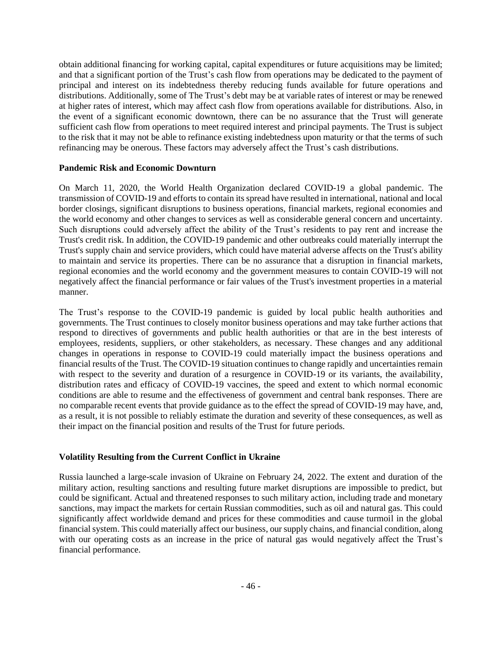obtain additional financing for working capital, capital expenditures or future acquisitions may be limited; and that a significant portion of the Trust's cash flow from operations may be dedicated to the payment of principal and interest on its indebtedness thereby reducing funds available for future operations and distributions. Additionally, some of The Trust's debt may be at variable rates of interest or may be renewed at higher rates of interest, which may affect cash flow from operations available for distributions. Also, in the event of a significant economic downtown, there can be no assurance that the Trust will generate sufficient cash flow from operations to meet required interest and principal payments. The Trust is subject to the risk that it may not be able to refinance existing indebtedness upon maturity or that the terms of such refinancing may be onerous. These factors may adversely affect the Trust's cash distributions.

#### **Pandemic Risk and Economic Downturn**

On March 11, 2020, the World Health Organization declared COVID-19 a global pandemic. The transmission of COVID-19 and efforts to contain its spread have resulted in international, national and local border closings, significant disruptions to business operations, financial markets, regional economies and the world economy and other changes to services as well as considerable general concern and uncertainty. Such disruptions could adversely affect the ability of the Trust's residents to pay rent and increase the Trust's credit risk. In addition, the COVID-19 pandemic and other outbreaks could materially interrupt the Trust's supply chain and service providers, which could have material adverse affects on the Trust's ability to maintain and service its properties. There can be no assurance that a disruption in financial markets, regional economies and the world economy and the government measures to contain COVID-19 will not negatively affect the financial performance or fair values of the Trust's investment properties in a material manner.

The Trust's response to the COVID-19 pandemic is guided by local public health authorities and governments. The Trust continues to closely monitor business operations and may take further actions that respond to directives of governments and public health authorities or that are in the best interests of employees, residents, suppliers, or other stakeholders, as necessary. These changes and any additional changes in operations in response to COVID-19 could materially impact the business operations and financial results of the Trust. The COVID-19 situation continues to change rapidly and uncertainties remain with respect to the severity and duration of a resurgence in COVID-19 or its variants, the availability, distribution rates and efficacy of COVID-19 vaccines, the speed and extent to which normal economic conditions are able to resume and the effectiveness of government and central bank responses. There are no comparable recent events that provide guidance as to the effect the spread of COVID-19 may have, and, as a result, it is not possible to reliably estimate the duration and severity of these consequences, as well as their impact on the financial position and results of the Trust for future periods.

## **Volatility Resulting from the Current Conflict in Ukraine**

Russia launched a large-scale invasion of Ukraine on February 24, 2022. The extent and duration of the military action, resulting sanctions and resulting future market disruptions are impossible to predict, but could be significant. Actual and threatened responses to such military action, including trade and monetary sanctions, may impact the markets for certain Russian commodities, such as oil and natural gas. This could significantly affect worldwide demand and prices for these commodities and cause turmoil in the global financial system. This could materially affect our business, our supply chains, and financial condition, along with our operating costs as an increase in the price of natural gas would negatively affect the Trust's financial performance.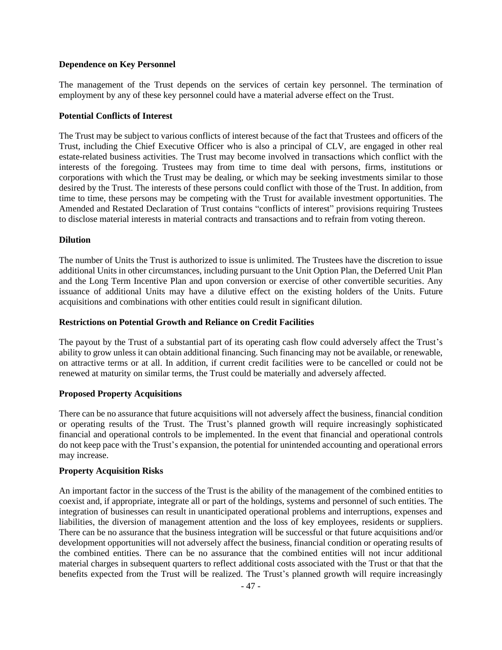#### **Dependence on Key Personnel**

The management of the Trust depends on the services of certain key personnel. The termination of employment by any of these key personnel could have a material adverse effect on the Trust.

#### **Potential Conflicts of Interest**

The Trust may be subject to various conflicts of interest because of the fact that Trustees and officers of the Trust, including the Chief Executive Officer who is also a principal of CLV, are engaged in other real estate-related business activities. The Trust may become involved in transactions which conflict with the interests of the foregoing. Trustees may from time to time deal with persons, firms, institutions or corporations with which the Trust may be dealing, or which may be seeking investments similar to those desired by the Trust. The interests of these persons could conflict with those of the Trust. In addition, from time to time, these persons may be competing with the Trust for available investment opportunities. The Amended and Restated Declaration of Trust contains "conflicts of interest" provisions requiring Trustees to disclose material interests in material contracts and transactions and to refrain from voting thereon.

#### **Dilution**

The number of Units the Trust is authorized to issue is unlimited. The Trustees have the discretion to issue additional Units in other circumstances, including pursuant to the Unit Option Plan, the Deferred Unit Plan and the Long Term Incentive Plan and upon conversion or exercise of other convertible securities. Any issuance of additional Units may have a dilutive effect on the existing holders of the Units. Future acquisitions and combinations with other entities could result in significant dilution.

#### **Restrictions on Potential Growth and Reliance on Credit Facilities**

The payout by the Trust of a substantial part of its operating cash flow could adversely affect the Trust's ability to grow unless it can obtain additional financing. Such financing may not be available, or renewable, on attractive terms or at all. In addition, if current credit facilities were to be cancelled or could not be renewed at maturity on similar terms, the Trust could be materially and adversely affected.

## **Proposed Property Acquisitions**

There can be no assurance that future acquisitions will not adversely affect the business, financial condition or operating results of the Trust. The Trust's planned growth will require increasingly sophisticated financial and operational controls to be implemented. In the event that financial and operational controls do not keep pace with the Trust's expansion, the potential for unintended accounting and operational errors may increase.

#### **Property Acquisition Risks**

An important factor in the success of the Trust is the ability of the management of the combined entities to coexist and, if appropriate, integrate all or part of the holdings, systems and personnel of such entities. The integration of businesses can result in unanticipated operational problems and interruptions, expenses and liabilities, the diversion of management attention and the loss of key employees, residents or suppliers. There can be no assurance that the business integration will be successful or that future acquisitions and/or development opportunities will not adversely affect the business, financial condition or operating results of the combined entities. There can be no assurance that the combined entities will not incur additional material charges in subsequent quarters to reflect additional costs associated with the Trust or that that the benefits expected from the Trust will be realized. The Trust's planned growth will require increasingly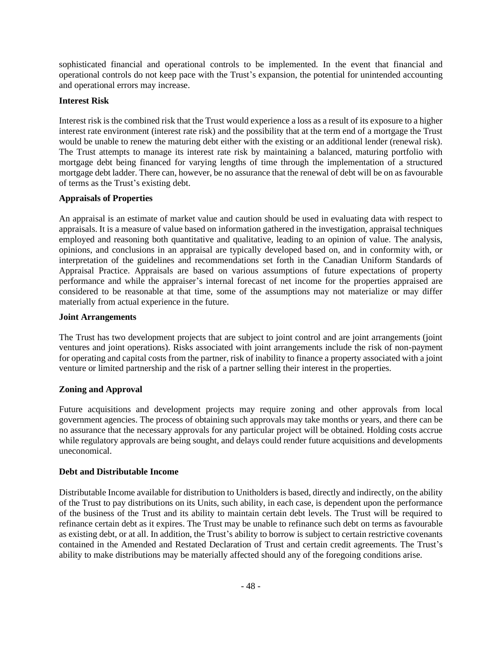sophisticated financial and operational controls to be implemented. In the event that financial and operational controls do not keep pace with the Trust's expansion, the potential for unintended accounting and operational errors may increase.

# **Interest Risk**

Interest risk is the combined risk that the Trust would experience a loss as a result of its exposure to a higher interest rate environment (interest rate risk) and the possibility that at the term end of a mortgage the Trust would be unable to renew the maturing debt either with the existing or an additional lender (renewal risk). The Trust attempts to manage its interest rate risk by maintaining a balanced, maturing portfolio with mortgage debt being financed for varying lengths of time through the implementation of a structured mortgage debt ladder. There can, however, be no assurance that the renewal of debt will be on as favourable of terms as the Trust's existing debt.

# **Appraisals of Properties**

An appraisal is an estimate of market value and caution should be used in evaluating data with respect to appraisals. It is a measure of value based on information gathered in the investigation, appraisal techniques employed and reasoning both quantitative and qualitative, leading to an opinion of value. The analysis, opinions, and conclusions in an appraisal are typically developed based on, and in conformity with, or interpretation of the guidelines and recommendations set forth in the Canadian Uniform Standards of Appraisal Practice. Appraisals are based on various assumptions of future expectations of property performance and while the appraiser's internal forecast of net income for the properties appraised are considered to be reasonable at that time, some of the assumptions may not materialize or may differ materially from actual experience in the future.

# **Joint Arrangements**

The Trust has two development projects that are subject to joint control and are joint arrangements (joint ventures and joint operations). Risks associated with joint arrangements include the risk of non-payment for operating and capital costs from the partner, risk of inability to finance a property associated with a joint venture or limited partnership and the risk of a partner selling their interest in the properties.

# **Zoning and Approval**

Future acquisitions and development projects may require zoning and other approvals from local government agencies. The process of obtaining such approvals may take months or years, and there can be no assurance that the necessary approvals for any particular project will be obtained. Holding costs accrue while regulatory approvals are being sought, and delays could render future acquisitions and developments uneconomical.

# **Debt and Distributable Income**

Distributable Income available for distribution to Unitholders is based, directly and indirectly, on the ability of the Trust to pay distributions on its Units, such ability, in each case, is dependent upon the performance of the business of the Trust and its ability to maintain certain debt levels. The Trust will be required to refinance certain debt as it expires. The Trust may be unable to refinance such debt on terms as favourable as existing debt, or at all. In addition, the Trust's ability to borrow is subject to certain restrictive covenants contained in the Amended and Restated Declaration of Trust and certain credit agreements. The Trust's ability to make distributions may be materially affected should any of the foregoing conditions arise.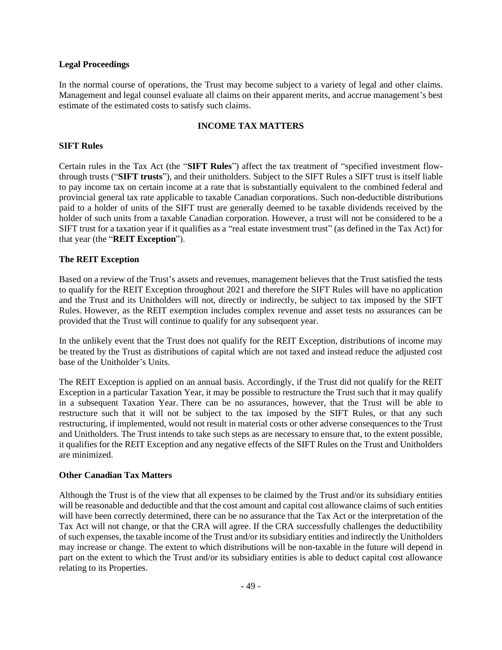#### **Legal Proceedings**

In the normal course of operations, the Trust may become subject to a variety of legal and other claims. Management and legal counsel evaluate all claims on their apparent merits, and accrue management's best estimate of the estimated costs to satisfy such claims.

#### **INCOME TAX MATTERS**

#### <span id="page-50-0"></span>**SIFT Rules**

Certain rules in the Tax Act (the "**SIFT Rules**") affect the tax treatment of "specified investment flowthrough trusts ("**SIFT trusts**"), and their unitholders. Subject to the SIFT Rules a SIFT trust is itself liable to pay income tax on certain income at a rate that is substantially equivalent to the combined federal and provincial general tax rate applicable to taxable Canadian corporations. Such non-deductible distributions paid to a holder of units of the SIFT trust are generally deemed to be taxable dividends received by the holder of such units from a taxable Canadian corporation. However, a trust will not be considered to be a SIFT trust for a taxation year if it qualifies as a "real estate investment trust" (as defined in the Tax Act) for that year (the "**REIT Exception**").

## **The REIT Exception**

Based on a review of the Trust's assets and revenues, management believes that the Trust satisfied the tests to qualify for the REIT Exception throughout 2021 and therefore the SIFT Rules will have no application and the Trust and its Unitholders will not, directly or indirectly, be subject to tax imposed by the SIFT Rules. However, as the REIT exemption includes complex revenue and asset tests no assurances can be provided that the Trust will continue to qualify for any subsequent year.

In the unlikely event that the Trust does not qualify for the REIT Exception, distributions of income may be treated by the Trust as distributions of capital which are not taxed and instead reduce the adjusted cost base of the Unitholder's Units.

The REIT Exception is applied on an annual basis. Accordingly, if the Trust did not qualify for the REIT Exception in a particular Taxation Year, it may be possible to restructure the Trust such that it may qualify in a subsequent Taxation Year. There can be no assurances, however, that the Trust will be able to restructure such that it will not be subject to the tax imposed by the SIFT Rules, or that any such restructuring, if implemented, would not result in material costs or other adverse consequences to the Trust and Unitholders. The Trust intends to take such steps as are necessary to ensure that, to the extent possible, it qualifies for the REIT Exception and any negative effects of the SIFT Rules on the Trust and Unitholders are minimized.

## **Other Canadian Tax Matters**

Although the Trust is of the view that all expenses to be claimed by the Trust and/or its subsidiary entities will be reasonable and deductible and that the cost amount and capital cost allowance claims of such entities will have been correctly determined, there can be no assurance that the Tax Act or the interpretation of the Tax Act will not change, or that the CRA will agree. If the CRA successfully challenges the deductibility of such expenses, the taxable income of the Trust and/or its subsidiary entities and indirectly the Unitholders may increase or change. The extent to which distributions will be non-taxable in the future will depend in part on the extent to which the Trust and/or its subsidiary entities is able to deduct capital cost allowance relating to its Properties.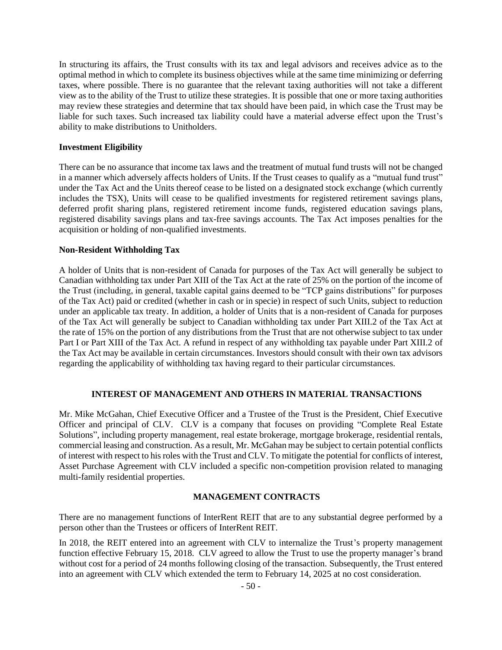In structuring its affairs, the Trust consults with its tax and legal advisors and receives advice as to the optimal method in which to complete its business objectives while at the same time minimizing or deferring taxes, where possible. There is no guarantee that the relevant taxing authorities will not take a different view as to the ability of the Trust to utilize these strategies. It is possible that one or more taxing authorities may review these strategies and determine that tax should have been paid, in which case the Trust may be liable for such taxes. Such increased tax liability could have a material adverse effect upon the Trust's ability to make distributions to Unitholders.

#### **Investment Eligibility**

There can be no assurance that income tax laws and the treatment of mutual fund trusts will not be changed in a manner which adversely affects holders of Units. If the Trust ceases to qualify as a "mutual fund trust" under the Tax Act and the Units thereof cease to be listed on a designated stock exchange (which currently includes the TSX), Units will cease to be qualified investments for registered retirement savings plans, deferred profit sharing plans, registered retirement income funds, registered education savings plans, registered disability savings plans and tax-free savings accounts. The Tax Act imposes penalties for the acquisition or holding of non-qualified investments.

#### **Non-Resident Withholding Tax**

A holder of Units that is non-resident of Canada for purposes of the Tax Act will generally be subject to Canadian withholding tax under Part XIII of the Tax Act at the rate of 25% on the portion of the income of the Trust (including, in general, taxable capital gains deemed to be "TCP gains distributions" for purposes of the Tax Act) paid or credited (whether in cash or in specie) in respect of such Units, subject to reduction under an applicable tax treaty. In addition, a holder of Units that is a non-resident of Canada for purposes of the Tax Act will generally be subject to Canadian withholding tax under Part XIII.2 of the Tax Act at the rate of 15% on the portion of any distributions from the Trust that are not otherwise subject to tax under Part I or Part XIII of the Tax Act. A refund in respect of any withholding tax payable under Part XIII.2 of the Tax Act may be available in certain circumstances. Investors should consult with their own tax advisors regarding the applicability of withholding tax having regard to their particular circumstances.

#### **INTEREST OF MANAGEMENT AND OTHERS IN MATERIAL TRANSACTIONS**

<span id="page-51-0"></span>Mr. Mike McGahan, Chief Executive Officer and a Trustee of the Trust is the President, Chief Executive Officer and principal of CLV. CLV is a company that focuses on providing "Complete Real Estate Solutions", including property management, real estate brokerage, mortgage brokerage, residential rentals, commercial leasing and construction. As a result, Mr. McGahan may be subject to certain potential conflicts of interest with respect to his roles with the Trust and CLV. To mitigate the potential for conflicts of interest, Asset Purchase Agreement with CLV included a specific non-competition provision related to managing multi-family residential properties.

## **MANAGEMENT CONTRACTS**

<span id="page-51-1"></span>There are no management functions of InterRent REIT that are to any substantial degree performed by a person other than the Trustees or officers of InterRent REIT.

In 2018, the REIT entered into an agreement with CLV to internalize the Trust's property management function effective February 15, 2018. CLV agreed to allow the Trust to use the property manager's brand without cost for a period of 24 months following closing of the transaction. Subsequently, the Trust entered into an agreement with CLV which extended the term to February 14, 2025 at no cost consideration.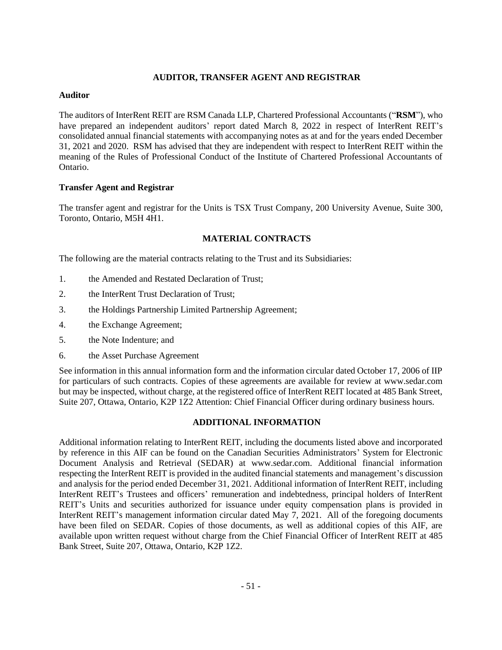# **AUDITOR, TRANSFER AGENT AND REGISTRAR**

# <span id="page-52-1"></span><span id="page-52-0"></span>**Auditor**

The auditors of InterRent REIT are RSM Canada LLP, Chartered Professional Accountants ("**RSM**"), who have prepared an independent auditors' report dated March 8, 2022 in respect of InterRent REIT's consolidated annual financial statements with accompanying notes as at and for the years ended December 31, 2021 and 2020. RSM has advised that they are independent with respect to InterRent REIT within the meaning of the Rules of Professional Conduct of the Institute of Chartered Professional Accountants of Ontario.

# <span id="page-52-2"></span>**Transfer Agent and Registrar**

The transfer agent and registrar for the Units is TSX Trust Company, 200 University Avenue, Suite 300, Toronto, Ontario, M5H 4H1.

# <span id="page-52-3"></span>**MATERIAL CONTRACTS**

The following are the material contracts relating to the Trust and its Subsidiaries:

- 1. the Amended and Restated Declaration of Trust;
- 2. the InterRent Trust Declaration of Trust;
- 3. the Holdings Partnership Limited Partnership Agreement;
- 4. the Exchange Agreement;
- 5. the Note Indenture; and
- 6. the Asset Purchase Agreement

See information in this annual information form and the information circular dated October 17, 2006 of IIP for particulars of such contracts. Copies of these agreements are available for review at www.sedar.com but may be inspected, without charge, at the registered office of InterRent REIT located at 485 Bank Street, Suite 207, Ottawa, Ontario, K2P 1Z2 Attention: Chief Financial Officer during ordinary business hours.

## **ADDITIONAL INFORMATION**

<span id="page-52-4"></span>Additional information relating to InterRent REIT, including the documents listed above and incorporated by reference in this AIF can be found on the Canadian Securities Administrators' System for Electronic Document Analysis and Retrieval (SEDAR) at www.sedar.com. Additional financial information respecting the InterRent REIT is provided in the audited financial statements and management's discussion and analysis for the period ended December 31, 2021. Additional information of InterRent REIT, including InterRent REIT's Trustees and officers' remuneration and indebtedness, principal holders of InterRent REIT's Units and securities authorized for issuance under equity compensation plans is provided in InterRent REIT's management information circular dated May 7, 2021. All of the foregoing documents have been filed on SEDAR. Copies of those documents, as well as additional copies of this AIF, are available upon written request without charge from the Chief Financial Officer of InterRent REIT at 485 Bank Street, Suite 207, Ottawa, Ontario, K2P 1Z2.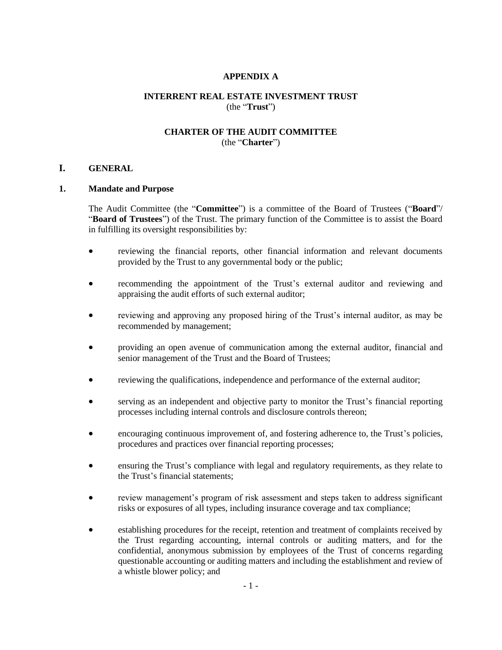## **APPENDIX A**

# **INTERRENT REAL ESTATE INVESTMENT TRUST** (the "**Trust**")

# **CHARTER OF THE AUDIT COMMITTEE** (the "**Charter**")

# **I. GENERAL**

#### **1. Mandate and Purpose**

The Audit Committee (the "**Committee**") is a committee of the Board of Trustees ("**Board**"/ "**Board of Trustees**") of the Trust. The primary function of the Committee is to assist the Board in fulfilling its oversight responsibilities by:

- reviewing the financial reports, other financial information and relevant documents provided by the Trust to any governmental body or the public;
- recommending the appointment of the Trust's external auditor and reviewing and appraising the audit efforts of such external auditor;
- reviewing and approving any proposed hiring of the Trust's internal auditor, as may be recommended by management;
- providing an open avenue of communication among the external auditor, financial and senior management of the Trust and the Board of Trustees;
- reviewing the qualifications, independence and performance of the external auditor;
- serving as an independent and objective party to monitor the Trust's financial reporting processes including internal controls and disclosure controls thereon;
- encouraging continuous improvement of, and fostering adherence to, the Trust's policies, procedures and practices over financial reporting processes;
- ensuring the Trust's compliance with legal and regulatory requirements, as they relate to the Trust's financial statements;
- review management's program of risk assessment and steps taken to address significant risks or exposures of all types, including insurance coverage and tax compliance;
- establishing procedures for the receipt, retention and treatment of complaints received by the Trust regarding accounting, internal controls or auditing matters, and for the confidential, anonymous submission by employees of the Trust of concerns regarding questionable accounting or auditing matters and including the establishment and review of a whistle blower policy; and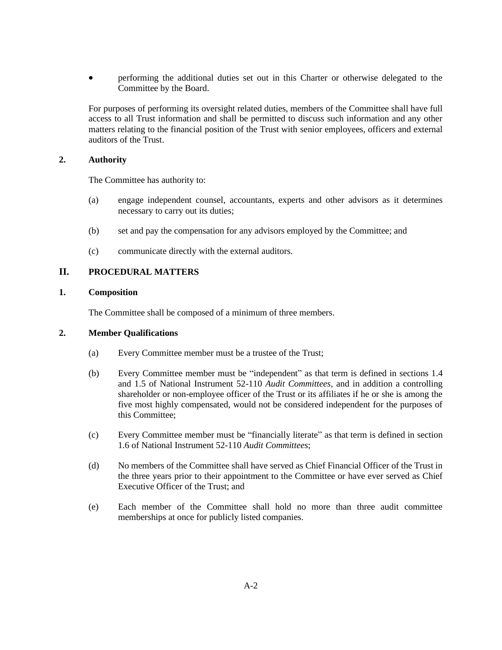• performing the additional duties set out in this Charter or otherwise delegated to the Committee by the Board.

For purposes of performing its oversight related duties, members of the Committee shall have full access to all Trust information and shall be permitted to discuss such information and any other matters relating to the financial position of the Trust with senior employees, officers and external auditors of the Trust.

#### **2. Authority**

The Committee has authority to:

- (a) engage independent counsel, accountants, experts and other advisors as it determines necessary to carry out its duties;
- (b) set and pay the compensation for any advisors employed by the Committee; and
- (c) communicate directly with the external auditors.

# **II. PROCEDURAL MATTERS**

#### **1. Composition**

The Committee shall be composed of a minimum of three members.

#### **2. Member Qualifications**

- (a) Every Committee member must be a trustee of the Trust;
- (b) Every Committee member must be "independent" as that term is defined in sections 1.4 and 1.5 of National Instrument 52-110 *Audit Committees*, and in addition a controlling shareholder or non-employee officer of the Trust or its affiliates if he or she is among the five most highly compensated, would not be considered independent for the purposes of this Committee;
- (c) Every Committee member must be "financially literate" as that term is defined in section 1.6 of National Instrument 52-110 *Audit Committees*;
- (d) No members of the Committee shall have served as Chief Financial Officer of the Trust in the three years prior to their appointment to the Committee or have ever served as Chief Executive Officer of the Trust; and
- (e) Each member of the Committee shall hold no more than three audit committee memberships at once for publicly listed companies.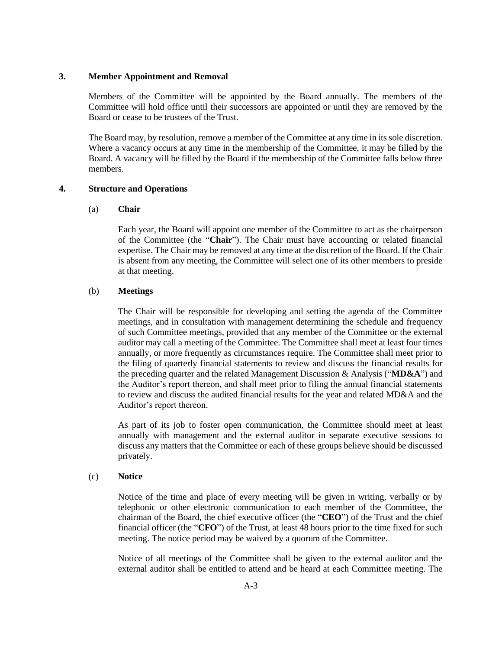#### **3. Member Appointment and Removal**

Members of the Committee will be appointed by the Board annually. The members of the Committee will hold office until their successors are appointed or until they are removed by the Board or cease to be trustees of the Trust.

The Board may, by resolution, remove a member of the Committee at any time in its sole discretion. Where a vacancy occurs at any time in the membership of the Committee, it may be filled by the Board. A vacancy will be filled by the Board if the membership of the Committee falls below three members.

#### **4. Structure and Operations**

#### (a) **Chair**

Each year, the Board will appoint one member of the Committee to act as the chairperson of the Committee (the "**Chair**"). The Chair must have accounting or related financial expertise. The Chair may be removed at any time at the discretion of the Board. If the Chair is absent from any meeting, the Committee will select one of its other members to preside at that meeting.

#### (b) **Meetings**

The Chair will be responsible for developing and setting the agenda of the Committee meetings, and in consultation with management determining the schedule and frequency of such Committee meetings, provided that any member of the Committee or the external auditor may call a meeting of the Committee. The Committee shall meet at least four times annually, or more frequently as circumstances require. The Committee shall meet prior to the filing of quarterly financial statements to review and discuss the financial results for the preceding quarter and the related Management Discussion & Analysis ("**MD&A**") and the Auditor's report thereon, and shall meet prior to filing the annual financial statements to review and discuss the audited financial results for the year and related MD&A and the Auditor's report thereon.

As part of its job to foster open communication, the Committee should meet at least annually with management and the external auditor in separate executive sessions to discuss any matters that the Committee or each of these groups believe should be discussed privately.

#### (c) **Notice**

Notice of the time and place of every meeting will be given in writing, verbally or by telephonic or other electronic communication to each member of the Committee, the chairman of the Board, the chief executive officer (the "**CEO**") of the Trust and the chief financial officer (the "**CFO**") of the Trust, at least 48 hours prior to the time fixed for such meeting. The notice period may be waived by a quorum of the Committee.

Notice of all meetings of the Committee shall be given to the external auditor and the external auditor shall be entitled to attend and be heard at each Committee meeting. The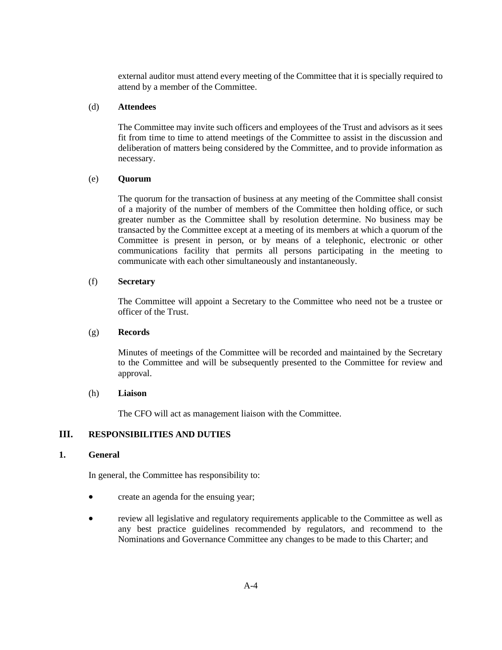external auditor must attend every meeting of the Committee that it is specially required to attend by a member of the Committee.

#### (d) **Attendees**

The Committee may invite such officers and employees of the Trust and advisors as it sees fit from time to time to attend meetings of the Committee to assist in the discussion and deliberation of matters being considered by the Committee, and to provide information as necessary.

#### (e) **Quorum**

The quorum for the transaction of business at any meeting of the Committee shall consist of a majority of the number of members of the Committee then holding office, or such greater number as the Committee shall by resolution determine. No business may be transacted by the Committee except at a meeting of its members at which a quorum of the Committee is present in person, or by means of a telephonic, electronic or other communications facility that permits all persons participating in the meeting to communicate with each other simultaneously and instantaneously.

#### (f) **Secretary**

The Committee will appoint a Secretary to the Committee who need not be a trustee or officer of the Trust.

#### (g) **Records**

Minutes of meetings of the Committee will be recorded and maintained by the Secretary to the Committee and will be subsequently presented to the Committee for review and approval.

#### (h) **Liaison**

The CFO will act as management liaison with the Committee.

# **III. RESPONSIBILITIES AND DUTIES**

#### **1. General**

In general, the Committee has responsibility to:

- create an agenda for the ensuing year;
- review all legislative and regulatory requirements applicable to the Committee as well as any best practice guidelines recommended by regulators, and recommend to the Nominations and Governance Committee any changes to be made to this Charter; and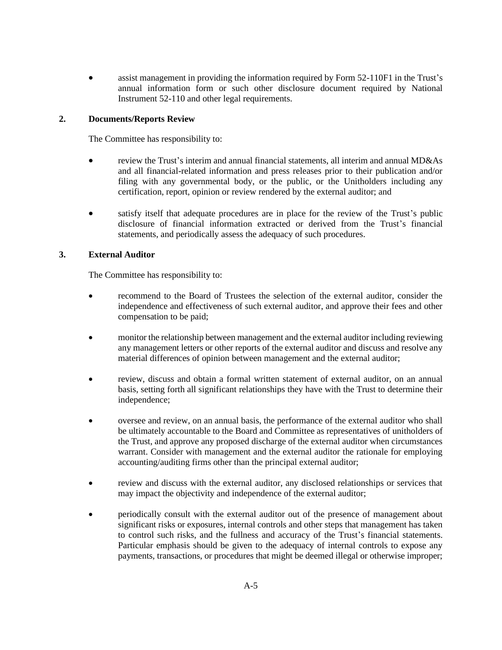• assist management in providing the information required by Form 52-110F1 in the Trust's annual information form or such other disclosure document required by National Instrument 52-110 and other legal requirements.

#### **2. Documents/Reports Review**

The Committee has responsibility to:

- review the Trust's interim and annual financial statements, all interim and annual MD&As and all financial-related information and press releases prior to their publication and/or filing with any governmental body, or the public, or the Unitholders including any certification, report, opinion or review rendered by the external auditor; and
- satisfy itself that adequate procedures are in place for the review of the Trust's public disclosure of financial information extracted or derived from the Trust's financial statements, and periodically assess the adequacy of such procedures.

## **3. External Auditor**

The Committee has responsibility to:

- recommend to the Board of Trustees the selection of the external auditor, consider the independence and effectiveness of such external auditor, and approve their fees and other compensation to be paid;
- monitor the relationship between management and the external auditor including reviewing any management letters or other reports of the external auditor and discuss and resolve any material differences of opinion between management and the external auditor;
- review, discuss and obtain a formal written statement of external auditor, on an annual basis, setting forth all significant relationships they have with the Trust to determine their independence;
- oversee and review, on an annual basis, the performance of the external auditor who shall be ultimately accountable to the Board and Committee as representatives of unitholders of the Trust, and approve any proposed discharge of the external auditor when circumstances warrant. Consider with management and the external auditor the rationale for employing accounting/auditing firms other than the principal external auditor;
- review and discuss with the external auditor, any disclosed relationships or services that may impact the objectivity and independence of the external auditor;
- periodically consult with the external auditor out of the presence of management about significant risks or exposures, internal controls and other steps that management has taken to control such risks, and the fullness and accuracy of the Trust's financial statements. Particular emphasis should be given to the adequacy of internal controls to expose any payments, transactions, or procedures that might be deemed illegal or otherwise improper;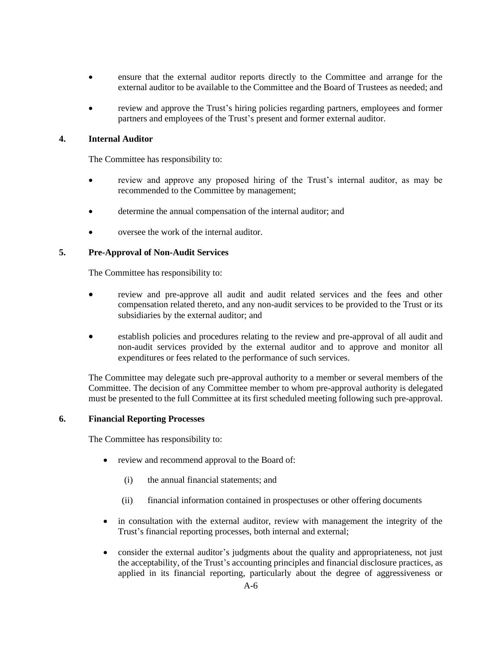- ensure that the external auditor reports directly to the Committee and arrange for the external auditor to be available to the Committee and the Board of Trustees as needed; and
- review and approve the Trust's hiring policies regarding partners, employees and former partners and employees of the Trust's present and former external auditor.

#### **4. Internal Auditor**

The Committee has responsibility to:

- review and approve any proposed hiring of the Trust's internal auditor, as may be recommended to the Committee by management;
- determine the annual compensation of the internal auditor; and
- oversee the work of the internal auditor.

#### **5. Pre-Approval of Non-Audit Services**

The Committee has responsibility to:

- review and pre-approve all audit and audit related services and the fees and other compensation related thereto, and any non-audit services to be provided to the Trust or its subsidiaries by the external auditor; and
- establish policies and procedures relating to the review and pre-approval of all audit and non-audit services provided by the external auditor and to approve and monitor all expenditures or fees related to the performance of such services.

The Committee may delegate such pre-approval authority to a member or several members of the Committee. The decision of any Committee member to whom pre-approval authority is delegated must be presented to the full Committee at its first scheduled meeting following such pre-approval.

#### **6. Financial Reporting Processes**

The Committee has responsibility to:

- review and recommend approval to the Board of:
	- (i) the annual financial statements; and
	- (ii) financial information contained in prospectuses or other offering documents
- in consultation with the external auditor, review with management the integrity of the Trust's financial reporting processes, both internal and external;
- consider the external auditor's judgments about the quality and appropriateness, not just the acceptability, of the Trust's accounting principles and financial disclosure practices, as applied in its financial reporting, particularly about the degree of aggressiveness or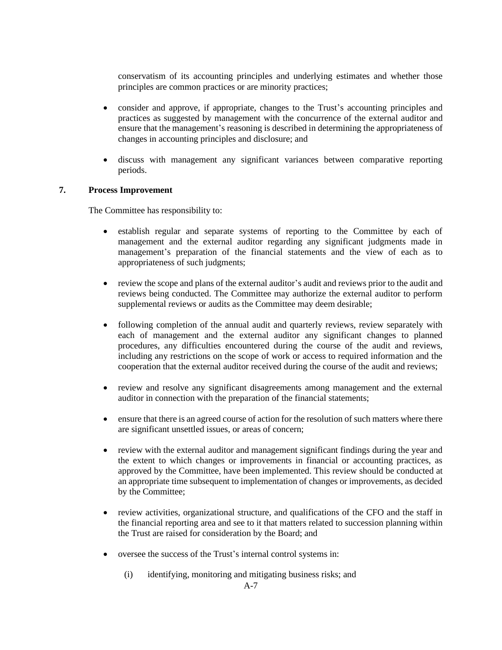conservatism of its accounting principles and underlying estimates and whether those principles are common practices or are minority practices;

- consider and approve, if appropriate, changes to the Trust's accounting principles and practices as suggested by management with the concurrence of the external auditor and ensure that the management's reasoning is described in determining the appropriateness of changes in accounting principles and disclosure; and
- discuss with management any significant variances between comparative reporting periods.

# **7. Process Improvement**

The Committee has responsibility to:

- establish regular and separate systems of reporting to the Committee by each of management and the external auditor regarding any significant judgments made in management's preparation of the financial statements and the view of each as to appropriateness of such judgments;
- review the scope and plans of the external auditor's audit and reviews prior to the audit and reviews being conducted. The Committee may authorize the external auditor to perform supplemental reviews or audits as the Committee may deem desirable;
- following completion of the annual audit and quarterly reviews, review separately with each of management and the external auditor any significant changes to planned procedures, any difficulties encountered during the course of the audit and reviews, including any restrictions on the scope of work or access to required information and the cooperation that the external auditor received during the course of the audit and reviews;
- review and resolve any significant disagreements among management and the external auditor in connection with the preparation of the financial statements;
- ensure that there is an agreed course of action for the resolution of such matters where there are significant unsettled issues, or areas of concern;
- review with the external auditor and management significant findings during the year and the extent to which changes or improvements in financial or accounting practices, as approved by the Committee, have been implemented. This review should be conducted at an appropriate time subsequent to implementation of changes or improvements, as decided by the Committee;
- review activities, organizational structure, and qualifications of the CFO and the staff in the financial reporting area and see to it that matters related to succession planning within the Trust are raised for consideration by the Board; and
- oversee the success of the Trust's internal control systems in:
	- (i) identifying, monitoring and mitigating business risks; and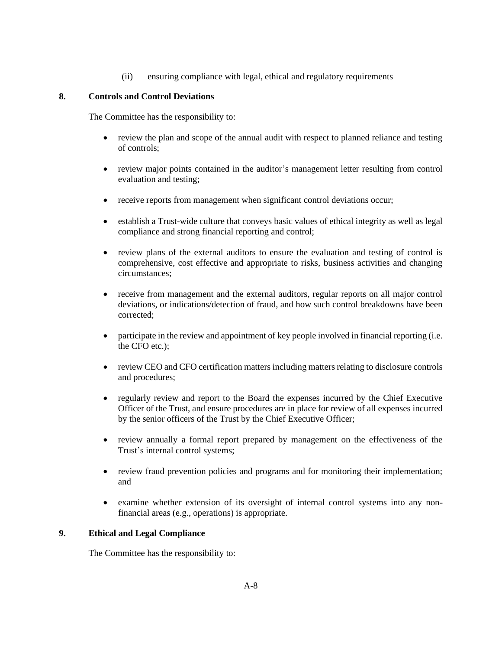(ii) ensuring compliance with legal, ethical and regulatory requirements

## **8. Controls and Control Deviations**

The Committee has the responsibility to:

- review the plan and scope of the annual audit with respect to planned reliance and testing of controls;
- review major points contained in the auditor's management letter resulting from control evaluation and testing;
- receive reports from management when significant control deviations occur;
- establish a Trust-wide culture that conveys basic values of ethical integrity as well as legal compliance and strong financial reporting and control;
- review plans of the external auditors to ensure the evaluation and testing of control is comprehensive, cost effective and appropriate to risks, business activities and changing circumstances;
- receive from management and the external auditors, regular reports on all major control deviations, or indications/detection of fraud, and how such control breakdowns have been corrected;
- participate in the review and appointment of key people involved in financial reporting (i.e. the CFO etc.);
- review CEO and CFO certification matters including matters relating to disclosure controls and procedures;
- regularly review and report to the Board the expenses incurred by the Chief Executive Officer of the Trust, and ensure procedures are in place for review of all expenses incurred by the senior officers of the Trust by the Chief Executive Officer;
- review annually a formal report prepared by management on the effectiveness of the Trust's internal control systems;
- review fraud prevention policies and programs and for monitoring their implementation; and
- examine whether extension of its oversight of internal control systems into any nonfinancial areas (e.g., operations) is appropriate.

# **9. Ethical and Legal Compliance**

The Committee has the responsibility to: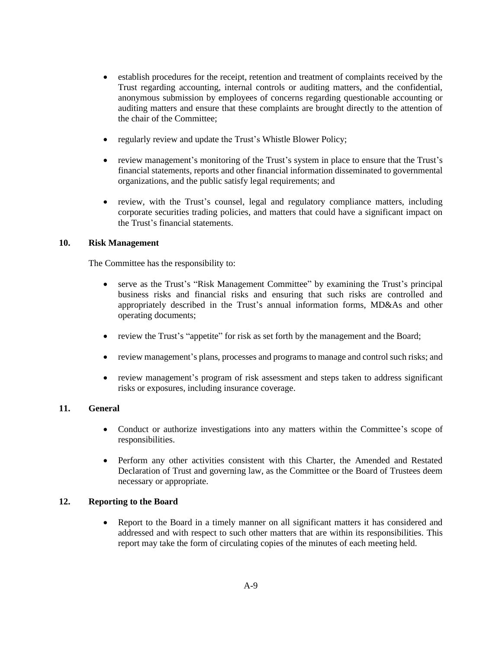- establish procedures for the receipt, retention and treatment of complaints received by the Trust regarding accounting, internal controls or auditing matters, and the confidential, anonymous submission by employees of concerns regarding questionable accounting or auditing matters and ensure that these complaints are brought directly to the attention of the chair of the Committee;
- regularly review and update the Trust's Whistle Blower Policy;
- review management's monitoring of the Trust's system in place to ensure that the Trust's financial statements, reports and other financial information disseminated to governmental organizations, and the public satisfy legal requirements; and
- review, with the Trust's counsel, legal and regulatory compliance matters, including corporate securities trading policies, and matters that could have a significant impact on the Trust's financial statements.

#### **10. Risk Management**

The Committee has the responsibility to:

- serve as the Trust's "Risk Management Committee" by examining the Trust's principal business risks and financial risks and ensuring that such risks are controlled and appropriately described in the Trust's annual information forms, MD&As and other operating documents;
- review the Trust's "appetite" for risk as set forth by the management and the Board;
- review management's plans, processes and programs to manage and control such risks; and
- review management's program of risk assessment and steps taken to address significant risks or exposures, including insurance coverage.

#### **11. General**

- Conduct or authorize investigations into any matters within the Committee's scope of responsibilities.
- Perform any other activities consistent with this Charter, the Amended and Restated Declaration of Trust and governing law, as the Committee or the Board of Trustees deem necessary or appropriate.

#### **12. Reporting to the Board**

• Report to the Board in a timely manner on all significant matters it has considered and addressed and with respect to such other matters that are within its responsibilities. This report may take the form of circulating copies of the minutes of each meeting held.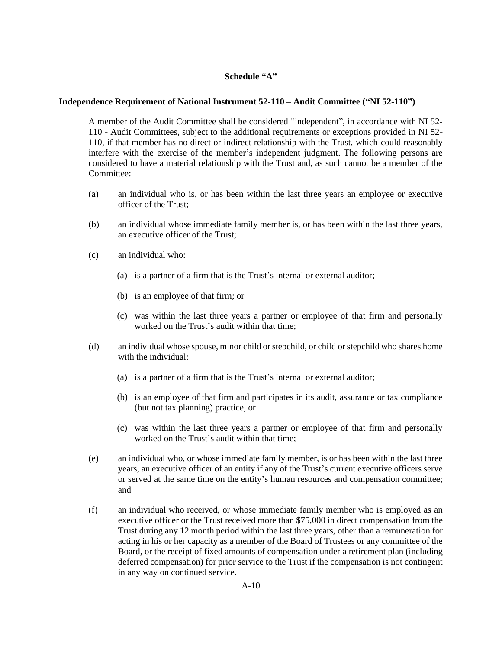# **Schedule "A"**

## **Independence Requirement of National Instrument 52-110 – Audit Committee ("NI 52-110")**

A member of the Audit Committee shall be considered "independent", in accordance with NI 52- 110 - Audit Committees, subject to the additional requirements or exceptions provided in NI 52- 110, if that member has no direct or indirect relationship with the Trust, which could reasonably interfere with the exercise of the member's independent judgment. The following persons are considered to have a material relationship with the Trust and, as such cannot be a member of the Committee:

- (a) an individual who is, or has been within the last three years an employee or executive officer of the Trust;
- (b) an individual whose immediate family member is, or has been within the last three years, an executive officer of the Trust;
- (c) an individual who:
	- (a) is a partner of a firm that is the Trust's internal or external auditor;
	- (b) is an employee of that firm; or
	- (c) was within the last three years a partner or employee of that firm and personally worked on the Trust's audit within that time;
- (d) an individual whose spouse, minor child or stepchild, or child or stepchild who shares home with the individual:
	- (a) is a partner of a firm that is the Trust's internal or external auditor;
	- (b) is an employee of that firm and participates in its audit, assurance or tax compliance (but not tax planning) practice, or
	- (c) was within the last three years a partner or employee of that firm and personally worked on the Trust's audit within that time;
- (e) an individual who, or whose immediate family member, is or has been within the last three years, an executive officer of an entity if any of the Trust's current executive officers serve or served at the same time on the entity's human resources and compensation committee; and
- (f) an individual who received, or whose immediate family member who is employed as an executive officer or the Trust received more than \$75,000 in direct compensation from the Trust during any 12 month period within the last three years, other than a remuneration for acting in his or her capacity as a member of the Board of Trustees or any committee of the Board, or the receipt of fixed amounts of compensation under a retirement plan (including deferred compensation) for prior service to the Trust if the compensation is not contingent in any way on continued service.